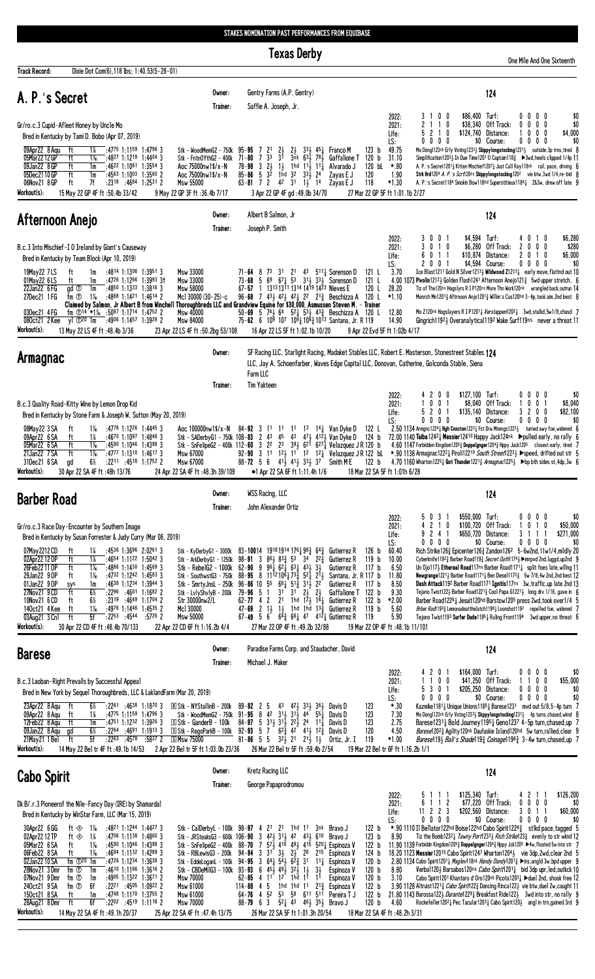## STAKES NOMINATION PAST PERFORMANCES FROM EQUIBASE

|                                                                                                                                                                                                                                                                                                                                                                                                                                                                                                                                                                                                                                                                                                           | <b>Texas Derby</b>                                                                                                                                                                                                                                                                                                                                                                                                                                                                                                                                                                                                                                                                                                                                                                                                                     | One Mile And One Sixteenth                                                                                                                                                                                                                                                                                                                                                                                                                                                                                                                                                                                                                                                                                                                                                                                                                                                                                                                                                                                                                                                                                                                                                                                                                                                                                                                                                                                                                                         |
|-----------------------------------------------------------------------------------------------------------------------------------------------------------------------------------------------------------------------------------------------------------------------------------------------------------------------------------------------------------------------------------------------------------------------------------------------------------------------------------------------------------------------------------------------------------------------------------------------------------------------------------------------------------------------------------------------------------|----------------------------------------------------------------------------------------------------------------------------------------------------------------------------------------------------------------------------------------------------------------------------------------------------------------------------------------------------------------------------------------------------------------------------------------------------------------------------------------------------------------------------------------------------------------------------------------------------------------------------------------------------------------------------------------------------------------------------------------------------------------------------------------------------------------------------------------|--------------------------------------------------------------------------------------------------------------------------------------------------------------------------------------------------------------------------------------------------------------------------------------------------------------------------------------------------------------------------------------------------------------------------------------------------------------------------------------------------------------------------------------------------------------------------------------------------------------------------------------------------------------------------------------------------------------------------------------------------------------------------------------------------------------------------------------------------------------------------------------------------------------------------------------------------------------------------------------------------------------------------------------------------------------------------------------------------------------------------------------------------------------------------------------------------------------------------------------------------------------------------------------------------------------------------------------------------------------------------------------------------------------------------------------------------------------------|
| Dixie Dot Com(6), 118 lbs; 1:40.53(5-28-01)<br>Track Record:                                                                                                                                                                                                                                                                                                                                                                                                                                                                                                                                                                                                                                              |                                                                                                                                                                                                                                                                                                                                                                                                                                                                                                                                                                                                                                                                                                                                                                                                                                        |                                                                                                                                                                                                                                                                                                                                                                                                                                                                                                                                                                                                                                                                                                                                                                                                                                                                                                                                                                                                                                                                                                                                                                                                                                                                                                                                                                                                                                                                    |
| A. P.'s Secret                                                                                                                                                                                                                                                                                                                                                                                                                                                                                                                                                                                                                                                                                            | Gentry Farms (A.P. Gentry)<br>Owner:<br>Saffie A. Joseph, Jr.<br>Trainer:                                                                                                                                                                                                                                                                                                                                                                                                                                                                                                                                                                                                                                                                                                                                                              | 124                                                                                                                                                                                                                                                                                                                                                                                                                                                                                                                                                                                                                                                                                                                                                                                                                                                                                                                                                                                                                                                                                                                                                                                                                                                                                                                                                                                                                                                                |
| Gr/ro.c.3 Cupid-Afleet Honey by Uncle Mo<br>Bred in Kentucky by Tami D. Bobo (Apr 07, 2019)                                                                                                                                                                                                                                                                                                                                                                                                                                                                                                                                                                                                               |                                                                                                                                                                                                                                                                                                                                                                                                                                                                                                                                                                                                                                                                                                                                                                                                                                        | 0 <sub>0</sub><br>\$86,400 Turf:<br>$0\quad 0$<br>\$0<br>2022:<br>00<br>31<br>$\overline{1}$<br>\$38.340<br>Off Track:<br>0 <sub>0</sub><br>\$0<br>2021:<br>0<br>$\mathbf{0}$<br>-1<br>0<br>5 <sub>2</sub><br>0 <sub>0</sub><br>10<br>\$124,740<br>Distance:<br>\$4,000<br>Life:<br>0<br>$0\quad 0$<br>00<br>\$0 Course:<br>0 <sub>0</sub><br>\$0<br>LS:<br>0<br>0                                                                                                                                                                                                                                                                                                                                                                                                                                                                                                                                                                                                                                                                                                                                                                                                                                                                                                                                                                                                                                                                                                 |
| $:47^{75}$ 1:1159 1:4796 3<br>09Apr22 8 Agu<br>ft<br>1%<br>05Mar22 12 GP<br>ft<br>$1\%$<br>$:4827$ 1:1219 1:4404 3<br>09Jan22 8 GP<br>$:4622$ 1:1061 1:3554 3<br>ft<br>1m<br>05Dec2110GP<br>ft<br>$:4563$ 1:1003 1:3560 2<br>1m<br>06Nov21 8 GP<br>ft<br>7f<br>$: 23^{18}$ $: 46^{84}$ 1:2531 2<br>Workout(s):<br>15 May 22 GP 4F ft: 50.4b 33/42                                                                                                                                                                                                                                                                                                                                                         | Stk – WoodMemG2 – 750k<br>$95 - 95$ 7<br>2 <sup>1</sup><br>$\frac{21}{31}$<br>$2\frac{1}{2}$<br>$33\frac{1}{2}$ 45 <sup>1</sup><br>733<br>3nk 63) 78)<br>Stk - FntnOYthG2 - 400k<br>71-80<br>Aoc 75000nw1\$/x-N<br>$78 - 98$ 3 $2\frac{1}{2}$<br>$1\frac{1}{2}$ 1hd $11\frac{1}{2}$ 11 $\frac{1}{4}$<br>$85 - 86$ 5 $3\overline{2}$<br>1hd 32 $33\frac{1}{2}$ 24<br>Aoc 75000nw1\$/x-N<br>Msw 55000<br>$63 - 81$ 7 2 4 <sup>2</sup> 3 <sup>1</sup> 1 <sup>1</sup> / <sub>2</sub> 1 <sup>4</sup><br>9 May 22 GP 3F ft : 36.4b 7/17<br>3 Apr 22 GP 4F gd: 49.0b 34/70                                                                                                                                                                                                                                                                    | 49.75<br>123 <sub>b</sub><br>Mo Dong1123nk Erly Voting12331 Skippylongstocking12311 outside, 3p trns, tired 8<br>Franco M<br>120 b<br>31.10<br>Gaffalione T<br>Simplification12031 In Due Time1201 0 Captain1183 ▶3wd, heels clipped 1/4p 11<br>120 bL<br>$*.80$<br>Alvarado J<br>A. P.'s Secret1201 <sub>4</sub> Kitten Mischief1207 <sub>4</sub> Just Call Ray118nk rail, pace, driving 6<br>120<br>Zayas E J<br>1.90<br>Strk Hrd1204 A. P. 's Scrt120ns Skippylongstocking1202 vie btw, 3wd 1/4, re-bid 8<br>118<br>$*1.30$<br>Zayas E J<br>A. P.'s Secret1184 Smokin Bow118hd Superstitieux11841 2&3w, drew off late 9<br>27 Mar 22 GP 5F ft 1:01.1b 2/27                                                                                                                                                                                                                                                                                                                                                                                                                                                                                                                                                                                                                                                                                                                                                                                                      |
| Afternoon Anejo                                                                                                                                                                                                                                                                                                                                                                                                                                                                                                                                                                                                                                                                                           | Albert B Salmon, Jr<br>Owner:<br>Joseph P. Smith<br>Trainer:                                                                                                                                                                                                                                                                                                                                                                                                                                                                                                                                                                                                                                                                                                                                                                           | 124                                                                                                                                                                                                                                                                                                                                                                                                                                                                                                                                                                                                                                                                                                                                                                                                                                                                                                                                                                                                                                                                                                                                                                                                                                                                                                                                                                                                                                                                |
| B.c.3 Into Mischief-I O Ireland by Giant's Causeway<br>Bred in Kentucky by Team Block (Apr 10, 2019)<br>19May22 7LS<br>:4814 1:1306 1:3951 3<br>ft<br>1m<br>01May22 6LS<br>ft<br>:4726 1:1266 1:3993 31<br>1m<br>:4850 1:1333 1:3816 3<br>22Jan22 6 FG<br>gd <sup>1</sup><br>1m<br>:4868 1:1421 1:4614 2<br>27Dec21 1 FG<br>fm ①<br>1‰<br>03Dec21 4FG<br>fm $\textcircled{14}$ *1% :5087 1:1714 1:4752 2<br>080ct21 2Kee<br>y] ① <sup>20</sup> 1m :49 <sup>06</sup> 1:1457 1:3928 2<br>Workout(s):<br>13 May 22 LS 4F ft :48.4b 3/36                                                                                                                                                                      | Msw 33000<br>71-64 8 73 31 21 43 511 Sorenson D<br>73-68 5 69 671 53 311 331 Sorenson D<br>Msw 33000<br>1 1313 1311 1314 1419 1423 Nieves E<br><b>Msw 58000</b><br>67-57<br>Mcl 30000 (30-25)-c<br>96-68 7 431 421 421 22 213 Beschizza A 120 L<br>Claimed by Salmon, Jr Albert B from Winchell Thoroughbreds LLC and Grandview Equine for \$30,000, Asmussen Steven M. - Trainer<br>Msw 40000<br>50-69 5 74 $\frac{1}{2}$ 64 52 $\frac{1}{4}$ 53 $\frac{1}{2}$ 43 $\frac{3}{4}$ Beschizza A 120 L<br>75-62 6 10 <sup>5</sup> 10 <sup>7</sup> 10 <sup>3</sup> $\frac{1}{4}$ 10 <sup>8</sup> $\frac{3}{4}$ 10 <sup>1</sup> 3 Santana, Jr. R 119<br>Msw 84000<br>23 Apr 22 LS 4F ft: 50.2bg 53/108<br>16 Apr 22 LS 5F ft 1:02.1b 10/20                                                                                                   | \$6,280<br>2022:<br>\$4,594 Turf:<br>3 0 0 1<br>0<br>10<br>1 <sub>0</sub><br>\$280<br>2021:<br>3<br>0<br>\$6,280<br>Off Track:<br>$\mathbf{2}$<br>0<br>$0\quad 0$<br>10<br>\$6,000<br>60<br>1 1<br>\$10,874<br>Distance:<br>$\mathbf{2}$<br>Life:<br>0<br>\$4,594 Course:<br>0 <sub>0</sub><br>\$0<br>LS:<br>0<br>0<br>00<br>-1<br>121 L<br>3.70<br>Ice Blast1211 Gold N Silver12133 Wildwood Z12131 early move, flattnd out 10<br>121L<br>4.00 1073 Pivolin1212, Golden Flash1241 Afternoon Anejo121 $\frac{3}{4}$ 5wd upper stretch, 6<br>120 L<br>28.20<br>Tiz of The120ns Hogslyrs R I P120ns More Thn Work120nk wrangled back, outrun 14<br>$*1.10$<br>Monrch Mn12013 Aftrnoon Anjo12013 Willim's Cus120hd 3-4p, took aim, 2nd best 8<br>12.80<br>Mo Z120nk Hogslayers R I P12011 Verstappen12021 3wd, stalkd, 5w1/8, chasd 7<br>14.90<br>Gingrich11923 Overanalytical1192 Wake Surf119ns never a threat 11<br>9 Apr 22 Evd 5F ft 1:02b 4/17                                                                                                                                                                                                                                                                                                                                                                                                                                                                                                                  |
| <b>Armagnac</b>                                                                                                                                                                                                                                                                                                                                                                                                                                                                                                                                                                                                                                                                                           | Owner:<br>Farm LLC<br><b>Tim Yakteen</b><br>Trainer:                                                                                                                                                                                                                                                                                                                                                                                                                                                                                                                                                                                                                                                                                                                                                                                   | SF Racing LLC, Starlight Racing, Madaket Stables LLC, Robert E. Masterson, Stonestreet Stables 124<br>LLC, Jay A. Schoenfarber, Waves Edge Capital LLC, Donovan, Catherine, Golconda Stable, Siena                                                                                                                                                                                                                                                                                                                                                                                                                                                                                                                                                                                                                                                                                                                                                                                                                                                                                                                                                                                                                                                                                                                                                                                                                                                                 |
| B.c.3 Quality Road-Kitty Wine by Lemon Drop Kid<br>Bred in Kentucky by Stone Farm & Joseph W. Sutton (May 20, 2019)<br>08May22 3 SA<br>$:4778$ 1:12 <sup>26</sup> 1:4445 3<br>ft<br>1‰<br>09Apr22 6 SA<br>ft<br>$:4670$ 1:1097 1:4846 3<br>1%<br>05Mar22 6 SA<br>ft<br>1‰<br>$:4590$ 1:1046 1:4398 3<br>21Jan22 7 SA<br>ft<br>$1\%$<br>:4777 1:1310 1:4617 3<br>31Dec21 6 SA<br>6½<br>$:22^{11}$ $:45^{18}$ 1:1752 2<br>gd<br>Workout(s):<br>30 Apr 22 SA 4F ft: 48h 13/76                                                                                                                                                                                                                                | Aoc 100000nw1\$/x-N<br>84-92 3 11 11<br>1 <sup>3</sup> 1 <sup>4</sup> $\frac{1}{4}$ Van Dyke D<br>1 <sup>1</sup><br>Stk - SADerbyG1 - 750k 108-83 2 43 45 43 47 $\frac{1}{2}$ 41 $\frac{2}{2}$ Van Dyke D 124 b<br>Stk - SnFelipeG2 - 400k 112-60 3 22 23<br>$39\frac{1}{2}$ 6 <sup>21</sup> 6 <sup>27</sup> / <sub>4</sub> Velazquez J R 120 b<br>92-90 3 11 12 11 12 12 Velazquez J R 122 bl<br>Msw 67000<br>411 411 331 37<br>Msw 67000<br>$88 - 72$ 5 6<br>24 Apr 22 SA 4F ft :48.3h 39/109<br>•1 Apr 22 SA 6F ft 1:11.4h 1/6                                                                                                                                                                                                                                                                                                      | \$127,100 Turf:<br>42<br>$\mathbf{0}$<br>$0\quad 0$<br>\$0<br>2022:<br>0<br>00<br>0<br>0<br>\$8.040<br>Off Track:<br>0<br>2021:<br>-1<br>0<br>-1<br>\$8,040<br>1<br>0 <sub>1</sub><br>$\mathbf 0$<br>\$82,100<br>52<br>\$135,140 Distance:<br>32<br>0<br>Life:<br>$0\,0\,0\,0$<br>\$0 Course:<br>$0\,0\,0\,0$<br>\$0<br>LS:<br>2.50 1134 Armgnc1224 $\frac{1}{4}$ Hgh Cnncton122 <sup>2</sup> $\frac{1}{4}$ Fst Drw Mnnngs122 <sup>3</sup> $\frac{1}{2}$ turned awy foe, widened 6<br>122 L<br>72.00 1140 Taiba 1242 $\frac{1}{4}$ Messier 12410 Happy Jack 124nk $\blacktriangleright$ pulled early, no rally 6<br>4.60 1147 Forbidden Kingdom1205 $\frac{3}{4}$ Doppelgnger1204 $\frac{3}{4}$ Hppy Jack1205 closest early, tired 7<br>*.90 1138 Armagnac12221 Piroli12210 South Street12231 > speed, drifted out str 5<br>Smith M E<br>122 b<br>4.70 1160 Wharton12251 Got Thunder12213 Armagnac12251 >bp bth sides st.4dp.3w 6<br>18 Mar 22 SA 5F ft 1:01h 6/28                                                                                                                                                                                                                                                                                                                                                                                                                                                                                                 |
| <b>Barber Road</b>                                                                                                                                                                                                                                                                                                                                                                                                                                                                                                                                                                                                                                                                                        | <b>WSS Racing, LLC</b><br>Owner:<br>Trainer:<br>John Alexander Ortiz                                                                                                                                                                                                                                                                                                                                                                                                                                                                                                                                                                                                                                                                                                                                                                   | 124                                                                                                                                                                                                                                                                                                                                                                                                                                                                                                                                                                                                                                                                                                                                                                                                                                                                                                                                                                                                                                                                                                                                                                                                                                                                                                                                                                                                                                                                |
| Gr/ro.c.3 Race Day-Encounter by Southern Image<br>Bred in Kentucky by Susan Forrester & Judy Curry (Mar 08, 2019)<br>:4536 1:3696 2:0261 3<br>07May 2212 CD<br>ft<br>14<br>02Apr22 12 OP<br>ft<br>1%<br>$:4654$ 1:1122 1:5042 3<br>26Feb22110P<br>ft<br>1‰<br>$:4886$ 1:1430 1:4569 3<br>29Jan22 9 OP<br>1‰<br>$:4732$ 1:1242 1:4583 3<br>ft<br>01Jan22 9 OP<br>$:4638$ 1:1234 1:3944 3<br>1m<br>sys<br>27Nov21 9 CD<br>ft<br>6½<br>$:2296$ $:4601$ $1:1682$ 2<br>10Nov21 6 CD<br>ft<br>6½<br>$: 23^{19}$ $: 46^{49}$ 1:1704 2<br>140ct21 4 Kee<br>ft<br>$1\%$<br>$:4976$ 1:1446 1:4535 2<br>03Aug21 3 Cn1<br>ft<br>5f<br>$:22^{53}:45^{44}$<br>:5726 2<br>Workout(s):<br>30 Apr 22 CD 4F ft:48.4b 70/133 | 83-10014 1918 1914 1761 98 <sub>4</sub> 64 <sub>4</sub> Gutierrez R<br>Stk - KyDerbyG1 - 3000k<br>Stk - ArkDerbyG1 - 1250k 98-91 3 86 $\frac{1}{2}$ 83 $\frac{3}{4}$ 53<br>$34$ $22\frac{3}{4}$<br>Stk - RebelG2 - 1000k 62-90 9 96 $\frac{1}{4}$ 62 $\frac{1}{4}$ 63 $\frac{1}{4}$ 43 $\frac{1}{2}$ 3 $\frac{1}{2}$<br>Stk - SouthwstG3 - 750k 88-95 8 1112 106 $1/3^3$ 52 $1/2$<br>Stk - SmrtyJnsL - 250k 96-86 10 55 661 51 31 31 22<br>Stk - LvlyShvlyB - 200k 79-96 5 1 31 31 23 23<br>62-77 4 2 21 1hd $1^{\overline{2}}\frac{1}{2}$ 1 <sup>6</sup> 4 Gutierrez R<br>Str 30000nw2/L<br>47-69 2 13 13 1hd 1hd $13\frac{3}{4}$ Gutierrez R<br>Mc1 30000<br>Msw 50000<br>67-49 5 6 $6\frac{43}{4}$ 6 <sup>6</sup> 4 <sup>7</sup> 4 <sup>12</sup> 4 Gutierrez R<br>22 Apr 22 CD 6F ft 1:16.2b 4/4<br>27 Mar 22 OP 4F ft :49.2b 32/88 | \$550,000 Turf:<br>31<br>$0\,0\,0\,0$<br>\$0<br>2022:<br>50<br>2 <sub>1</sub><br>0<br>\$100,720<br>Off Track:<br>$\overline{1}$<br>0<br>\$50,000<br>10<br>2021:<br>\$650,720<br>\$271,000<br>9241<br>Distance:<br>31<br>$\overline{1}$<br>Life:<br>0 0 0 0<br>\$0 Course:<br>$0\ 0\ 0\ 0$<br>\$0<br>LS:<br>60.40<br>Rich Strike1263 Epicenter1263 Zandon126 <sup>2</sup> 5-6w2nd,11w1/4,mildly 20<br>126 b<br>119 <sub>b</sub><br>10.00<br>Cyberknife1192 3Barber Road119 3Becret Oath1174 } > imrpvd 2nd, luggd, up2nd 9<br>Gutierrez R<br>117 b<br>6.50<br>Un Ojo117} Ethereal Road117ns Barber Road11711 split foes late, willng 11<br>Gutierrez R<br>Santana, Jr. R 117 b<br>11.80<br><b>Newgrange</b> 1221 <sup>1</sup> / <sub>2</sub> Barber Road1171 <sup>1</sup> / <sub>4</sub> Ben Diese1117 <sup>2</sup> <sup>2</sup> / <sub>4</sub> 5w 7/8,4w 2nd,2nd best 12<br>8.50<br>Gutierrez R<br>117 b<br><b>Dash Attack</b> 1192 Barber Road1171 <b>Ignitis</b> 117ns 3w, traffic, up late 2nd 13<br>9.30<br>122 b<br>Tejano Twist1223 Barber Road12213 Cool Papa G12213 long drv 1/16, gave in 6<br>Gaffalione T<br>122 <sub>b</sub><br>*2.00<br>Barber Road12261 Jesuit120hd Barstow1205 press 2wd, took over 1/4<br>5.60<br>Brber Rod 1933 Lemonadeatthelatch11983 Loonshot1192 repelled foe, widened 7<br>119 <sub>b</sub><br>119<br>5.90<br>Tejano Twist1193 Surfer Dude11951 Ruling Front1194 3wd upper, no threat 6<br>19 Mar 22 OP 4F ft : 48.1b 11/101 |
| <b>Barese</b>                                                                                                                                                                                                                                                                                                                                                                                                                                                                                                                                                                                                                                                                                             | Paradise Farms Corp. and Staudacher, David<br>Owner:<br>Michael J. Maker<br>Trainer:                                                                                                                                                                                                                                                                                                                                                                                                                                                                                                                                                                                                                                                                                                                                                   | 124                                                                                                                                                                                                                                                                                                                                                                                                                                                                                                                                                                                                                                                                                                                                                                                                                                                                                                                                                                                                                                                                                                                                                                                                                                                                                                                                                                                                                                                                |
| B.c.3 Laoban-Right Prevails by Successful Appeal<br>Bred in New York by Sequel Thoroughbreds, LLC & LaklandFarm (Mar 20, 2019)<br>23Apr22 8 Agu<br>ft<br>$:22^{61}$ $:46^{38}$ 1:1870 3<br>6½<br>09Apr22 8 Aqu<br>ft<br>1%<br>$:47^{75}$ 1:1159 1:4796 3<br>12Feb22 8 Agu<br>ft<br>$:4751$ 1:1232 1:3926 3<br>1m<br>09Jan22 8 Agu<br>6½<br>$:22^{64}$ $:46^{91}$ 1:1913 3<br>gd<br>$21$ May 21 1 Bel ft<br>5f<br>$:22^{63}$<br>:4578 :5837 2<br>Workout(s):<br>14 May 22 Bel tr 4F ft : 49.1b 14/53                                                                                                                                                                                                       | $\overline{R}$ Stk - NYStallin B - 200k<br>$89 - 82$ 2 5<br>43<br>421 331 361<br>Davis D<br>Stk - WoodMemG2 - 750k 91-95 8 42 313 313 44 55 $\frac{1}{4}$<br>Davis D<br>$84-97$ 5 $31\frac{1}{2}$ $31\frac{1}{2}$ $22\frac{1}{2}$ $24$ $11\frac{1}{4}$<br>S Stk - GanderB - 100k<br>Davis D<br>$6^{2^{5}_{4}}$ 4 <sup>2</sup> 4 <sup>1</sup> / <sub>2</sub> 1 <sup>2</sup> / <sub>4</sub> Davis D<br>$92 - 93$ 5 7<br>S Stk - RegoParkB - 100k<br>S Msw 75000<br>$81 - 86$ 5 5<br>$3^{2}$ $\frac{1}{2}$ 2 <sup>1</sup> $\frac{1}{2}$ 1 <sup>1</sup> <sub>2</sub> 0rtiz, Jr. I<br>26 Mar 22 Bel tr 5F ft :59.4b 2/54<br>2 Apr 22 Bel tr 5F ft 1:03.0b 23/36                                                                                                                                                                             | \$164,000 Turf:<br>0 <sub>0</sub><br>\$0<br>2022:<br>42<br>0<br>0 <sub>0</sub><br>0 <sub>0</sub><br>\$41,250 Off Track:<br>0 <sub>0</sub><br>\$55,000<br>2021:<br>11<br>530<br>\$205,250 Distance:<br>\$0<br>-1<br>$0\,0\,0\,0$<br>Life:<br>\$0<br>$0\,0\,0\,0$<br>\$0 Course:<br>$0\,0\,0\,0$<br>LS:<br>123<br>$*.30$<br>Kazmike1181 $\frac{1}{4}$ Unique Unions1185 $\frac{1}{4}$ Barese1231 mvd out 5/8,5-4p turn 7<br>123<br>7.30<br>Mo Dong1123nk Erly Votng12333 Skppylongstocking12313 4p turns, chased, wknd 8<br>123<br>2.75<br>Barese12311 Bold Journey11951 Geno1237 4-5p turn, chased, up 7<br>120<br>4.50<br><i>Barese</i> 120 <sup>2</sup> Agility120nk Daufuskie Island120hd 5w turn, rallied, clear 9<br>119<br>$*1.00$<br><i>Barese</i> 19 <sup>3</sup> <i>Bali's Shade</i> 19 <sup>3</sup> <i>Coinage</i> 196 <sup>3</sup> 3-4w turn, chased, up 7<br>19 Mar 22 Bel tr 6F ft 1:16.2b 1/1                                                                                                                                                                                                                                                                                                                                                                                                                                                                                                                                                         |
| <b>Cabo Spirit</b>                                                                                                                                                                                                                                                                                                                                                                                                                                                                                                                                                                                                                                                                                        | Kretz Racing LLC<br>Owner:<br>George Papaprodromou<br>Trainer:                                                                                                                                                                                                                                                                                                                                                                                                                                                                                                                                                                                                                                                                                                                                                                         | 124                                                                                                                                                                                                                                                                                                                                                                                                                                                                                                                                                                                                                                                                                                                                                                                                                                                                                                                                                                                                                                                                                                                                                                                                                                                                                                                                                                                                                                                                |

 $\begin{array}{cccccc}\n5 & 1 & 1 & 1 \\
6 & 1 & 1 & 2 \\
11 & 2 & 2 & 3 \\
0 & 0 & 0 & 0 \\
0 & 0 & 0 & 0\n\end{array}$ 2022:<br>2021: \$125,340 Turf:<br>\$77,220 Off Track:  $\begin{smallmatrix} 4 \\ 0 \end{smallmatrix}$  $\begin{smallmatrix} 2 & 1 \\ 0 & 0 \end{smallmatrix}$  $$126,200$ <br> $$0$  $\overline{1}$  $\dot{0}$ Dk B/.r.3 Pioneerof the Nile-Fancy Day (IRE) by Shamardal  $$60,000$ <br> $$0$ \$202,560 Distance:<br>\$202,560 Distance:<br>\$0 Course:  $\begin{array}{c} 3 & 0 & 1 & 1 \\ 0 & 0 & 0 & 0 \end{array}$  $Life:$ Bred in Kentucky by WinStar Farm, LLC (Mar 15, 2019) 98-97 4 21<br>
106-90 3 424<br>
88-70 7 574<br>
94-95 3 644<br>
93-93 6 454<br>
62-85 4 11<br>
64-76 4 52<br>
67-96 6 3<br>
76 Mar 79 6 3<br>
76 Mar 79 6 3 21 1 1 1 3 nk Bravo J<br>
1 3 1 4 4 4 3 6 10 Bravo J<br>
2 4 4 4 4 5 5 2 1 6 Bravo J<br>
3 1 2 2 2 2 2 15 Espinoza<br>
1 5 4 5 2 15 Espinoza<br>
1 5 4 5 2 3 1 1 1 Espinoza<br>
1 2 1 1 1 1 Espinoza<br>
1 1 1 1 2 1 3 5 5 6 6 1 5 1 Pereira T<br>
5 Stk - CalDerbyL - 100k 98-97<br>Stk - JRSteaksG3 - 600k 106-90<br>Stk - SnFelipeG2 - 400k 88-70<br>Stk - RBLewisG3 - 200k 94-84<br>Stk - CBDeMilG3 - 100k 93-93<br>Msw 70000 - 62-85<br>Msw 1000 - 114-88 :4821 1:1244 1:4427 3<br>:4706 1:1138 1:4860 3<br>:4590 1:1046 1:4398 3<br>:4694 1:1132 1:4289 3 30Apr22 6 GG ft  $\otimes$  1‰  $122<sub>b</sub>$ 02Apr22 12 TP<br>05Mar22 6 SA<br>06Feb22 8 SA  $\frac{1}{6}$ <br> $\frac{1}{6}$  $\begin{array}{c} 123 \\ 122 \\ 122 \\ 124 \end{array}$ ft  $\&$ <br>ft Bravo J<br>Espinoza V  $\ddot{H}$  $1\%$ Espinoza V <u>001 BDZZ 0 SA<br>02Jan22 10 SA</u><br>28Nov21 3 Dmr<br>07Nov21 9 Dmr  $\frac{\frac{1}{\text{fm}}\frac{1}{\text{fm}}}{\text{fm}}$   $\frac{\text{fm}}{\text{fm}}$   $\frac{\text{m}}{\text{m}}$   $\frac{\text{m}}{\text{m}}$   $\frac{\text{m}}{\text{m}}$  $:4726$  1:1100<br> $:4726$  1:1234<br> $:4610$  1:1186<br> $:4905$  1:1322  $11<sub>4</sub> Espinoza V  
\n3<sub>2</sub> Espinoza V  
\n11 Espinoza V  
\n11 Espinoza V$  $120 b$ <br> $120 b$ <br> $120 b$ <br> $120 b$  $1:36^{38}3$  $1:3616$  2<br> $1:3671$  2 240ct21 9 SA  $\frac{1}{2}$ <br> $\frac{1}{2}$ <br> $\frac{1}{2}$ <br> $\frac{1}{2}$ <br> $\frac{1}{2}$ <br> $\frac{1}{2}$  $rac{6f}{1m}$  $:2221$  :4505<br>:4748 1:1170<br>:2202 :4519  $1:09^{22}$ <br> $1:37^{55}$ <br> $1:11^{18}$ <br>2 Msw 61000<br>Msw 61000 Espinoza V<br>Pereira T J  $\begin{array}{c} 122 & b \\ 122 & b \end{array}$ 28Aug21 8Dmr ft  $6f$ Msw 70000  $120 b$ 14 May 22 SA 4F ft: 49.1h 20/37 Workout(s): 25 Apr 22 SA 4F ft : 47.4h 13/75 26 Mar 22 SA 5F ft 1:01.3h 20/54 18 Mar 22 SA 4F ft : 48.2h 3/31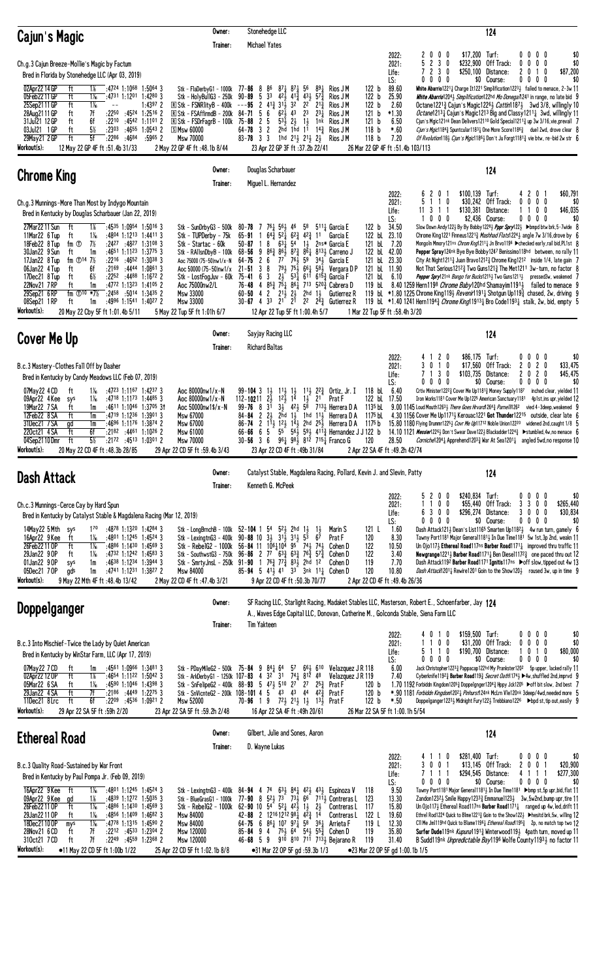| Cajun's Magic                                                                                                                                                                                                                                                                                                                                                                                                                                                                                                                                                                                                                                                                                                                                                            | Owner:<br>Trainer:                                                                                                                                                                                                                                           | Stonehedge LLC<br>Michael Yates                                                                                                                                                                                                                                                                                                                                                                                                                                                                                                                                                                                    |                                                                                                                                                                                                                                                                                                                                                                                                                                                                                      |                                                                                                                                                                                                                                | 124                                                                                                                                                                                                                                                                                                                                                                                                                                                                                                                                                                                                                                                                                                                                                                                                                                                                                                                                                                                                                                                                                                                                                                |
|--------------------------------------------------------------------------------------------------------------------------------------------------------------------------------------------------------------------------------------------------------------------------------------------------------------------------------------------------------------------------------------------------------------------------------------------------------------------------------------------------------------------------------------------------------------------------------------------------------------------------------------------------------------------------------------------------------------------------------------------------------------------------|--------------------------------------------------------------------------------------------------------------------------------------------------------------------------------------------------------------------------------------------------------------|--------------------------------------------------------------------------------------------------------------------------------------------------------------------------------------------------------------------------------------------------------------------------------------------------------------------------------------------------------------------------------------------------------------------------------------------------------------------------------------------------------------------------------------------------------------------------------------------------------------------|--------------------------------------------------------------------------------------------------------------------------------------------------------------------------------------------------------------------------------------------------------------------------------------------------------------------------------------------------------------------------------------------------------------------------------------------------------------------------------------|--------------------------------------------------------------------------------------------------------------------------------------------------------------------------------------------------------------------------------|--------------------------------------------------------------------------------------------------------------------------------------------------------------------------------------------------------------------------------------------------------------------------------------------------------------------------------------------------------------------------------------------------------------------------------------------------------------------------------------------------------------------------------------------------------------------------------------------------------------------------------------------------------------------------------------------------------------------------------------------------------------------------------------------------------------------------------------------------------------------------------------------------------------------------------------------------------------------------------------------------------------------------------------------------------------------------------------------------------------------------------------------------------------------|
| Ch.g.3 Cajun Breeze-Mollie's Magic by Factum<br>Bred in Florida by Stonehedge LLC (Apr 03, 2019)<br>02Apr22 14 GP<br>ft<br>1%<br>:4724 1:1068 1:5064 3<br>:4731 1:1201 1:4280 3<br>05Feb2211GP<br>ft<br>1‰<br>ft<br>$1\frac{1}{16}$<br>25Sep2111 GP<br>$1:4397$ 2<br>$\sim$ $-$<br>7f<br>:2250<br>$:45^{24}$ 1:2516 2<br>28Aug2111 GP<br>ft<br>31Jul21 12 GP<br>ft<br>6f<br>:2210<br>:4542 1:1101 2<br>$5\%$<br>:2303<br>ft<br>$:4655$ 1:0543 2<br>03Ju121 1 GP<br>5f<br>$:22^{86}$<br>:4684<br>$:5965$ 2<br>29May 21 2 GP<br>ft<br>Workout(s):<br>12 May 22 GP 4F ft: 51.4b 31/33                                                                                                                                                                                       | Stk - FlaDerbyG1 - 1000k<br>Stk - HolyBullG3 - 250k<br>$\mathbb{R}$ Stk - FSNR lity B - 400k<br>R Stk - FSAffirmdB - 200k 84-71<br>$\mathbb{R}$ Stk - FSDrFagrB - 100k<br>$S$ Msw 60000<br>Msw 70000<br>2 May 22 GP 4F ft :48.1b 8/44                        | 77-86<br>8<br>86<br>$87\frac{1}{4}$ $87\frac{1}{4}$ 56<br>$90 - 89$<br>3 <sup>3</sup><br>421 413 431<br>-5<br>$---95$ 2 $41\frac{3}{4}$ $31\frac{1}{2}$<br>$32 \times 22$<br>$6^{2}$ <sup>1</sup> / <sub>2</sub> 4 <sup>3</sup><br>56<br>$75 - 88$ 2 5<br>$53\frac{1}{2}$ $2\frac{1}{2}$ $1\frac{1}{2}$<br>$64 - 78$ 3 2<br>2hd 1hd 11<br>$83 - 78$ 3 3<br>1hd 21 <sub>2</sub> 21 <sub>2</sub> 2 <sub>2</sub><br>23 Apr 22 GP 3F ft :37.2b 22/41                                                                                                                                                                   | 122 <sub>b</sub><br>Rios J M<br>$89\frac{1}{4}$<br>$5^{73}$<br>122 <sub>b</sub><br>Rios J M<br>122 <sub>b</sub><br>$2^{13}$<br>Rios J M<br>23<br>$2^{3}$<br>121 b<br>Rios J M<br>Rios J M<br>121 b<br>1nk<br>$14\frac{3}{7}$ Rios J M<br>118 <sub>b</sub><br>118 <sub>b</sub><br>Rios J M                                                                                                                                                                                            | 2022:<br>2<br>$0\ 0\ 0$<br>230<br>5<br>2021:<br>7230<br>Life:<br>$0\,0\,0\,0$<br>LS:<br>89.60<br>25.90<br>2.60<br>$*1.30$<br>6.50<br>$*.60$<br>7.20<br>26 Mar 22 GP 4F ft :51.4b 103/113                                       | \$17,200 Turf:<br>0000<br>\$0<br>$0\ 0\ 0$<br>\$0<br>\$232.900 Off Track:<br>0<br>\$250,100 Distance:<br>\$87,200<br>2010<br>\$0 Course:<br>$0\,0\,0\,0$<br>\$0<br>White Abarrio 1221 $\frac{1}{4}$ Charge It1221 Simplification 1223 $\frac{1}{2}$ failed to menace, 2-3w 11<br>White Abarrio12043 Simplification122hd Mo Donega/1241 in range, no late bid 9<br>Octane1221 $\frac{3}{4}$ Cajun's Magic122 <sup>6</sup> $\frac{1}{2}$ <i>Cattin</i> 1187 $\frac{1}{2}$ 3wd 3/8, willingly 10<br><i>Octane</i> 1213 $\frac{1}{4}$ Cajun's Magic 1213 Big and Classy 1211 $\frac{1}{4}$ 3wd, willingly 11<br>Cjun's Mgic121nk Dean Delivers12110 Gold Special1211 <sup>3</sup> up 3w 3/16, vie, prevail 7<br><i>Cjun's Mgic</i> 1184 $\frac{3}{4}$ Spuntcular1183 $\frac{1}{4}$ One More Score1186 $\frac{3}{4}$ duel 2wd, drove clear 8<br>Of Rvolution118} Cjun's Mgic1186} Don't Ju Forgt1181 $\frac{3}{4}$ vie btw, re-bid 2w str 6                                                                                                                                                                                                                             |
| <b>Chrome King</b>                                                                                                                                                                                                                                                                                                                                                                                                                                                                                                                                                                                                                                                                                                                                                       | Owner:<br>Trainer:                                                                                                                                                                                                                                           | Douglas Scharbauer<br>Miguel L. Hernandez                                                                                                                                                                                                                                                                                                                                                                                                                                                                                                                                                                          |                                                                                                                                                                                                                                                                                                                                                                                                                                                                                      |                                                                                                                                                                                                                                | 124                                                                                                                                                                                                                                                                                                                                                                                                                                                                                                                                                                                                                                                                                                                                                                                                                                                                                                                                                                                                                                                                                                                                                                |
| Ch.g.3 Munnings-More Than Most by Indygo Mountain<br>Bred in Kentucky by Douglas Scharbauer (Jan 22, 2019)<br>27Mar22 11 Sun<br>ft<br>1%<br>$:4535$ 1:0954 1:5016 3<br>11Mar22 6 Tup<br>1‰<br>$:4804$ 1:1213 1:4411 3<br>ft<br>18Feb22 8 Tup<br>fm ①<br>7½<br>$:24^{27}$ $:48^{27}$ 1:3108 3<br>$:4651$ 1:1123 1:3775 3<br>30Jan22 9 Sun<br>ft<br>1m<br>fm $\oplus$ 14 7%<br>:2216 :4652 1:3038 3<br>17Jan22 8 Tup<br>:2169 :4444 1:0861 3<br>06Jan22 4 Tup<br>6f<br>ft<br>$6\%$<br>17Dec21 8 Tup<br>$:22^{52}$ $:44^{88}$ 1:1672 2<br>ft<br>22Nov21 7RP<br>$:4772$ 1:1323 1:4105 2<br>ft<br>1m<br>fm $\oplus$ 10 *7%<br>29Sep21 6RP<br>:2458<br>:5014 1:3435 2<br>$:4996$ 1:1541 1:4027 2<br>08Sep21 1RP<br>ft<br>1m<br>Workout(s):<br>20 May 22 Cby 5F ft 1:01.4b 5/11 | Stk - SunDrbyG3 - 500k<br>Stk - TUPDerby - 75k<br>Stk - Startac - 60k<br>Stk - RA11snDbyB - 100k<br>Aoc 75000 (75-50)nw1/x-N<br>Aoc 50000 (75-50)nw1/x<br>Stk - LostFogJuv - 60k<br>Aoc 75000nw2/L<br>Msw 33000<br>Msw 33000<br>5 May 22 Tup 5F ft 1:01h 6/7 | 7<br>761 561 46<br>$80 - 78$<br>$64\frac{3}{4}$ $52\frac{1}{4}$ $62\frac{3}{4}$ $42\frac{3}{4}$ 11<br>$65 - 91$<br>-1<br>18<br>$63\frac{1}{4}$<br>54<br>50-87<br>$86\frac{3}{4}$ $86\frac{1}{2}$ $87\frac{3}{4}$<br>$68 - 56$ 9<br>$64 - 75$<br>26<br>77<br>761<br>$79\frac{1}{2}$ $75\frac{1}{2}$<br>$21 - 51$<br>3<br>8<br>$5^{31}$<br>$2\frac{1}{2}$<br>3<br>75-41<br>6<br>76-48 4 $85\frac{3}{4}$ 75 $\frac{1}{4}$ 86 $\frac{1}{4}$ 713 520 $\frac{3}{4}$ Cabrera D<br>$60 - 50$ 4 2 $2^{11}$<br>$2\frac{1}{2}$<br>$30 - 67$ 4 3 <sup>3</sup> 2 <sup>1</sup> 2 <sup>1</sup><br>12 Apr 22 Tup 5F ft 1:00.4h 5/7 | 122 b<br>$5^{11}\frac{1}{4}$ Garcia E<br>58<br>Garcia E<br>2ns* Garcia E<br>$1\frac{1}{2}$<br>$86\frac{1}{4}$ $813\frac{1}{2}$ Carreno J<br>59<br>34 <sub>3</sub> Garcia E<br>$66\frac{1}{4}$ 581 Vergara DP<br>611<br>$615\frac{3}{7}$ Garcia F<br>121 bL<br>119 bL<br>$2hd$ $1\frac{1}{2}$<br>Gutierrez R<br>2 <sup>2</sup> $2^{\overline{4}}\frac{3}{4}$ Gutierrez R                                                                                                              | 2022:<br>6201<br>2021:<br>5<br>11<br>0<br>11 3 1 1<br>\$130,381<br>Life:<br>$0\,0\,0$<br>LS:<br>34.50<br>122 bL 23.10<br>121 bL 7.20<br>122 bL 42.00<br>121 bL 23.30<br>121 bL 11.90<br>6.10<br>1 Mar 22 Tup 5F ft :58.4h 3/20 | \$60,791<br>$$100,139$ Turf:<br>4201<br>\$30,242 Off Track:<br>$0\,0\,0\,0$<br>\$0<br>1100<br>Distance:<br>\$46,035<br>\$2,436 Course:<br>0000<br>\$0<br>Slow Down Andy 122} By By Bobby 122 <sup>8</sup> } Pppr Spry122} ► bmpd btw brk, 5-7wide 8<br>Chrome King1221 Finneus1221 $\frac{3}{4}$ Mashhad Flats1224 $\frac{1}{2}$ angle 7w 3/16, drove by 6<br>Mongoln Mmory121ns Chrom Kng12111 Jn Brvo1196 ▶ checked early, rail bid, PL1st 8<br><b>Pepper Spray</b> 124 <sup>nk</sup> Bye Bye Bobby 1247 Benissimo 118hd between, no rally 11<br>City At Night1211 <sup>3</sup> Juan Bravo121 <sup>2</sup> & Chrome King121 <sup>2</sup> inside 1/4, late gain 7<br>Not That Serious 1212 $\frac{3}{4}$ Two Guns 121 $\frac{3}{4}$ The Met 1211 3w-turn, no factor 8<br>Pepper Spry121nk Bango for Bucks12151 Two Guns12111 pressed3w, weakened 7<br>8.40 1259 Hern1198 <i>Chrome Baby</i> 120hd Shamayim 11913 failed to menace 9<br>119 bL *1.80 1225 Chrome King119 $\frac{1}{2}$ Revenir1191 $\frac{1}{4}$ Shotgun Up119 $\frac{3}{4}$ chased, 2w, driving 9<br>119 bl. *1.40 1241 Hern11943 <i>Chrome King</i> 119131 Bro Code11931 stalk, 2w, bid, empty 5 |
| Cover Me Up                                                                                                                                                                                                                                                                                                                                                                                                                                                                                                                                                                                                                                                                                                                                                              | Owner:<br>Trainer:                                                                                                                                                                                                                                           | Sayjay Racing LLC<br><b>Richard Baltas</b>                                                                                                                                                                                                                                                                                                                                                                                                                                                                                                                                                                         |                                                                                                                                                                                                                                                                                                                                                                                                                                                                                      |                                                                                                                                                                                                                                | 124                                                                                                                                                                                                                                                                                                                                                                                                                                                                                                                                                                                                                                                                                                                                                                                                                                                                                                                                                                                                                                                                                                                                                                |
| B.c.3 Mastery-Clothes Fall Off by Daaher<br>Bred in Kentucky by Candy Meadows LLC (Feb 07, 2019)<br>1‰<br>$:47^{23}$ 1:1167 1:4237 3<br>07May22 4 CD<br>ft<br>09Apr22 4 Kee<br>1‰<br>$:47^{18}$ 1:1173 1:4485 3<br>sys<br>19Mar22 7 SA<br>ft<br>$:4611$ 1:1046 1:3705 31<br>1m<br>ft<br>12Feb22 8 SA<br>$:4719$ 1:1236 1:3901 3<br>1m<br>31Dec21 7 SA<br>$:4696$ 1:1176 1:3874 2<br>gd<br>1m<br>220ct21 4 SA<br>ft<br>6f<br>$:2182$ $:4461$ 1:1026 2<br>$5\%$<br>04Sep2110Dmr<br>ft<br>$:2172$ $:4513$ $1:0301$ 2<br>Workout(s):<br>20 May 22 CD 4F ft: 48.3b 28/85                                                                                                                                                                                                      | Aoc 80000nw1/x-N<br>Aoc 80000nw1/x-N<br>Aoc 50000nw1\$/x-N<br>Msw 67000<br>Msw 67000<br>Msw 61000<br><b>Msw 70000</b><br>29 Apr 22 CD 5F ft : 59.4b 3/43                                                                                                     | $99 - 104$ 3<br>$1\frac{1}{2}$<br>$1\frac{11}{2}$ $1\frac{1}{2}$<br>112-10211<br>$2\frac{1}{2}$<br>$12\frac{1}{2}$<br>14<br>31<br>$99 - 76$ 8<br>$84 - 84$ 2 $2\frac{1}{2}$<br>$66 - 66$ 6 5<br>$30 - 56$ 3 6<br>23 Apr 22 CD 4F ft: 49b 31/84                                                                                                                                                                                                                                                                                                                                                                     | $11\frac{1}{2}$ $22\frac{3}{4}$ Ortiz, Jr. I<br>21<br>$1\frac{1}{2}$<br>Prat F<br>$3\frac{1}{2}$ 42 $\frac{1}{2}$ 5 <sup>8</sup> 7 <sup>13</sup> $\frac{1}{2}$ Herrera D A<br>1135 bL<br>2hd $1\frac{1}{2}$ 1hd $11\frac{1}{2}$ Herrera D A<br>1175 bL<br>86-74 2 113 123 143 2hd 253 Herrera D A 1175 b<br>$55^{\degree}$ $56\frac{1}{2}$ $59\frac{1}{2}$ $41\frac{1}{4}$ Hernandez J J 122 b<br>$96\frac{1}{4}$ $98\frac{1}{2}$ $81\overline{2}$ 715 $\frac{1}{4}$ Franco G<br>120 | 4 1 2 0<br>2022:<br>3010<br>\$17,560<br>2021:<br>7 1 3 0<br>Life:<br>$0\ 0\ 0\ 0$<br>LS:<br>118 bL 6.40<br>122 bl 17.50<br>28.50<br>2 Apr 22 SA 4F ft : 49.2h 42/74                                                            | \$0<br>$$86,175$ Turf:<br>$0\quad 0$<br>00<br>Off Track:<br>2 <sub>0</sub><br>\$33,475<br>2<br>0<br>\$103,735 Distance:<br>2<br>020<br>\$45,475<br>\$0 Course:<br>$0\,0\,0\,0$<br>\$0<br>Crtiv Minister122 <sup>2</sup> Cover Me Up118 <sup>1</sup> Money Supply1187 inched clear, yielded 11<br>Iron Works1181 Cover Me Up1225 American Sanctuary1181 4p1st, ins upr, yielded 12<br>9.00 1145 Loud Mouth12631 There Goes Hrvard1264 $\frac{3}{4}$ Parnell/1262 vied 4-3deep, weakened 9<br>4.30 1156 Cover Me Up1171 $\frac{1}{2}$ Kerouac1221 Got Thunder12215 outside, clear late 6<br>15.80 1180 Flying Drummr12251 Covr Me Up11712 Noble Union12220 widened 2nd, caught 1/8 5<br>14.10 1121 Messier1226 <sup>1</sup> / <sub>2</sub> Don't Swear Dave122 <sup>1</sup> / <sub>2</sub> Blackadder122 <sup>43</sup> / <sub>4</sub> > stumbled, 4w, no menace 6<br><i>Corniche</i> 1204 <sub>4</sub> Apprehend1203 <sub>4</sub> War At Sea1201 <sub>4</sub> angled 5wd, no response 10                                                                                                                                                                             |
| Dash Attack                                                                                                                                                                                                                                                                                                                                                                                                                                                                                                                                                                                                                                                                                                                                                              | Owner:<br>Trainer:                                                                                                                                                                                                                                           | Kenneth G. McPeek                                                                                                                                                                                                                                                                                                                                                                                                                                                                                                                                                                                                  | Catalyst Stable, Magdalena Racing, Pollard, Kevin J. and Slevin, Patty                                                                                                                                                                                                                                                                                                                                                                                                               |                                                                                                                                                                                                                                | 124                                                                                                                                                                                                                                                                                                                                                                                                                                                                                                                                                                                                                                                                                                                                                                                                                                                                                                                                                                                                                                                                                                                                                                |
| Ch.c.3 Munnings-Cerce Cay by Hard Spun<br>Bred in Kentucky by Catalyst Stable & Magdalena Racing (Mar 12, 2019)<br>14May22 5Mth sys<br>170<br>:4878 1:1320 1:4284 3<br>$1\%$<br>16Apr22 9 Kee<br>$:4801$ 1:1245 1:4524 3<br>ft<br>26Feb22110P<br>ft<br>$1\%$<br>$:4886$ 1:1430 1:4569 3<br>29Jan22 9 OP<br>$1\%$<br>$:4732$ 1:1242 1:4583 3<br>ft<br>01Jan22 9 OP<br>$:4638$ 1:1234 1:3944 3<br>sys<br>1m<br>05Dec21 7 OP<br>gds<br>1m<br>$:4741$ 1:1231 1:3827 2<br>Workout(s):<br>9 May 22 Mth 4F ft : 48.4b 13/42                                                                                                                                                                                                                                                     | Stk - LexingtnG3 - 400k<br>Stk - RebelG2 - 1000k<br>Stk - SouthwstG3 - 750k<br><b>Msw 84000</b><br>2 May 22 CD 4F ft: 47.4b 3/21                                                                                                                             | Stk - LongBrnchB - 100k 52-104 1 54 52 $\frac{1}{2}$ 2hd 1 $\frac{1}{2}$<br>$90 - 88$ 10 $3\frac{1}{2}$ $31\frac{1}{2}$ $31\frac{1}{2}$ $5\frac{1}{3}$<br>$56-84$ 11 $106\frac{1}{4}10^{4}$ $95$ <sup>74</sup> / <sub>2</sub> $74\frac{1}{2}$<br>96-86 2 77 63 $\frac{3}{4}$ 63 $\frac{3}{4}$ 76 $\frac{3}{4}$ 57 $\frac{3}{4}$<br>Stk - SmrtyJnsL - 250k 91-90 1 76 $\frac{3}{4}$ 77 $\frac{3}{4}$ 83 $\frac{7}{2}$ 2hd<br>85-94 5 41 <sup>3</sup> 41 <sup>7</sup> 3 <sup>3</sup> 3nk 11 <sup>1</sup> Cohen D<br>9 Apr 22 CD 4F ft :50.3b 70/77                                                                   | 121 L<br>Marin S<br>$1\frac{1}{2}$<br>$6\overline{7}$<br>120<br>Prat F<br>122<br>Cohen D<br>122<br>Cohen D<br>12<br>119<br>Cohen D<br>120                                                                                                                                                                                                                                                                                                                                            | 5200<br>2022:<br>0 <sub>0</sub><br>\$55,440<br>2021:<br>\$296,274<br>6 3 0 0<br>Life:<br>$0\,0\,0$<br>LS:<br>0<br>1.60<br>8.30<br>10.50<br>3.40<br>7.70<br>10.80<br>2 Apr 22 CD 4F ft: 49.4b 26/36                             | \$0<br>\$240,834 Turf:<br>0000<br>Off Track:<br>\$265.440<br>3300<br>Distance:<br>3<br>$0\,$ 0 $\,$ 0<br>\$30,834<br>\$0 Course:<br>$0\ 0\ 0$<br>\$0<br>0<br>Dash Attack1213 Dean's List1165 Smarten Up11823 4w run turn, gamely 6<br>Tawny Port1181 Major General11813 In Due Time1181 5w 1st, 3p 2nd, weakn 11<br>Un Ojo117} Ethereal Road117ns Barber Road11711 improved thru traffic 11<br>Newgrange12211 Barber Road11711 Ben Diese111723 one paced thru out 12<br>Dash Attack1192 Barber Road1171 Ignitis117ns ▶ off slow, tipped out 4w 13<br>Dash Attack12011 Rewire1201 Goin to the Show1201 roused 3w, up in time 9                                                                                                                                                                                                                                                                                                                                                                                                                                                                                                                                      |
| <b>Doppelganger</b>                                                                                                                                                                                                                                                                                                                                                                                                                                                                                                                                                                                                                                                                                                                                                      | Owner:<br>Trainer:                                                                                                                                                                                                                                           | <b>Tim Yakteen</b>                                                                                                                                                                                                                                                                                                                                                                                                                                                                                                                                                                                                 | A., Waves Edge Capital LLC, Donovan, Catherine M., Golconda Stable, Siena Farm LLC                                                                                                                                                                                                                                                                                                                                                                                                   | SF Racing LLC, Starlight Racing, Madaket Stables LLC, Masterson, Robert E., Schoenfarber, Jay 124                                                                                                                              |                                                                                                                                                                                                                                                                                                                                                                                                                                                                                                                                                                                                                                                                                                                                                                                                                                                                                                                                                                                                                                                                                                                                                                    |
| B.c.3 Into Mischief-Twice the Lady by Quiet American<br>Bred in Kentucky by WinStar Farm, LLC (Apr 17, 2019)<br>07May 22 7 CD<br>:4561 1:0966 1:3481 3<br>ft<br>1m<br>ft<br>1%<br>02Apr22 12 OP<br>:4654 1:1122 1:5042 3<br>05Mar22 6 SA<br>$:4590$ 1:1046 1:4398 3<br>ft<br>$1\%$<br>29Jan22 4 SA<br>ft<br>:2186 :4449 1:2275 3<br>7f<br>6f<br>11Dec21 8Lrc<br>ft<br>$:22^{09}$ $:45^{36}$ 1:0921 2<br>Workout(s):<br>29 Apr 22 SA 5F ft :59h 2/20                                                                                                                                                                                                                                                                                                                      | Stk - PDayMileG2 - 500k 75-84 9 841 64<br><b>Msw 52000</b><br>23 Apr 22 SA 5F ft : 59.2h 2/48                                                                                                                                                                | Stk - ArkDerbyG1 - 1250k 107-83 4 3 <sup>2</sup> 31 74 <sub>4</sub> 812 48<br>Stk - SnFelipeG2 - 400k 88-93 5 471 510 27<br>Stk - SnVicnteG2 - 200k 108-101 4 5 43 43 44 42 $\frac{3}{4}$<br>$70 - 96$ 1 9<br>16 Apr 22 SA 4F ft : 49h 20/61                                                                                                                                                                                                                                                                                                                                                                       | 57 $66\frac{1}{2}$ 6 <sup>10</sup> Velazquez J R 118<br>Velazquez J R 119<br>$25\frac{3}{7}$<br>120 <sub>b</sub><br>$2^7$<br>Prat F<br>Prat F<br>120 <sub>b</sub><br>7 <sup>2</sup> <sup>1</sup> / <sub>2</sub> 2 <sup>1</sup> <sup>1</sup> / <sub>2</sub> 1 <sup>3</sup> <sup>1</sup> / <sub>2</sub> Prat F<br>122 b                                                                                                                                                                | 4010<br>2022:<br>$0\quad0$<br>2021:<br>\$31,200<br>- 1<br>5110<br>Life:<br>$0\ 0\ 0\ 0$<br>LS:<br>6.00<br>7.40<br>$*.50$<br>26 Mar 22 SA 5F ft 1:00.1h 5/54                                                                    | \$159,500 Turf:<br>\$0<br>0000<br>$0\ 0\ 0\ 0$<br>Off Track:<br>\$0<br>\$190,700 Distance:<br>1 <sub>0</sub><br>\$80,000<br>0<br>\$0 Course:<br>0000<br>\$0<br>Jack Christopher12233 Pappacap122hd My Prankster1202 5p upper, lacked rally 11<br>Cyberknife1192} Barber Road119} Secret Oath1174} >4w, shuffled 2nd, imprvd 9<br>1.70 1192 Forbiddn Kingdom1205½ Doppelgnger1204½ Hppy Jck1205 ▶off bit slow, 2nd best 7<br>*.90 1181 Forbiddn Kingdom120 <sup>21</sup> Pinhurst124nk McLrn Vle120nk 3deep/4wd,needed more 5<br>Doppelganger1223, Midnight Fury122, Trebbiano122 <sup>6</sup> ► bpd st, tip out, easily 9                                                                                                                                                                                                                                                                                                                                                                                                                                                                                                                                          |
| <b>Ethereal Road</b>                                                                                                                                                                                                                                                                                                                                                                                                                                                                                                                                                                                                                                                                                                                                                     | Owner:<br>Trainer:                                                                                                                                                                                                                                           | Gilbert, Julie and Sones, Aaron<br>D. Wayne Lukas                                                                                                                                                                                                                                                                                                                                                                                                                                                                                                                                                                  |                                                                                                                                                                                                                                                                                                                                                                                                                                                                                      |                                                                                                                                                                                                                                | 124                                                                                                                                                                                                                                                                                                                                                                                                                                                                                                                                                                                                                                                                                                                                                                                                                                                                                                                                                                                                                                                                                                                                                                |
| B.c.3 Quality Road-Sustained by War Front<br>Bred in Kentucky by Paul Pompa Jr. (Feb 09, 2019)<br>16Apr22 9 Kee<br>$1\frac{1}{6}$<br>:4801 1:1245 1:4524 3<br>ft<br>09Apr22 9 Kee<br>:4839 1:1272 1:5035 3<br>ad<br>1%<br>$1\frac{1}{16}$<br>26Feb22110P<br>ft<br>$:4886$ 1:1430 1:4569 3<br>29Jan22110P<br>1‰<br>$:4856$ 1:1409 1:4682 3<br>ft<br>$1\%$<br>18Dec2110 OP<br>$:4778$ 1:1315 1:4590 2<br>mys<br>ft<br>7f<br>:2212 :4533 1:2304 2<br>28Nov21 6 CD<br>7f<br>310ct21 7CD<br>ft<br>$:22^{49}$ $:45^{59}$ 1:2368 2<br>Workout(s):<br>•11 May 22 CD 5F ft 1:00b 1/22                                                                                                                                                                                             | Stk - LexingtnG3 - 400k<br>Stk - BlueGrasG1 - 1000k<br>Stk - RebelG2 - 1000k<br><b>Msw 84000</b><br>Msw 84000<br>Msw 120000<br>Msw 120000<br>25 Apr 22 CD 5F ft 1:02.1b 8/8                                                                                  | 74<br>84-9444<br>77-90 8 $5^{21}$ 7 <sup>3</sup> 7 <sup>3</sup> 7 <sup>3</sup> 6 <sup>6</sup> 7 <sup>11</sup> <sup>1</sup> / <sub>2</sub> Contreras L<br>$62 - 90$ 10 $54$ $52\frac{1}{4}$ $42\frac{1}{2}$ 1<br>42-88 2 1216 1212 98 $\frac{1}{4}$ 4 $\frac{2}{3}$ 1 <sup>4</sup><br>64-75 6 861 107 971 58 361 Arrieta F<br>$85 - 84$ 9 4<br>$46 - 68$ 5 9<br>•31 Mar 22 OP 5F gd: 59.3b 1/3                                                                                                                                                                                                                      | $63\frac{1}{2}$ $84\frac{1}{4}$ $42\frac{1}{2}$ $43\frac{1}{2}$ Espinoza V<br>118<br>123<br>$2\frac{1}{2}$<br>117<br>Contreras L<br>122 L<br>Contreras L<br>119 L<br>75 $\frac{1}{2}$ 64 54 $\frac{1}{2}$ 55 $\frac{3}{2}$ Cohen D<br>119<br>910 810 711 7131 Bejarano R<br>119                                                                                                                                                                                                      | 4110<br>2022:<br>3 0 0 1<br>2021:<br>\$13,145<br>7111<br>Life:<br>$0\ 0\ 0\ 0$<br>LS:<br>9.50<br>13.30<br>15.80<br>19.60<br>12.30<br>35.80<br>31.40<br>●23 Mar 22 OP 5F gd 1:00.1b 1/5                                         | \$281,400 Turf:<br>0000<br>\$0<br>Off Track:<br>2 0 0 1<br>\$20,900<br>\$294,545 Distance:<br>\$277,300<br>41<br>1 1<br>\$0 Course:<br>0000<br>\$0<br>Tawny Port1181 Major General11813 In Due Time1181 > bmp st, 5p upr, bid, flat 11<br>Zandon12323 Smile Happy12333 Emmanue11233 3w, 5w2nd, bump upr, tire 11<br>Un Ojo117 $\frac{1}{2}$ Ethereal Road117ns Barber Road1171 $\frac{1}{4}$ ranged up 4w, led, drift 11<br>Ethrel Rod1224 Quick to Blme1221½ Goin to the Show122½ ▶hesitd brk, 5w, willing 12<br>CII Me Jm1119hd Quick to Blame11961 <i>Ethereal Road</i> 11953 2p, no match top two 12<br>Surfer Dude119nk Kupuna11913 Winterwood1193 4path turn, moved up 11<br>B Sudd119nk Unpredictable Bay1196 Wolfe County11931 no factor 11                                                                                                                                                                                                                                                                                                                                                                                                                |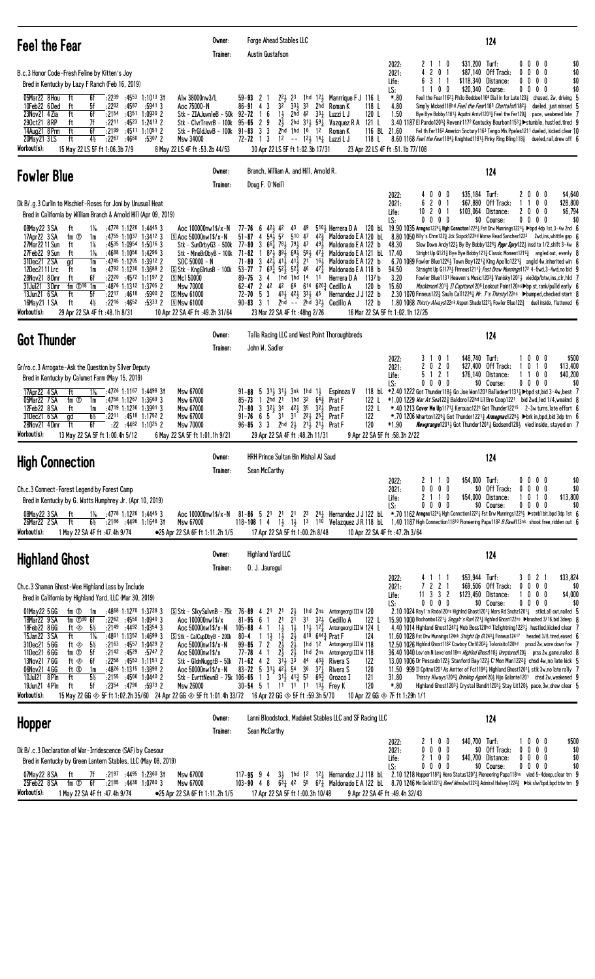| Fee1 the Fear                                                                                                                                                                                                                                                                                                                                                                                                                                                                                                                                                                                                                                                                                                                                                                                                                                                                                   | Owner:<br>Trainer:                                                                                                                                                                                                                                           | Forge Ahead Stables LLC<br>Austin Gustafson                                                                                                                                                                                                                                                                                                                                                                                                                                                                                                                                                                                                                                                                                                  |                                                                                                                                                                                                                                                                                                                                             | 124                                                                                                                                                                                                                                                                                                                                                                                                                                                                                                                                                                                                                                                                                                                                                                                                                                                                                                                                                                                                                                                                                                                                                                                                                                                    |
|-------------------------------------------------------------------------------------------------------------------------------------------------------------------------------------------------------------------------------------------------------------------------------------------------------------------------------------------------------------------------------------------------------------------------------------------------------------------------------------------------------------------------------------------------------------------------------------------------------------------------------------------------------------------------------------------------------------------------------------------------------------------------------------------------------------------------------------------------------------------------------------------------|--------------------------------------------------------------------------------------------------------------------------------------------------------------------------------------------------------------------------------------------------------------|----------------------------------------------------------------------------------------------------------------------------------------------------------------------------------------------------------------------------------------------------------------------------------------------------------------------------------------------------------------------------------------------------------------------------------------------------------------------------------------------------------------------------------------------------------------------------------------------------------------------------------------------------------------------------------------------------------------------------------------------|---------------------------------------------------------------------------------------------------------------------------------------------------------------------------------------------------------------------------------------------------------------------------------------------------------------------------------------------|--------------------------------------------------------------------------------------------------------------------------------------------------------------------------------------------------------------------------------------------------------------------------------------------------------------------------------------------------------------------------------------------------------------------------------------------------------------------------------------------------------------------------------------------------------------------------------------------------------------------------------------------------------------------------------------------------------------------------------------------------------------------------------------------------------------------------------------------------------------------------------------------------------------------------------------------------------------------------------------------------------------------------------------------------------------------------------------------------------------------------------------------------------------------------------------------------------------------------------------------------------|
| B.c.3 Honor Code-Fresh Feline by Kitten's Joy<br>Bred in Kentucky by Lazy F Ranch (Feb 16, 2019)<br>05Mar22 8Hou ft<br>$:22^{39}$ $:45^{53}$ 1:1013 31<br>6f<br>:5941 3<br>10Feb22 6Ded<br>ft<br>5f<br>:2202<br>:4587<br>ft<br>6f<br>23Nov21 4 Zia<br>$:2154$ $:4351$ $1:0930$ 2<br>ft<br>290ct21 8RP<br>7f<br>$:22^{11}$ $:45^{23}$ 1:2413 2<br>$:2199$ $:4511$ $1:1051$ 2<br>14Aug21 8Prm<br>ft<br>6f<br>20May 21 3 LS<br>ft<br>$4\frac{1}{2}$<br>$:5307$ 2<br>:2267<br>:4660<br>Workout(s):<br>15 May 22 LS 5F ft 1:06.3b 7/9                                                                                                                                                                                                                                                                                                                                                                | Alw 38000nw3/L<br>Aoc 75000-N<br>Stk - ZIAJuvnleB - 50k<br>Stk - ClvrTrevrB - 100k<br>Stk - PrGldJuvB - 100k<br>Msw 34000<br>8 May 22 LS 4F ft : 53.2b 44/53                                                                                                 | $2^{2}$<br>23<br>59-93<br>-2<br>$33\frac{1}{2}$ 33<br>3<br>32<br>86-91<br>2hd<br>$\frac{4}{3}$<br>16<br>$1\frac{1}{2}$<br>2hd 42 $33\frac{1}{4}$<br>$92 - 72$<br>$2\frac{1}{2}$<br>29<br>$95 - 65$<br>$\mathbf{3}$<br>3<br>$91 - 83$<br>2hd 1hd 16 12<br>$72 - 72$ 1 3<br>$1^2$ -- $1^2\frac{1}{2}$ $1^4\frac{1}{4}$ Luzzi L J<br>30 Apr 22 LS 5F ft 1:02.3b 17/31                                                                                                                                                                                                                                                                                                                                                                           | 2022:<br>2021:<br>Life:<br>LS:<br>1hd $12\frac{1}{2}$ Manrrique F J 116 L<br>$*.80$<br>118 L<br>4.80<br>Roman K<br>120 L<br>1.50<br>Luzzi L J<br>2hd $3^{11}$ , $5^{9}$ , Vazquez R A 121 L<br>Roman K<br>116 BL<br>21.60<br>118 L<br>23 Apr 22 LS 4F ft :51.1b 77/108                                                                      | \$31,200 Turf:<br>00<br>00<br>\$0<br>10<br>$\overline{c}$<br>0<br>\$87,140<br>Off Track:<br>$0\quad 0$<br>\$0<br>0<br>$^{\circ}$<br>3 1 1<br>\$118,340 Distance:<br>$0\quad 0$<br>\$0<br>0<br>0<br>6<br>\$0<br>\$20,340 Course:<br>$0\quad 0$<br>0<br>0<br>0<br>0<br>Feel the Fear11621 Philo Beddoe1164 Dial in for Lute1233 chased, 2w, driving 5<br>Simply Wicked118hd Feel the Fear1183 Chattalot11821<br>dueled, just missed :<br>Bye Bye Bobby 1181 $\frac{1}{2}$ Aquitni Arriv11201 $\frac{3}{4}$ Feel the Fer120 $\frac{3}{4}$ pace, weakened late 7<br>3.40 1187 El Pando12033 Revenir1172 Kentucky Bourbon11531 > stumble, hustled, tired 9<br>Fel th Fer1162 Americn Snctury 1163 Tengo Mis Ppeles 1211 dueled, kicked clear 10<br>$8.60$ 1168 Feel the Fear 1844 Knighted 11814 Pinky Ring Bling 118 $\frac{3}{4}$<br>dueled,rail, drew off 6                                                                                                                                                                                                                                                                                                                                                                                              |
| Fowler Blue                                                                                                                                                                                                                                                                                                                                                                                                                                                                                                                                                                                                                                                                                                                                                                                                                                                                                     | Owner:<br>Trainer:                                                                                                                                                                                                                                           | Branch, William A. and Hill, Arnold R.<br>Doug F. O'Neill                                                                                                                                                                                                                                                                                                                                                                                                                                                                                                                                                                                                                                                                                    |                                                                                                                                                                                                                                                                                                                                             | 124                                                                                                                                                                                                                                                                                                                                                                                                                                                                                                                                                                                                                                                                                                                                                                                                                                                                                                                                                                                                                                                                                                                                                                                                                                                    |
| Dk B/.g.3 Curlin to Mischief-Roses for Joni by Unusual Heat<br>Bred in California by William Branch & Arnold Hill (Apr 09, 2019)<br>08May22 3 SA<br>$:4778$ 1:1226 1:4445 3<br>ft<br>$1\%$<br>fm ①<br>:4755 1:1037 1:3412 3<br>17Apr22 3 SA<br>1m<br>27Mar22 11 Sun<br>1%<br>$:4535$ 1:0954 1:5016 3<br>ft<br>27Feb22 9 Sun<br>ft<br>$1\%$<br>$:4688$ 1:1056 1:4296 3<br>31Dec21 2 SA<br>gd<br>1m<br>$:4745$ 1:1205 1:3912 2<br>12Dec2111 Lrc<br>ft<br>:4792 1:1230<br>$1:3688$ 2<br>1m<br>28Nov21 8Dmr<br>ft<br>6f<br>$:22^{20}$ $:45^{72}$ 1:1197 2<br>31Jul21 3Dmr<br>fm $\mathbb{O}^{18}$ 1m<br>$:4876$ 1:1312 1:3705 2<br>:2217 :4618<br>:59002<br>13Jun21 6 SA<br>ft<br>5f<br>4%<br>16May21 1 SA<br>ft<br>$:22^{16}$ :4652<br>$:5333$ 2<br>Workout(s):<br>29 Apr 22 SA 4F ft :48.1h 8/31                                                                                                  | Aoc 100000nw1\$/x-N<br>③Aoc 50000nw1\$/x-N<br>Stk - SunDrbyG3 - 500k<br>Stk - MineBrDbyB - 100k<br>$SOC 50000 - N$<br>$\boxed{5}$ Stk - Kng Glrius B - 100k<br>SMc150000<br>Msw 70000<br><b>SMsw 61000</b><br>SMsw 61000<br>10 Apr 22 SA 4F ft : 49.2h 31/64 | 6 42 42<br>49<br>77-76<br>43<br>$51 - 87$<br>57<br>$42\frac{3}{7}$<br>541<br>510 47<br>4<br>$49\frac{1}{2}$<br>3<br>$66\overline{4}$ 781<br>$77 - 80$<br>$79\frac{1}{2}$ 47<br>$89\frac{1}{2}$<br>$69\frac{1}{2}$ 591 47 $\frac{1}{4}$<br>$71 - 82$<br>$87\frac{1}{2}$<br>$3\;\;42\bar{3}\;\;41\bar{3}$<br>$41\frac{1}{2}$ $21$ $16\frac{1}{2}$<br>71-80<br>$63\overline{1}$ 52 $\overline{1}$<br>$5^{2}$<br>46<br>471<br>7<br>$53 - 77$<br>3 <sub>4</sub><br>1hd 14<br>89-75<br>1hd<br>11<br>$62 - 47$ 2 $42$ $42$<br>$66$ $614$ $620\frac{3}{4}$ Cedillo A<br>5 <sub>3</sub><br>$43\frac{1}{2}$ $42\frac{1}{2}$ $33\frac{1}{2}$ $45$<br>72-70<br>3 1<br>90-83<br>2hd $-$ 2hd $32\frac{1}{2}$ Cedillo A<br>23 Mar 22 SA 4F ft: 48hg 2/26    | 2022:<br>2021:<br>Life:<br>LS:<br>510½ Herrera D A<br>120 bL<br>Maldonado E A 120 bL<br>48.30<br>Maldonado E A 122 b<br>17.40<br>Maldonado E A 121 bL<br>Maldonado E A 122 b<br>Maldonado E A 118 b<br>94.50<br>Herrera D A 1137 b<br>3.20<br>120 <sub>b</sub><br>15.60<br>Hernandez J J 122 b<br>122 b<br>16 Mar 22 SA 5F ft 1:02.1h 12/25 | \$35,184 Turf:<br>0 <sub>0</sub><br>20<br>$0\quad 0$<br>\$4,640<br>40<br>2 0 1<br>\$67,880 Off Track:<br>$0\quad0$<br>\$28,800<br>6<br>1<br>-1<br>0 <sub>1</sub><br>\$103,064<br>Distance:<br>20<br>$0\quad 0$<br>\$6,794<br>10<br>$\mathbf{2}$<br>$0\,0\,0\,0$<br>$0\,0\,0\,0$<br>\$0<br>\$0 Course:<br>19.90 1035 Armgnc12241 Hgh Conncton12221 Fst Drw Munnings12231 >bpd 4dp 1st, 3-4w 2nd 6<br>8.80 1050 Blly's Chrm1223 Jck Sixpck122hd Worse Read Sanchez122 <sup>2</sup> 2wd, ins, whittle gap 6<br>Slow Down Andy1221 By By Bobby12281 Pppr Spry1221 insd to 1/2, shift 3-4w 8<br>Stright Up G121 <sup>3</sup> Bye Bye Bobby 121 <sup>3</sup> Classic Moment 121 <sup>53</sup> angled out, evenly {<br>6.70 1089 Fowler Blue12261 Town Boy12213 King Apollo12213 angld 4w, inherited win 6<br>Straight Up G11733 Finneus12113 Fast Draw Munnings1172 4-5wd, 3-4wd, no bid 9<br>Fowler Blue1131 Heaven's Music12033 Vanisky12011 vie3dp/btw.ins.clr.hld 7<br>Mackinnon12013 <i>Il Capitano</i> 120 <sup>6</sup> Lookout Point120ns bp st, rank/pulld early 6<br>2.30 1070 Finneus122} Sauls Call1224} Mr. T's Thirsty122ns ▶bumped, checked start 8<br>1.80 1068 Thirsty Always122nk Aspen Shade12221 Fowler Blue1223 duel inside, flattened 6 |
| Got Thunder                                                                                                                                                                                                                                                                                                                                                                                                                                                                                                                                                                                                                                                                                                                                                                                                                                                                                     | Owner:<br>Trainer:                                                                                                                                                                                                                                           | Talla Racing LLC and West Point Thoroughbreds<br>John W. Sadler                                                                                                                                                                                                                                                                                                                                                                                                                                                                                                                                                                                                                                                                              |                                                                                                                                                                                                                                                                                                                                             | 124                                                                                                                                                                                                                                                                                                                                                                                                                                                                                                                                                                                                                                                                                                                                                                                                                                                                                                                                                                                                                                                                                                                                                                                                                                                    |
| Gr/ro.c.3 Arrogate-Ask the Question by Silver Deputy<br>Bred in Kentucky by Calumet Farm (May 15, 2019)<br>17Apr22 4 SA<br>ft<br>1‰<br>:4726 1:1167 1:4498 31<br>05Mar22 7 SA<br>fm ①<br>$:4758$ 1:1267 1:3669 3<br>1m<br>12Feb22 8 SA<br>ft<br>$:4719$ 1:1236 1:3901 3<br>1m<br>31Dec21 6 SA<br>gd<br>6½<br>$:22^{11}$ $:45^{18}$ 1:1752 2<br>28Nov21 4Dmr<br>ft<br>6f<br>: 22 : 4482 1:1025 2<br>Workout(s):<br>13 May 22 SA 5F ft 1:00.4h 5/12                                                                                                                                                                                                                                                                                                                                                                                                                                               | Msw 67000<br>Msw 67000<br>Msw 67000<br>Msw 67000<br><b>Msw 70000</b><br>6 May 22 SA 5F ft 1:01.1h 9/21                                                                                                                                                       | 31 <sub>2</sub> 31 <sub>2</sub> 3nk 1hd 1 <sub>3</sub><br>$91 - 88 = 5$<br>$85 - 73$<br>$\overline{1}$<br>2hd 21 1hd 32<br>643<br>3 32 <sup>1</sup> / <sub>2</sub> 34 42 <sup>1</sup> / <sub>2</sub> 35 32 <sup>1</sup> / <sub>2</sub> Prat F<br>$71 - 80$<br>6 5 31 31 22 3 $25\frac{1}{4}$ Prat F<br>$91 - 76$<br>96-85 3 3 2hd $2\frac{1}{2}$ $2^{1}\frac{1}{2}$ $2^{1}\frac{1}{2}$ Prat F<br>29 Apr 22 SA 4F ft : 48.2h 11/31                                                                                                                                                                                                                                                                                                            | 2022:<br>2021:<br>Life:<br>LS:<br>Espinoza V<br>118 bL<br>Prat F<br>122 L<br>122 L<br>122<br>120<br>*1.90<br>9 Apr 22 SA 5F ft :58.3h 2/22                                                                                                                                                                                                  | \$48,740 Turf:<br>0 <sub>1</sub><br>0<br>$0\quad 0$<br>\$500<br>2020<br>\$27,400<br>Off Track:<br>0 1 0<br>\$13,400<br>2 <sub>1</sub><br>\$76,140<br>Distance:<br>0 <sub>0</sub><br>\$40,200<br>1 1<br>5<br>$0\ 0\ 0\ 0$<br>\$0 Course:<br>$0\,0\,0\,0$<br>\$0<br>*2.40 1222 Got Thunder1183 Go Joe Won1201 Balladeer1131 >bpd st, bid 3-4w, best 7<br>*1.00 1229 <i>War At Sea</i> 1223 Baldoro122hd Lil Bro Coop1221 bid 2wd, led 1/4, weaknd 8<br>$*$ .40 1213 Cover Me Up11713 Kerouac1221 Got Thunder12215 2-3w turns, late effort 6<br>*.70 1206 Wharton12251 Got Thunder12213 Armagnac12251 > brk in, bpd, bid 3dp trn 6<br><b>Newgrange</b> 1201 <sub>3</sub> Got Thunder1201 <sub>3</sub> Godsend120 <sub>3</sub> vied inside, stayed on 7                                                                                                                                                                                                                                                                                                                                                                                                                                                                                                    |
| High Connection                                                                                                                                                                                                                                                                                                                                                                                                                                                                                                                                                                                                                                                                                                                                                                                                                                                                                 | Owner:<br>Trainer:                                                                                                                                                                                                                                           | HRH Prince Sultan Bin Mishal Al Saud<br>Sean McCarthy                                                                                                                                                                                                                                                                                                                                                                                                                                                                                                                                                                                                                                                                                        |                                                                                                                                                                                                                                                                                                                                             | 124                                                                                                                                                                                                                                                                                                                                                                                                                                                                                                                                                                                                                                                                                                                                                                                                                                                                                                                                                                                                                                                                                                                                                                                                                                                    |
| Ch.c.3 Connect-Forest Legend by Forest Camp<br>Bred in Kentucky by G. Watts Humphrey Jr. (Apr 10, 2019)<br>08May22 3 SA<br>$1\frac{1}{6}$ :4778 1:1226 1:4445 3<br>ft<br>26Mar22 2 SA<br>6½<br>:2186 :4496 1:1648 31<br>ft<br>Workout(s):<br>1 May 22 SA 4F ft : 47.4h 9/74                                                                                                                                                                                                                                                                                                                                                                                                                                                                                                                                                                                                                     | Msw 67000<br>●25 Apr 22 SA 6F ft 1:11.2h 1/5                                                                                                                                                                                                                 | $118 - 108$ 1 4<br>17 Apr 22 SA 5F ft 1:00.2h 8/48                                                                                                                                                                                                                                                                                                                                                                                                                                                                                                                                                                                                                                                                                           | 2022:<br>2021:<br>Life:<br>LS:<br>10 Apr 22 SA 4F ft :47.2h 3/64                                                                                                                                                                                                                                                                            | \$54,000 Turf:<br>$0\quad 0$<br>\$0<br>$1\quad0$<br>00<br>- 1<br>\$0 Off Track:<br>$0\quad0$<br>$0\ 0\ 0\ 0$<br>\$0<br>0<br>$\mathbf 0$<br>Distance:<br>-1<br>\$13,800<br>2<br>110<br>\$54,000<br>0<br>$1\quad0$<br>00<br>0 <sub>0</sub><br>\$0 Course:<br>$0\quad0$<br>\$0<br>00<br>Aoc 100000nw1\$/x-N 81-86 5 21 21 23 241 Hernandez J J 122 bL *.70 1162 Amanc12241 Hgh Connction12221 Fst Drw Munnings12231 > stmbl bit,bpd 3dp 1st 6<br>$1\frac{1}{2}$ $1\frac{1}{2}$ 13 110 Velazquez J R 118 bL 1.40 1187 High Connection11810 Pioneering Papa1182 <i>B Dawk</i> 113nk shook free, ridden out 6                                                                                                                                                                                                                                                                                                                                                                                                                                                                                                                                                                                                                                                |
| Highland Ghost                                                                                                                                                                                                                                                                                                                                                                                                                                                                                                                                                                                                                                                                                                                                                                                                                                                                                  | Owner:<br>Trainer:                                                                                                                                                                                                                                           | Highland Yard LLC<br>0. J. Jauregui                                                                                                                                                                                                                                                                                                                                                                                                                                                                                                                                                                                                                                                                                                          |                                                                                                                                                                                                                                                                                                                                             | 124                                                                                                                                                                                                                                                                                                                                                                                                                                                                                                                                                                                                                                                                                                                                                                                                                                                                                                                                                                                                                                                                                                                                                                                                                                                    |
| Ch.c.3 Shaman Ghost-Wee Highland Lass by Include<br>Bred in California by Highland Yard, LLC (Mar 30, 2019)<br>$01$ May 22 $5$ GG<br>fm ①<br>$:4868$ 1:1270 1:3728 3<br>1m<br>$:22^{62}$ $:45^{50}$ 1:0940 3<br>18Mar22 9 SA<br>fm $\mathbb{D}^{30}$ 6f<br>18Feb22 8 GG<br>5½<br>$:2149$ $:4492$ $1:0354$ 3<br>ft ⊗<br>15Jan22 3 SA<br>ft<br>$1\%$<br>:4801 1:1352 1:4699 3<br>5%<br>31Dec21 5 GG<br>ft $\otimes$<br>$:21^{63}$ $:45^{57}$ 1:0429 2<br>fm <sup>①</sup><br>5f<br>$:5747$ 2<br>11Dec21 6 GG<br>:2142:4529<br>6f<br>13Nov21 7 GG<br>ft ◈<br>$:22^{58}$ $:45^{53}$ 1:1151 2<br>ft Ø<br>06Nov21 4 GG<br>:4826 1:1315 1:3898 2<br>1m<br>$5\%$<br>10Jul21 8 Pln<br>ft<br>$:2155$ $:4566$ $1:0440$ 2<br>5f<br>$:2354$ $:4790$ $:5973$ 2<br>19Jun21 4 Pln<br>ft<br>Workout(s):<br>15 May 22 GG ◈ 5F ft 1:02.2h 35/60 24 Apr 22 GG ◈ 5F ft 1:01.4h 33/72 16 Apr 22 GG ◈ 5F ft :59.3h 5/70 | S Stk - SikySulvnB - 75k<br>Aoc 100000nw1\$/x<br>Aoc 50000nw1\$/x-N<br>$\boxed{\text{S}}$ Stk - CalCupDbyB - 200k<br>Aoc 50000nw1\$/x-N<br>Aoc 50000nw1\$/x<br>Stk - GldnNuggtB - 50k<br>Aoc 50000nw1\$/x-N<br>Stk - EvrttNevnB - 75k 106-65<br>Msw 26000    | 76-89<br>2 <sup>1</sup><br>2}<br>2 <sup>1</sup><br>4<br>321<br>6<br>21<br>21<br>3 <sup>1</sup><br>81-95<br>$1\frac{1}{2}$<br>$1\frac{1}{2}$<br>105-88<br>41<br>80-4<br>$1\frac{1}{2}$<br>$2\frac{1}{2}$<br>410 $644\frac{3}{4}$ Prat F<br>$1\frac{1}{2}$<br>$2\overline{2}$<br>7 <sub>2</sub><br>$2\frac{1}{2}$<br>99-85<br>1hd 12<br>$77 - 78$<br>$2\frac{1}{2}$<br>$3\frac{1}{3}$<br>$2\frac{1}{2}$<br>33<br>$\overline{1}$<br>4<br>4 <sub>2</sub><br>71-62<br>$4^4$ $4^3$<br>83-72 5 3 <sup>1</sup> / <sub>2</sub> 4 <sup>2</sup> / <sub>2</sub> 5 <sup>4</sup> 3 <sup>6</sup> 3 <sup>7</sup> / <sub>4</sub> Rivera S<br>$1 \t3 \t3^{11} \t4^{12} \t5^{3}$<br>663<br>$30 - 54$ 5 1 1 <sup>1</sup> 1 <sup>1</sup> 11 1 <sup>3</sup> Frey K | 2022:<br>2021:<br>Life:<br>LS:<br>1hd 2ns Antongeorgi III W 120<br>Cedillo A<br>122 L<br>$11\frac{1}{2}$ 12 $\frac{1}{4}$ Antongeorgi III W 124 L<br>124<br>Antongeorgi III W 118<br>1hd 2ns Antongeorgi III W 118<br>122<br>Rivera S<br>120<br>121<br>Orozco I<br>31.80<br>120<br>$*.80$<br>10 Apr 22 GG $\otimes$ 7F ft 1:29h 1/1         | \$53,944 Turf:<br>3021<br>\$33,824<br>1 <sub>1</sub><br>7221<br>\$69,506 Off Track:<br>$0\,0\,0\,0$<br>\$0<br>11 3 3 2<br>\$123,450 Distance:<br>$0\ 0\ 0$<br>\$4,000<br>-1<br>$0\,0\,0\,0$<br>\$0 Course:<br>$0\,0\,0\,0$<br>\$0<br>2.10 1024 Roy1 'n Rndo120ns Highlnd Ghost12011 Wors Rd Snchz12011 stlkd, all out, nailed 5<br>15.90 1000 Bochombo1221 3 Smgglr's Run1221 }Hghlnd Ghost122ns >brushed 3/16, bid 3deep 8<br>4.40 1014 Highland Ghost12421 Mob Boss120hd Tizlightning12231 hustled, kicked clear 7<br>11.60 1028 Fst Drw Munnings124nk Stright Up G12431 Finneus12417 headed 3/8, tired, eased 6<br>12.50 1026 Highlnd Ghost118 <sup>2</sup> Cowboy Chrli120 <sup>2</sup> & Tolonisito120hd<br>prssd 2w, wore down foe<br>36.40 1040 Lov'em N Leve'em118ns Highlnd Ghost118} Unrptured120} prss 2w, game, nailed 8<br>13.00 1006 Dr Pescado1223 Stanford Bay1223 C'Mon Man1222 $\frac{3}{4}$ chsd 4w, no late kick 5<br>11.50 999 Il Cpitno1201 As Amtter of Fct11961 Highland Ghost12011 stlk 3w, no late rally 7<br>Thirsty Always12043 Drinking Again1203 Hijo Galante1201 chsd 2w, weakened 9<br>Highland Ghost12033 Crystal Bandit12031 Stay Lit1203 pace, 3w, drew clear 5                                                     |
| Hopper                                                                                                                                                                                                                                                                                                                                                                                                                                                                                                                                                                                                                                                                                                                                                                                                                                                                                          | Owner:<br>Trainer:                                                                                                                                                                                                                                           | Lanni Bloodstock, Madaket Stables LLC and SF Racing LLC<br>Sean McCarthy                                                                                                                                                                                                                                                                                                                                                                                                                                                                                                                                                                                                                                                                     |                                                                                                                                                                                                                                                                                                                                             | 124                                                                                                                                                                                                                                                                                                                                                                                                                                                                                                                                                                                                                                                                                                                                                                                                                                                                                                                                                                                                                                                                                                                                                                                                                                                    |
| Dk B/.c.3 Declaration of War-Irridescence (SAF) by Caesour<br>Bred in Kentucky by Green Lantern Stables, LLC (May 08, 2019)<br>:2197 :4495 1:2360 31<br>07May22 8 SA<br>7f<br>ft<br>25Feb22 8 SA<br>fm $\overline{0}$<br>6f<br>$:21^{85}$ $:44^{38}$ 1:0780 3<br>Workout(s):<br>1 May 22 SA 4F ft : 47.4h 9/74                                                                                                                                                                                                                                                                                                                                                                                                                                                                                                                                                                                  | Msw 67000<br>Msw 67000<br>•25 Apr 22 SA 6F ft 1:11.2h 1/5                                                                                                                                                                                                    | $3\frac{1}{2}$<br>$117 - 95$ 9 4<br>17 Apr 22 SA 5F ft 1:00.3h 10/48                                                                                                                                                                                                                                                                                                                                                                                                                                                                                                                                                                                                                                                                         | 2022:<br>2021:<br>Life:<br>LS:<br>9 Apr 22 SA 4F ft: 49.4h 32/43                                                                                                                                                                                                                                                                            | \$40,700 Turf:<br>\$500<br>0 <sub>0</sub><br>$0\quad 0$<br>2<br>10<br>\$0 Off Track:<br>$0\,0\,0\,0$<br>0000<br>\$0<br>0 <sub>0</sub><br>\$40,700 Distance:<br>$0\ 0\ 0$<br>\$0<br>2<br>0<br>$\overline{1}$<br>$0\quad 0$<br>\$0 Course:<br>$0\,0\,0\,0$<br>\$0<br>00<br>1hd $1^2$ $1^2$ Hernandez J J 118 bl 2.10 1218 Hopper118 <sup>2</sup> $_4$ Hero Status120 <sup>7</sup> $_2$ Pioneering Papa118 <sup>ns</sup> vied 5-4deep, clear trn 9<br>103-90 4 8 631 42 55 671 Maldonado E A 122 bL 8.70 1246 Mo Gold12211 Beef Minslow12223 Admiral Halsey12223 >blxslw/bpd.bpd btw trn 9                                                                                                                                                                                                                                                                                                                                                                                                                                                                                                                                                                                                                                                                |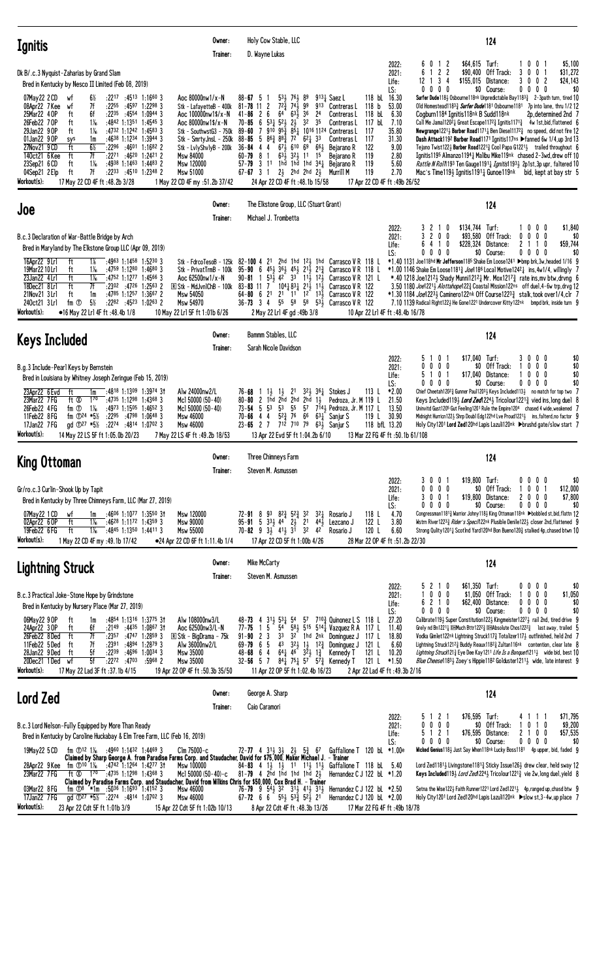| <b>Ignitis</b>                                                                                                                                                                                                                                                                                                                                                                                                                                                                                                                                                                                                   | Owner:<br>Trainer:                                                                                                                                                                                                                                                                         | Holy Cow Stable, LLC<br>D. Wayne Lukas                                                                                                                                                                                                                                                                                                                                                                                                                                                                                                                                                                                                                                                                                                     |                                                                                                                                                                                                                                                                                                                                                           | 124                                                                                                                                                                                                                                                                                                                                                                                                                                                                                                                                                                                                                                                                                                                                                                                                                                                                                                        |
|------------------------------------------------------------------------------------------------------------------------------------------------------------------------------------------------------------------------------------------------------------------------------------------------------------------------------------------------------------------------------------------------------------------------------------------------------------------------------------------------------------------------------------------------------------------------------------------------------------------|--------------------------------------------------------------------------------------------------------------------------------------------------------------------------------------------------------------------------------------------------------------------------------------------|--------------------------------------------------------------------------------------------------------------------------------------------------------------------------------------------------------------------------------------------------------------------------------------------------------------------------------------------------------------------------------------------------------------------------------------------------------------------------------------------------------------------------------------------------------------------------------------------------------------------------------------------------------------------------------------------------------------------------------------------|-----------------------------------------------------------------------------------------------------------------------------------------------------------------------------------------------------------------------------------------------------------------------------------------------------------------------------------------------------------|------------------------------------------------------------------------------------------------------------------------------------------------------------------------------------------------------------------------------------------------------------------------------------------------------------------------------------------------------------------------------------------------------------------------------------------------------------------------------------------------------------------------------------------------------------------------------------------------------------------------------------------------------------------------------------------------------------------------------------------------------------------------------------------------------------------------------------------------------------------------------------------------------------|
| Dk B/.c.3 Nyguist-Zaharias by Grand Slam<br>Bred in Kentucky by Nesco II Limited (Feb 08, 2019)                                                                                                                                                                                                                                                                                                                                                                                                                                                                                                                  |                                                                                                                                                                                                                                                                                            |                                                                                                                                                                                                                                                                                                                                                                                                                                                                                                                                                                                                                                                                                                                                            | 2022:<br>2021:<br>Life:<br>LS:                                                                                                                                                                                                                                                                                                                            | $$64.615$ Turf:<br>0<br>0<br>\$5,100<br>0<br>1 <sub>2</sub><br>6<br>$122$<br>\$31,272<br>6<br>Off Track:<br>0<br>\$90,400<br>3<br>0<br>3<br>Distance:<br>3<br>$\overline{\mathbf{c}}$<br>\$24,143<br>12<br>\$155,015<br>0<br>0<br>-1<br>-4<br>$0\,0\,0$<br>\$0<br>$0\,0\,0\,0$<br>\$0 Course:<br>0                                                                                                                                                                                                                                                                                                                                                                                                                                                                                                                                                                                                         |
| $:45^{13}$ 1:1660 3<br>07May22 2 CD<br>6½<br>:2217<br>wt<br>7f<br>:2255<br>:4597 1:2298 3<br>08Apr22 7 Kee<br>wf<br>25Mar22 4 OP<br>ft<br>6f<br>:2235<br>:4554 1:0944 3<br>26Feb22 70P<br>$1\%$<br>:4842 1:1351 1:4545 3<br>ft<br>:4732 1:1242 1:4583 3<br>29Jan22 9 OP<br>$1\%$<br>ft<br>01Jan22 9 OP<br>:4638 1:1234 1:3944 3<br>sys<br>1m<br>27Nov21 9 CD<br>ft<br>$6\%$<br>:2296 :4601 1:1682 2<br>7f<br>ft<br>:2271:4620<br>140ct21 6 Kee<br>23Sep21 6 CD<br>ft<br>$1\%$<br>$:4938$ 1:1463 1:4483 2<br>7f<br>04Sep21 2Elp<br>ft<br>:2233<br>:4510 1:2348 2<br>Workout(s):<br>17 May 22 CD 4F ft: 48.2b 3/28 | Aoc 80000nw1/x-N<br>Stk - LafayetteB - 400k<br>Aoc $100000 \text{nw} 1$ \$/x-N<br>Aoc 80000 $nw1$ \$/ $x - N$<br>Stk - SouthwstG3 - 750k<br>Stk – SmrtyJnsL – 250k<br>Stk - LvlyShvlyB - 200k<br>1:2421 2<br><b>Msw 84000</b><br>Msw 120000<br>Msw 51000<br>1 May 22 CD 4F my :51.2b 37/42 | $88 - 67$ 5<br>$53\frac{1}{2}$ 76 $\frac{1}{2}$ 89<br>-1<br>$81 - 78$ 11 2<br>$72\frac{3}{4}$ $74\frac{1}{2}$<br>99<br>913<br>64<br>$63\overline{1}$<br>36<br>$41 - 86$<br>2 <sub>6</sub><br>2 <sup>4</sup><br>$53\frac{1}{4}$ $52\frac{1}{2}$ $2\frac{1}{2}$<br>32<br>35<br>$70 - 85$<br>6<br>$95\frac{3}{4}$ $85\frac{1}{4}$ 10 <sup>16</sup> 11 <sup>24</sup> Contreras L<br>910<br>$89 - 60$<br>7<br>$88 - 85$<br>5 $86\frac{3}{4}$ $88\frac{3}{4}$ 72<br>$62\frac{1}{4}33$<br>$67\frac{1}{2}$ 610 69 661<br>$36 - 84$ 4 4<br>$63\overline{3}$ 32 $\overline{3}$ 11<br>60-79<br>15<br>81<br>$57 - 79$ 3 11<br>1hd 1hd 1hd $34\frac{1}{4}$<br>$67 - 67$ 3 1<br>$2\frac{1}{2}$ 2hd 2hd $2\frac{1}{2}$<br>24 Apr 22 CD 4F ft :48.1b 15/58 | 118 bL 16.30<br>$913\frac{1}{4}$ Saez L<br>118 <sub>b</sub><br>53.00<br>Contreras L<br>118 bL<br>6.30<br>Contreras L<br>117 bL<br>7.10<br>Contreras L<br>35.80<br>-117<br>31.30<br>117<br>Contreras L<br>122<br>9.00<br>Bejarano R<br>119<br>2.80<br>Bejarano R<br>119<br>5.60<br>Bejarano R<br>119<br>2.70<br>Murrill M<br>17 Apr 22 CD 4F ft: 49b 26/52 | Surfer Dude1184 Osbourne118nk Unpredictable Bay11833 2-3path turn, tired 10<br>Old Homestead1183 <sub>2</sub> Surfer Dude1181 Osbourne1181 7p into lane, thru 1/2 12<br>Cogburn1184 Ignitis118nk B Sudd118nk<br>2p, determined 2nd 7<br>Call Me Jama1120 <sup>21</sup> 4 Great Escape117 <sup>23</sup> 4 Ignitis117 <sup>13</sup> 4 4w 1st, bid, flattened 6<br><b>Newgrange</b> 12213 Barber Road1171 $\frac{1}{4}$ Ben Diese11172 $\frac{3}{4}$ no speed, did not fire 12<br>Dash Attack1192 Barber Road1171 Ignitis117ns ▶ fanned 6w 1/4,up 3rd 13<br>Tejano Twist122 $\frac{1}{2}$ Barber Road1221 $\frac{3}{4}$ Cool Papa G1221 $\frac{1}{2}$ trailed throughout 6<br>Ignitis1195 Almanzo1194 $\frac{1}{4}$ Malibu Mike119nk chased 2-3 wd, drew off 10<br>Rattle N Roll 193 Ten Gauge 11911 Ignitis 1931 2p1st, 3p upr, faltered 10<br>Mac's Time1193 Ignitis11911 Gunoe119nk bid, kept at bay str 5 |
| Joe                                                                                                                                                                                                                                                                                                                                                                                                                                                                                                                                                                                                              | Owner:<br>Trainer:                                                                                                                                                                                                                                                                         | The Elkstone Group, LLC (Stuart Grant)<br>Michael J. Trombetta                                                                                                                                                                                                                                                                                                                                                                                                                                                                                                                                                                                                                                                                             |                                                                                                                                                                                                                                                                                                                                                           | 124                                                                                                                                                                                                                                                                                                                                                                                                                                                                                                                                                                                                                                                                                                                                                                                                                                                                                                        |
| B.c.3 Declaration of War-Battle Bridge by Arch<br>Bred in Maryland by The Elkstone Group LLC (Apr 09, 2019)<br>16Apr22 9Lrl<br>ft<br>1%<br>$:4963$ 1:1458 1:5230 3<br>19Mar22 10 Lr1<br>ft<br>:4759 1:1280 1:4680 3<br>1‰<br>ft<br>$1\%$<br>$:4752$ 1:1277 1:4566 3<br>23Jan22 4 Lrl<br>18Dec21 8Lrl<br>ft<br>7f<br>:2302 :4726<br>21Nov21 3 Lrl<br>ft<br>$:4785$ 1:1257 1:3667 2<br>1m<br>$5\%$<br>240ct21 3 Lrl<br>$:22^{82}$ $:45^{23}$ 1:0263 2<br>fm ①<br>Workout(s):<br>•16 May 22 Lrl 4F ft :48.4b 1/8                                                                                                    | Stk - FdrcoTesoB - 125k<br>Stk - PrivatTrmB - 100k<br>Aoc 62500nw1/x-N<br>$1:2563$ 2<br>$\overline{R}$ Stk - MdJvnlChB - 100k<br>Msw 54050<br>Msw 54970<br>10 May 22 Lr1 5F ft 1:01b 6/26                                                                                                  | 2 <sup>1</sup><br>82-100 4<br>95-90 6 45 $\frac{1}{2}$ 36 $\frac{1}{2}$ 45 $\frac{1}{2}$ 21 $\frac{1}{2}$ 21 $\frac{3}{4}$<br>$53\frac{1}{2}$ 4 <sup>2</sup> 3 <sup>3</sup> 11 <sup>1</sup> / <sub>2</sub> 1 <sup>2</sup> / <sub>3</sub><br>$90 - 81$<br>$104\frac{1}{2}83\frac{1}{2}21\frac{1}{2}11\frac{1}{2}$<br>$83 - 83$ 11 7<br>64-80<br>- 6<br>2 <sup>1</sup><br>2 <sup>1</sup><br>$11 \quad 12 \quad 13\frac{1}{2}$<br>$36 - 73$ 3 4<br>55<br>58<br>2 May 22 Lr1 4F gd: 49b 3/8                                                                                                                                                                                                                                                    | 2022:<br>2021:<br>Life:<br>LS:<br>2hd 1hd 123 1hd Carrasco VR 118 L<br>Carrasco V R 118 L<br>Carrasco V R 121 L<br>Carrasco VR 122<br>Carrasco V R 122<br>58 53 $\frac{1}{2}$ Carrasco V R 122<br>10 Apr 22 Lr1 4F ft: 48.4b 16/78                                                                                                                        | \$134,744<br>Turf:<br>0 <sub>0</sub><br>\$1,840<br>-2<br>0<br>0<br>-1<br>3 2 0 0<br>\$93,580<br>Off Track:<br>$0\ 0\ 0$<br>0<br>\$0<br>2 <sub>1</sub><br>\$59,744<br>\$228,324<br>Distance:<br>6<br>4<br>-1<br>0<br>-1<br>0<br>$0\ 0\ 0$<br>\$0 Course:<br>\$0<br>0<br>0000<br>*1.40 1131 Joe118hd Mr Jefferson1185 Shake Em Loose1241 ▶bmp brk,3w,headed 1/16 9<br>$*1.00$ 1146 Shake Em Loose1181 $\frac{3}{4}$ Joe118 <sup>6</sup> Local Motive1242 $\frac{1}{4}$ ins, 4w1/4, willingly<br>*.40 1218 Joe12121 Shady Munni12121 Mr. Mox1217 $\frac{3}{4}$ rate ins, mv btw, drvng 6<br>3.50 1180 Joe12213 Alottahope1223 Coastal Mission122ns off duel, 4-6w trp, drvg 12<br>*1.30 1184 <i>Joe</i> 12234 Caminero122nk Off Course12233 stalk,took over1/4,clr 7<br>7.10 1139 Radical Right1223 He Gone1221 Undercover Kitty122nk bmpd brk, inside turn 9                                                 |
| <b>Keys Included</b>                                                                                                                                                                                                                                                                                                                                                                                                                                                                                                                                                                                             | Owner:<br>Trainer:                                                                                                                                                                                                                                                                         | Bammm Stables, LLC<br>Sarah Nicole Davidson                                                                                                                                                                                                                                                                                                                                                                                                                                                                                                                                                                                                                                                                                                |                                                                                                                                                                                                                                                                                                                                                           | 124                                                                                                                                                                                                                                                                                                                                                                                                                                                                                                                                                                                                                                                                                                                                                                                                                                                                                                        |
| B.g.3 Include-Pearl Keys by Bernstein<br>Bred in Louisiana by Whitney Joseph Zeringue (Feb 15, 2019)<br>23Apr22 6 Evd<br>:4818 1:1309 1:3974 3†<br>ft<br>1m<br>23Mar22 7 FG<br>ft Ø<br>170<br>$:4735$ 1:1298<br>$1\%$<br>26Feb22 4FG<br>$:4973$ 1:1505<br>fm ①<br>11Feb22 8FG<br>$:2295$ $:4798$ 1:0648 3<br>fm $\Phi$ <sup>24</sup> *5 <sup>1</sup> / <sub>2</sub><br>17Jan22 7 FG<br>ad $\Phi^{27}$ *5%<br>:2274 :4814 1:0702 3<br>Workout(s):<br>14 May 22 LS 5F ft 1:05.0b 20/23                                                                                                                             | Alw 24000nw2/L<br>$1:4368$ 3<br>Mcl 50000 (50-40)<br>1:46523<br>Mc1 50000 (50-40)<br><b>Msw 46000</b><br><b>Msw 46000</b><br>7 May 22 LS 4F ft: 49.2b 18/53                                                                                                                                | $1\frac{1}{2}$<br>$1\frac{1}{2}$<br>2 <sup>1</sup><br>76-68<br>1hd 2hd 2hd 2hd 1½<br>$80 - 80$<br>2<br>53<br>53 55<br>$73 - 54$ 5<br>$5^{2\frac{3}{4}}$ 76<br>4<br>66<br>70-66<br>4<br>$23 - 65$ 2 7 712 710 79<br>13 Apr 22 Evd 5F ft 1:04.2b 6/10                                                                                                                                                                                                                                                                                                                                                                                                                                                                                        | 2022:<br>2021:<br>Life:<br>LS:<br>$32$ $\frac{1}{2}$ 36 $\frac{1}{4}$ Stokes J<br>113L<br>*2.00<br>Pedroza, Jr. M 119 L<br>21.50<br>57 7 <sup>14</sup> Pedroza, Jr. M 117 L<br>13.50<br>$63\frac{1}{4}$ Sanjur S<br>30.90<br>119 L<br>118 bfL 13.20<br>$63\frac{1}{2}$ Sanjur S<br>13 Mar 22 FG 4F ft :50.1b 61/108                                       | 0 <sub>1</sub><br>$$17.040$ Turf:<br>00<br>\$0<br>51<br>3<br>$\bf{0}$<br>0<br>$0\,0\,0$<br>\$0<br>Off Track:<br>0 <sub>0</sub><br>\$0<br>$\mathbf{0}$<br>0 <sub>1</sub><br>0 <sub>0</sub><br>\$0<br>51<br>\$17,040 Distance:<br>0<br>\$0<br>$0\ 0\ 0$<br>\$0 Course:<br>$0\ 0\ 0$<br>0<br>0<br>Chief Cheetah1202 $\frac{3}{4}$ Gunner Paul1203 $\frac{1}{2}$ Keys Included113 $\frac{1}{2}$ no match for top two 7<br>Keys Included119½ Lord Zed1224½ Tricolour1221½ vied ins, long duel 8<br>Uninvitd Gust1205 Gut Feeling1201 Rule the Empire1204 chased 4 wide, weakened 7<br>Midnight Hurricn122 $\frac{1}{2}$ Shrp Doubl Edg122hd Lve Proud1221 $\frac{1}{2}$ ins, falterd, no factor 9<br>Holy City1201 Lord Zed120hd Lapis Lazuli120nk > brushd gate/slow start 7                                                                                                                                   |
| <b>King Ottoman</b>                                                                                                                                                                                                                                                                                                                                                                                                                                                                                                                                                                                              | Owner:<br>Trainer:                                                                                                                                                                                                                                                                         | Three Chimneys Farm<br>Steven M. Asmussen                                                                                                                                                                                                                                                                                                                                                                                                                                                                                                                                                                                                                                                                                                  |                                                                                                                                                                                                                                                                                                                                                           | 124                                                                                                                                                                                                                                                                                                                                                                                                                                                                                                                                                                                                                                                                                                                                                                                                                                                                                                        |
| Gr/ro.c.3 Curlin-Shook Up by Tapit<br>Bred in Kentucky by Three Chimneys Farm, LLC (Mar 27, 2019)<br>07May22 1 CD<br>$:4606$ 1:1077 1:3550 31<br>wf<br>1m<br>02Apr22 6 OP<br>ft<br>$1\%$<br>$:46^{28}$ 1:1172 1:4359 3<br>19Feb22 6FG<br>ft<br>$1\%$<br>$:4845$ 1:1350 1:4411 3<br>Workout(s):<br>1 May 22 CD 4F my :49.1b 17/42                                                                                                                                                                                                                                                                                 | Msw 120000<br><b>Msw 90000</b><br>Msw 55000<br>•24 Apr 22 CD 6F ft 1:11.4b 1/4                                                                                                                                                                                                             | 72-91 8 93 82 $\frac{3}{4}$ 52 $\frac{3}{4}$ 32<br>$3^{2}$<br>$95 - 91$ 5 $33\frac{1}{2}$ $44$ $2\frac{1}{2}$ 21<br>$44\frac{1}{2}$<br>70-82 9 3 <sup>1</sup> 4 <sup>1</sup> / <sub>2</sub> 3 <sup>1</sup> 3 <sup>2</sup> 4 <sup>2</sup><br>17 Apr 22 CD 5F ft 1:00b 4/26                                                                                                                                                                                                                                                                                                                                                                                                                                                                  | 2022:<br>2021:<br>Life:<br>LS:<br>118L<br>Rosario J<br>4.70<br>122 L<br>3.80<br>Lezcano J<br>120 L<br>6.60<br>Rosario J<br>28 Mar 22 OP 4F ft :51.2b 22/30                                                                                                                                                                                                | \$19,800 Turf:<br>\$0<br>3001<br>0<br>$0\,$ $0\,$ $0\,$<br>$0\quad 0\quad 0$<br>\$0 Off Track:<br>0 <sub>1</sub><br>\$12,000<br>0<br>0<br>3 0 0 1<br>\$19,800 Distance:<br>2000<br>\$7,800<br>0000<br>\$0 Course:<br>$0\ 0\ 0\ 0$<br>\$0<br>Congressman11813 Warrior Johny1183 King Ottoman118nk >bobbled st, bid, flattn 12<br>Wstrn River12233 Rider's Specil 22nk Plusible Denile1223 closer 2nd, flattened 9<br>Strong Qulity12011 Scotlnd Yard120hd Bon Bueno1203 stalked 4p, chased btwn 10                                                                                                                                                                                                                                                                                                                                                                                                          |
| <b>Lightning Struck</b>                                                                                                                                                                                                                                                                                                                                                                                                                                                                                                                                                                                          | Owner:<br>Trainer:                                                                                                                                                                                                                                                                         | Mike McCarty<br>Steven M. Asmussen                                                                                                                                                                                                                                                                                                                                                                                                                                                                                                                                                                                                                                                                                                         |                                                                                                                                                                                                                                                                                                                                                           | 124                                                                                                                                                                                                                                                                                                                                                                                                                                                                                                                                                                                                                                                                                                                                                                                                                                                                                                        |
| B.c.3 Practical Joke-Stone Hope by Grindstone<br>Bred in Kentucky by Nursery Place (Mar 27, 2019)<br>06May22 9 OP<br>:4854 1:1316 1:3775 31<br>ft<br>1m<br>6f<br>$:21^{49}$ $:44^{35}$ 1:0867 31<br>24Apr22 30P<br>ft<br>7f<br>26Feb22 8Ded<br>ft<br>: 2357 : 4747 1: 2859 3<br>11Feb22 5Ded<br>7f<br>ft<br>:2391<br>:4894 1:2879 3<br>28Jan22 9Ded<br>ft<br>5f<br>:2239<br>:4696 1:0034 3<br>5f<br>20Dec21 1Ded wf<br>:2272 :4703<br>Workout(s):<br>17 May 22 Lad 3F ft: 37.1b 4/15                                                                                                                             | Alw 108000nw3/L<br>Aoc 62500nw3/L-N<br>R Stk - BigDrama - 75k<br>Alw 36000nw2/L<br>Msw 35000<br>:5968 2<br>Msw 35000<br>19 Apr 22 OP 4F ft: 50.3b 35/50                                                                                                                                    | $31\frac{1}{2}$ 53 $\frac{1}{4}$ 54<br>48-73<br>4<br>54<br>15<br>77-75<br>3 <sup>3</sup><br>$91 - 90$ 2 3<br>32 1hd 2nk Dominguez J<br>43 $3^{2}\frac{1}{2}$ $1^{1}_{2}$ $1^{2}\frac{3}{4}$ Dominguez J<br>$69 - 79$ 6 5<br>$64\frac{1}{4}$ 4 <sup>6</sup> $3\overline{2}$ $\frac{1}{2}$ $1\overline{2}$<br>$48 - 68 = 64$<br>$84\frac{1}{4}$ 751 57 57 $\frac{3}{4}$ Kennedy T<br>$32 - 56$ 5 7<br>11 Apr 22 OP 5F ft 1:02.4b 16/23                                                                                                                                                                                                                                                                                                       | 2022:<br>2021:<br>Life:<br>LS:<br>$5^7$ $7^{10.3}_{4}$ Quinonez L S 118 L<br>27.20<br>$58\frac{1}{2}$ 515 514 $\frac{1}{4}$ Vazquez R A 117 L<br>11.40<br>18.80<br>117 L<br>121 L<br>6.60<br>121 L<br>10.20<br>Kennedy T<br>121 L $*1.50$<br>2 Apr 22 Lad 4F ft :49.3b 2/16                                                                               | \$61,350 Turf:<br>5 2 1 0<br>0 0 0 0<br>\$0<br>$0\ 0\ 0$<br>$$1,050$ Off Track:<br>0<br>$0\quad 0$<br>\$1,050<br>6 2 1 0<br>\$62,400 Distance:<br>0<br>$0\ 0\ 0$<br>\$0<br>\$0<br>$0\quad 0\quad 0$<br>\$0 Course:<br>$0\ 0\ 0\ 0$<br>0<br>Calibrate119 $\frac{1}{2}$ Super Constitution122 $\frac{1}{2}$ Kingmeister1227 $\frac{1}{2}$ rail 2nd, tired drive 9<br>Grely nd Bn1221 $\frac{1}{4}$ IDEMuch Bttr1222 $\frac{3}{4}$ IDEMAbsolute Chos1222 $\frac{3}{4}$ last away, trailed 5<br>Vodka Gimlet122nk Lightning Struck1173 Totalizer1173 outfinished, held 2nd 7<br>Lightning Struck1212 <sup>3</sup> Buddy Reaux1182 <sup>3</sup> Zultan116nk contention, clear late 8<br>Lightning Struck121 <sup>3</sup> Eye Dee Kay1211 Life Is a Banquet12113 wide bid, best 10<br><i>Blue Cheese</i> 1183 <sub>3</sub> Zoey's Hippie118 <sup>2</sup> Golduster1211 <sub>3</sub> wide, late interest 9        |
| <b>Lord Zed</b>                                                                                                                                                                                                                                                                                                                                                                                                                                                                                                                                                                                                  | Owner:                                                                                                                                                                                                                                                                                     | George A. Sharp                                                                                                                                                                                                                                                                                                                                                                                                                                                                                                                                                                                                                                                                                                                            |                                                                                                                                                                                                                                                                                                                                                           | 124                                                                                                                                                                                                                                                                                                                                                                                                                                                                                                                                                                                                                                                                                                                                                                                                                                                                                                        |
| B.c.3 Lord Nelson-Fully Equipped by More Than Ready<br>Bred in Kentucky by Caroline Huckabay & Elm Tree Farm, LLC (Feb 16, 2019)<br>19May22 5 CD<br>fm ①12 1‰ :4960 1:1432 1:4469 3<br>fm $\bigcirc$ 10 1% :4742 1:1264 1:4277 31<br>28Apr22 9 Kee<br>23Mar22 7 FG<br>ft $\infty$ 1 <sup>70</sup> :4735 1:1298 1:4368 3<br>03Mar22 8 FG<br>fm $\overline{O}$ 8 *1m :5036 1:1693 1:4152 3<br>gd $\overline{0}^{27}$ *5% :2274 :4814 1:0702 3<br>17Jan22 7 FG                                                                                                                                                      | Trainer:<br>$C$ lm 75000-c<br>Msw 100000<br>Mc1 50000 (50-40)-c<br>Msw 46000<br>Msw 46000                                                                                                                                                                                                  | Caio Caramori<br>$72 - 77$ 4 $31\frac{1}{2}$ $3\frac{1}{2}$ $2\frac{1}{2}$ $5\frac{3}{4}$ 67<br>Claimed by Sharp George A. from Paradise Farms Corp. and Staudacher, David for \$75,000, Maker Michael J. - Trainer<br>84-83 4 1 $\frac{1}{2}$ 1 $\frac{1}{2}$ 11 11 $\frac{1}{2}$ 11 $\frac{1}{2}$ Gaffalione T 118 bL 5.40<br>$81 - 79$ 4 2hd 1hd 1hd 1hd 2 $\frac{1}{2}$<br>Claimed by Paradise Farms Corp. and Staudacher, David from Wilkins Chris for \$50,000, Cox Brad H. - Trainer<br>76-79 9 54 32 31 41 31 Hernandez C J 122 bl *2.50<br>$67 - 72$ 6 6 $55\frac{1}{2}$ $53\frac{3}{4}$ $52\frac{1}{2}$ 21                                                                                                                       | 2022:<br>2021:<br>Life:<br>LS:<br>Gaffalione T 120 bL *1.00e<br>Hernandez C J 122 bL $*1.20$<br>Hernandez C J 120 bL $*2.00$                                                                                                                                                                                                                              | 5 1 2 1<br>\$76,595 Turf:<br>\$71,795<br>1 1<br>0 0 0 0<br>\$0 Off Track:<br>\$9,200<br>0<br>10<br>5 1 2 1<br>\$76,595 Distance:<br>2 <sub>1</sub><br>0 <sub>0</sub><br>\$57,535<br>0000<br>\$0 Course:<br>$0\,0\,0\,0$<br>\$0<br>Wicked Genius 1183 Just Say When 118nk Lucky Boss 1181 4p upper, bid, faded 9<br>Lord Zed11813 Livingstone1181 $\frac{3}{4}$ Sticky Issue1263 drew clear, held sway 12<br>Keys Included1193 Lord Zed12243 Tricolour12213 vie 2w, long duel, yield 8<br>Setna the Wise122} Faith Runner1221 Lord Zed1221} 4p, ranged up, chasd btw 9<br>Holy City1201 Lord Zed120hd Lapis Lazuli120nk >slow st, 3-4w, up place 7                                                                                                                                                                                                                                                          |
| Workout(s):<br>23 Apr 22 Cdt 5F ft 1:01b 3/9                                                                                                                                                                                                                                                                                                                                                                                                                                                                                                                                                                     | 15 Apr 22 Cdt 5F ft 1:02b 10/13                                                                                                                                                                                                                                                            | 8 Apr 22 Cdt 4F ft: 48.3b 13/26                                                                                                                                                                                                                                                                                                                                                                                                                                                                                                                                                                                                                                                                                                            | 17 Mar 22 FG 4F ft :49b 18/78                                                                                                                                                                                                                                                                                                                             |                                                                                                                                                                                                                                                                                                                                                                                                                                                                                                                                                                                                                                                                                                                                                                                                                                                                                                            |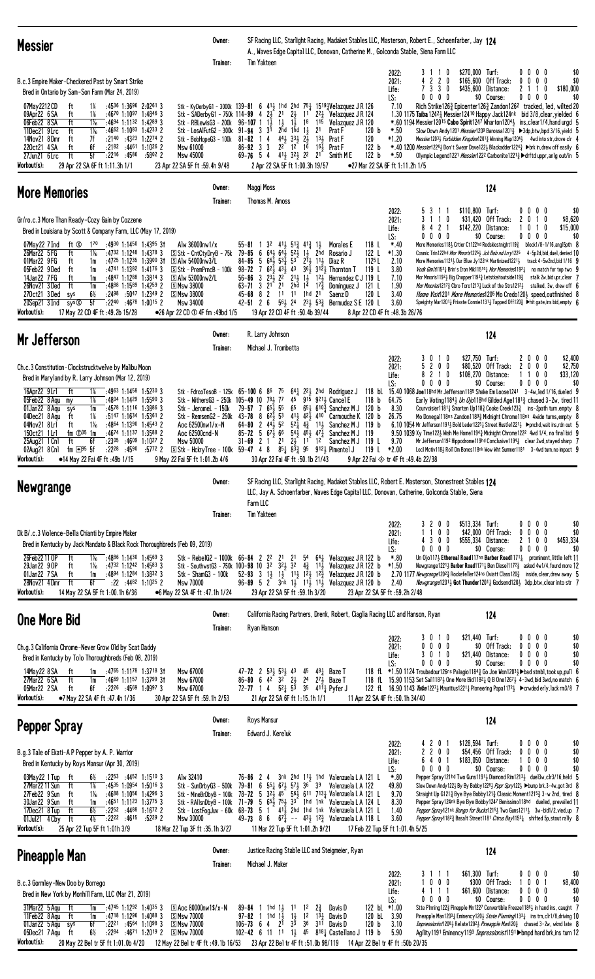| <b>Messier</b>                                                                                                                                                                                                                                                                                                                                                                                                                                                                                                                                                                                                                                                                                                                                                                                                                                                                    | Owner:<br>Trainer: | SF Racing LLC, Starlight Racing, Madaket Stables LLC, Masterson, Robert E., Schoenfarber, Jay 124<br>A., Waves Edge Capital LLC, Donovan, Catherine M., Golconda Stable, Siena Farm LLC<br>Tim Yakteen                                                                                                                                                                                                                                                                                                                                                                                                                                                                                                                                                                                                                                                                                                                                                                                                                                                                                                                                                                                                                                                                                                                                                                                                                                                                                                                                                                                                                                                                                                                                                                                                                                                                                                                                                                                                     |                                       |
|-----------------------------------------------------------------------------------------------------------------------------------------------------------------------------------------------------------------------------------------------------------------------------------------------------------------------------------------------------------------------------------------------------------------------------------------------------------------------------------------------------------------------------------------------------------------------------------------------------------------------------------------------------------------------------------------------------------------------------------------------------------------------------------------------------------------------------------------------------------------------------------|--------------------|------------------------------------------------------------------------------------------------------------------------------------------------------------------------------------------------------------------------------------------------------------------------------------------------------------------------------------------------------------------------------------------------------------------------------------------------------------------------------------------------------------------------------------------------------------------------------------------------------------------------------------------------------------------------------------------------------------------------------------------------------------------------------------------------------------------------------------------------------------------------------------------------------------------------------------------------------------------------------------------------------------------------------------------------------------------------------------------------------------------------------------------------------------------------------------------------------------------------------------------------------------------------------------------------------------------------------------------------------------------------------------------------------------------------------------------------------------------------------------------------------------------------------------------------------------------------------------------------------------------------------------------------------------------------------------------------------------------------------------------------------------------------------------------------------------------------------------------------------------------------------------------------------------------------------------------------------------------------------------------------------------|---------------------------------------|
| B.c.3 Empire Maker-Checkered Past by Smart Strike<br>Bred in Ontario by Sam-Son Farm (Mar 24, 2019)<br>07May 2212 CD<br>:4536 1:3696 2:0261 3<br>14<br>ft<br>$1\%$<br>09Apr22 6 SA<br>ft<br>$:4670$ 1:1097 1:4846 3<br>06Feb22 8 SA<br>ft<br>$1\%$<br>$:4694$ 1:1132 1:4289 3<br>ft<br>$1\frac{1}{16}$<br>11Dec21 9Lrc<br>$:4662$ 1:1083 1:4233 2<br>Stk - LosAlFutG2 - 300k<br>14Nov21 8Dmr<br>7f<br>$:2140$ $:4323$<br>$1:2274$ 2<br>ft<br>Stk - BobHopeG3 - 100k<br>220ct21 4 SA<br>ft<br>6f<br>$:2182$ $:4461$ 1:1026 2<br>Msw 61000<br>ft<br>5f<br>27Jun21 $6\overline{Lrc}$<br>$:22^{16}$ $:45^{86}$<br>:5802 2<br><b>Msw 45000</b><br>Workout(s):<br>29 Apr 22 SA 6F ft 1:11.3h 1/1<br>23 Apr 22 SA 5F ft :59.4h 9/48                                                                                                                                                      |                    | \$270,000 Turf:<br>0000<br>2022:<br>3110<br>220<br>$0\quad 0$<br>2021:<br>\$165,600<br>Off Track:<br>$0\quad 0\quad$<br>7 3 3 0<br>\$435,600<br>Distance:<br>$\mathbf{2}$<br>-1<br>0<br>Life:<br>$0\ 0\ 0\ 0$<br>\$0 Course:<br>$0\,$ 0 $\,$ 0 $\,$<br>0<br>LS:<br>Stk - KyDerbyG1 - 3000k 139-81 6 41 $\frac{1}{2}$ 1hd 2hd 75 $\frac{1}{4}$ 1519 $\frac{1}{4}$ Velazquez JR 126<br>Rich Strike1263 Epicenter1263 Zandon126 <sup>2</sup> tracked, led, wilted 20<br>7.10<br>Stk - SADerbyG1 - 750k 114-99 4 $2\frac{1}{2}$ 21<br>$2\frac{1}{2}$<br>$22$ Velazquez J R 124<br>1.30 1175 Taiba 1242 } Messier 12410 Happy Jack124nk bid 3/8, clear, yielded 6<br>1 <sup>1</sup><br>Stk - RBLewisG3 - 200k $96-107$ 1 1<br>$1\frac{1}{2}$ $1\frac{1}{2}$<br>18<br>Velazquez J R 120<br>$*.60$ 1194 Messier12015 Cabo Spirit1247 Wharton1204 $\frac{1}{2}$ ins, clear1/4, hand urgd 5<br>115<br>$91 - 94$ 3 $3^{1}$<br>$2rd$ 1 $rd$ 1 $1$<br>2 <sup>1</sup><br>120 b<br>$*.50$<br>Slow Down Andy1201 <i>Messier</i> 1209 Barossa1201 <sub>4</sub> ▶3dp,btw,bpd 3/16, yield 5<br>Prat F<br>$44\frac{1}{2}$ $33\frac{1}{2}$ $2\frac{1}{2}$<br>13 $\frac{1}{2}$ Prat F<br>120<br>*1.20<br>Messier12033 Forbidden Kingdom12013 Winning Map12043 4wd into str, drove clr 4<br>$81 - 82$ 1 4<br>$86 - 92$ 3 3<br>22 12 16<br>$16\frac{1}{2}$<br>122 b<br>*,40 1200 <i>Messier</i> 122 <sup>6</sup> Don't Swear Dave122 Blackadder1224 Pbrk in, drew off easily 6<br>Prat F<br>$41\frac{1}{2}$ $32\frac{1}{2}$ 22<br>$69 - 76$ 5 4<br>Smith M E<br>122 <sub>b</sub><br>2 <sup>1</sup><br>$*.50$<br>Olympic Legend1221 <i>Messier</i> 122 <sup>2</sup> Carbonite122 <sup>13</sup> ► drftd uppr, anlg out/in 5<br>●27 Mar 22 SA 6F ft 1:11.2h 1/5<br>2 Apr 22 SA 5F ft 1:00.3h 19/57                                                                                                                                                                                                                                   | \$0<br>\$0<br>\$180,000<br>\$0        |
| <b>More Memories</b>                                                                                                                                                                                                                                                                                                                                                                                                                                                                                                                                                                                                                                                                                                                                                                                                                                                              | Owner:<br>Trainer: | Maggi Moss<br>124<br>Thomas M. Amoss                                                                                                                                                                                                                                                                                                                                                                                                                                                                                                                                                                                                                                                                                                                                                                                                                                                                                                                                                                                                                                                                                                                                                                                                                                                                                                                                                                                                                                                                                                                                                                                                                                                                                                                                                                                                                                                                                                                                                                       |                                       |
| Gr/ro.c.3 More Than Ready-Cozy Gain by Cozzene<br>Bred in Louisiana by Scott & Company Farm, LLC (May 17, 2019)<br>ft Ø<br>$1^{70}$ :4930 1:1450 1:4395 31<br>Alw $36000$ nw $1/x$<br>07May22 7 Ind<br>26Mar22 5 FG<br>ft<br>$1\%$<br>:4732 1:1248 1:4378 3<br>S Stk - CntCtyDryB - 75k<br>01Mar22 9 FG<br>$:47^{25}$ 1:12 <sup>35</sup> 1:3900 31<br>S Alw 54000nw3/L<br>ft<br>1m<br>05Feb22 9Ded<br>:4741 1:1382 1:4176 3<br>ft<br>1m<br>$\boxed{5}$ Stk - PremPrncB - 100k<br>14Jan22 7 FG<br>ft<br>$:4847$ 1:1288 1:3814 3<br>1m<br><b>SAN 53000nw2/L</b><br>:4888 1:1589 1:4259 2<br>26Nov21 3 Ded<br>ft<br><b>SMsw 38000</b><br>1m<br>$:2498$ $:5047$ 1:2349 2<br>6½<br>270ct21 3 Ded<br>sys<br>SMsw 38000<br>sys ®<br>5f<br>$:22^{40}$ :4678 1:0015 2<br>20Sep21 3 Ind<br>Msw 34000<br>Workout(s):<br>17 May 22 CD 4F ft : 49.2b 15/28<br>●26 Apr 22 CD ① 4F fm : 49bd 1/5 |                    | \$110,800 Turf:<br>0000<br>2022:<br>3<br>1 1<br>110<br>\$31,420<br>Off Track:<br>10<br>3<br>2<br>0<br>2021:<br>421<br>\$142,220 Distance:<br>8<br>0<br>$\mathbf{1}$<br>0<br>Life:<br>$0\ 0\ 0\ 0$<br>$0\,0\,0\,0$<br>\$0 Course:<br>LS:<br>$*40$<br>More Memories118} Crtier Ct122hd Redskiestnight119}<br>55-81<br>32<br>41} 51} 41} 1}<br>Morales E<br>118 L<br>block $1/8 - 1/16$ , angl $5$ pth $8$<br>6<br>$64\frac{1}{2}$ $64\frac{1}{2}$ $52\frac{1}{2}$<br>1 <sup>1</sup> / <sub>2</sub> 2 <sup>hd</sup> Rosario J<br>122 L<br>$*1.30$<br>Cosmic Trin122hd Mor Mmoris12253 Jck Bob nd Lrry1225<br>79-85<br>4-5p2d,bid,due1,denied 10<br>$66\frac{1}{2}$ 53 $\frac{1}{4}$<br>$2^{1\frac{1}{2}}$ 1 <sup>1</sup> $\frac{1}{2}$ Diaz R<br>112 <sup>5</sup> L<br>2.10<br>84-85<br>-5<br>53<br>More Memories11213 Our Blue Jy122nk Martinized12213<br>track 4-5w2nd, bid 1/16 9<br>98-72 7 $6^{2}$ 43 <sup>1</sup> / <sub>3</sub> 43 $3^{6}$ 3 <sup>12</sup> <sup>1</sup> / <sub>3</sub> Thornton T<br>119 L<br>3.80<br><i>Vodk Gimlt</i> 1152 <sup>1</sup> Brin's Iron Mik115 <sup>10</sup> <sup>1</sup> Mor Memories1192 <sup>1</sup> no match for top two 9<br>$\overline{3}$<br>$2^{3\overline{1}}$ $2^{2}$<br>$2^{1}\frac{1}{2}$ $1^{1}\frac{1}{2}$ Hernandez C J 119 L<br>7.10<br>56-86<br>Mor Mmoris11923 Big Chopper11923 Letstkeitoutside1193<br>stalk 2w,bid upr,clear 7<br>2hd $1^{\overline{4}}$ $1^{\overline{2}}$<br>1.90<br>63-71 3<br>21 21<br>Dominguez J<br>121 L<br>Mor Mmories12173 Cbro Toro12131 Luck of the Strs12121<br>stalked, 3w, drew off 6<br>$45 - 68$ 8 2<br>11 11 1hd 21<br>120 L<br>3.40<br>Saenz D<br>Home Visit1201 More Memories1205 Mo Credo1201 speed.outfinished 8<br>$56\frac{1}{2}$ 24 $23\frac{1}{2}$ $53\frac{3}{4}$ Bermudez SE 120 L<br>3.60<br>$42 - 51$ 2 6<br>Speighty War1201 <sup>1</sup> Private Connie1131 <sup>1</sup> Tapped Off120 <sup>3</sup> > hit gate, ins bid, empty 6<br>19 Apr 22 CD 4F ft: 50.4b 39/44<br>8 Apr 22 CD 4F ft: 48.3b 26/76 | \$0<br>\$8,620<br>\$15,000<br>\$0     |
| Mr Jefferson                                                                                                                                                                                                                                                                                                                                                                                                                                                                                                                                                                                                                                                                                                                                                                                                                                                                      | Owner:<br>Trainer: | R. Larry Johnson<br>124<br>Michael J. Trombetta                                                                                                                                                                                                                                                                                                                                                                                                                                                                                                                                                                                                                                                                                                                                                                                                                                                                                                                                                                                                                                                                                                                                                                                                                                                                                                                                                                                                                                                                                                                                                                                                                                                                                                                                                                                                                                                                                                                                                            |                                       |
| Ch.c.3 Constitution-Clockstrucktwelve by Malibu Moon<br>Bred in Maryland by R. Larry Johnson (Mar 12, 2019)<br>16Apr22 9Lrl<br>ft<br>:4963 1:1458 1:5230 3<br>1%<br>$1\%$<br>$:4804$ 1:1429 1:5590 3<br>Stk - WithersG3 - 250k<br>05Feb22 8 Agu<br>my<br>$:4578$ 1:1116 1:3886 3<br>Stk - JeromeL - 150k<br>01Jan22 8 Agu<br>sys<br>1m<br>$1\%$<br>$:5147$ 1:1634 1:5361 2<br>Stk - RemsenG2 - 250k<br>04Dec21 8 Agu<br>ft<br>$1\%$<br>$:4864$ 1:1390 1:4543 2<br>Aoc 62500nw1/x-N<br>04Nov21 8 Lr1<br>ft<br>150ct21 1Lrl<br>fm $\mathbb{D}^{35}$ 1m<br>:4674 1:1137 1:3588 2<br>Aoc 62500cnd-N<br>6f<br>ft<br>$:23^{05}$ $:46^{09}$ 1:10 <sup>27</sup> 2<br>25Aug21 1 Cn1<br><b>Msw 50000</b><br>$:22^{28}$ $:45^{90}$<br>fm $\Box$ <sup>95</sup> 5f<br>:5772 2<br>02Aug21 8 Cn1<br>Workout(s):<br>•14 May 22 Fai 4F ft: 49b 1/15<br>9 May 22 Fai 5F ft 1:01.2b 4/6              |                    | \$27,750 Turf:<br>3010<br>2000<br>2022:<br>200<br>5<br>\$80.520<br>Off Track:<br>$\mathbf{2}^{\circ}$<br>0<br>0<br>2021:<br>0<br>8 2 1 0<br>\$108,270 Distance:<br>1 1 0 0<br>Life:<br>$0\ 0\ 0\ 0$<br>\$0 Course:<br>$0\,0\,0\,0$<br>LS:<br>118 bL<br>15.40 1068 Joe118hd Mr Jefferson1185 Shake Em Loose1241 3-4w, led 1/16, dueled 9<br>Stk - FdrcoTesoB - 125k $65-100$ 6 $86$<br>75<br>$64\frac{1}{4}$ 2 <sup>2</sup> $\frac{1}{2}$ 2hd Rodriguez J<br>45 915 9213 Cancel E<br>105-49 10 783 77<br>118 <sub>b</sub><br>64.75<br>Early Voting 1184 3 Un Ojol 18hd Gilded Age 1181 3 chased 3-2w, tired 11<br>79-57<br>$65\frac{1}{2}$ 55<br>65<br>$65\frac{1}{2}$ 6 <sup>10</sup> $\frac{3}{4}$ Sanchez M J 120 b<br>8.30<br>7<br>Courvoisier11811 Smarten Up1183 Cooke Creek1233 ins-2path turn, empty 8<br>$6^{2}$ $\frac{1}{2}$ 53<br>43-78<br>8<br>413 423 410 Carmouche K 120 b<br>26.75<br>Mo Donega1118ns Zandon11893 Midnight Chrome118nk 4wide turns, empty 8<br>2 $44\frac{1}{2}$ 52<br>$5^{2}$ $\frac{1}{4}$ $4^{3}$ $1^{1}$ Sanchez M J<br>$6.10$ 1054 Mr Jefferson1191½ Bold Leder1225 $\frac{1}{4}$ Street Hustle1221½ $\blacktriangleright$ pnchd, wait ins, rdn out 5<br>64-80<br>119 b<br>$85 - 72$ 5 $67\frac{1}{2}$ 6 <sup>6</sup><br>$54\frac{1}{2}$ $45\frac{1}{2}$ $47\frac{1}{4}$<br>Sanchez M J 119<br>$9.50$ 1039 Xy Time1223 Wish Me Home11943 Midnight Chrome122 <sup>2</sup> 4wd 1/4, no final bid 9<br>2 <sup>1</sup><br>$31 - 69$ 2 1<br>$2\frac{1}{2}$ 11 12<br>Sanchez M J<br>119 L<br>9.70<br>Mr Jefferson1192 Hippodrome119hd Conclusive1194 $\frac{1}{4}$ clear 2wd, stayed sharp 7<br><b>Solution</b> SStk - HckryTree - 100k 59-47 4 8 $85\frac{1}{4}$ $83\frac{3}{4}$ $95$ $912\frac{1}{2}$ Pimentel J<br>Locl Motiv118} Roll Dm Bones118nk Wow Wht Summer1181 3-4wd turn, no impact 9<br>119 L<br>*2.00<br>30 Apr 22 Fai 4F ft :50.1b 21/43<br>9 Apr 22 Fai $\otimes$ tr 4F ft :49.4b 22/38                                                                     | \$2,400<br>\$2,750<br>\$33,120<br>\$0 |
| <b>Newgrange</b>                                                                                                                                                                                                                                                                                                                                                                                                                                                                                                                                                                                                                                                                                                                                                                                                                                                                  | Owner:<br>Trainer: | SF Racing LLC, Starlight Racing, Madaket Stables LLC, Robert E. Masterson, Stonestreet Stables 124<br>LLC, Jay A. Schoenfarber, Waves Edge Capital LLC, Donovan, Catherine, Golconda Stable, Siena<br>Farm LLC<br><b>Tim Yakteen</b>                                                                                                                                                                                                                                                                                                                                                                                                                                                                                                                                                                                                                                                                                                                                                                                                                                                                                                                                                                                                                                                                                                                                                                                                                                                                                                                                                                                                                                                                                                                                                                                                                                                                                                                                                                       |                                       |
| Dk B/.c.3 Violence-Bella Chianti by Empire Maker<br>Bred in Kentucky by Jack Mandato & Black Rock Thoroughbreds (Feb 09, 2019)<br>$:4886$ 1:1430 1:4569 3<br>Stk - RebelG2 - 1000k<br>26Feb22110P<br>ft<br>$1\%$<br>29Jan22 9 OP<br>$1\%$<br>$:4732$ 1:1242 1:4583 3<br>ft<br>01Jan22 7 SA<br>ft<br>$:4894$ 1:1284 1:3832 3<br>$Stk - ShamG3 - 100k$<br>1m<br>ft<br>: 22 : 4482 1:1025 2<br>28Nov21 4Dmr<br>6f<br>Msw 70000<br>Workout(s):<br>14 May 22 SA 5F ft 1:00.1h 6/36<br>●6 May 22 SA 4F ft :47.1h 1/24                                                                                                                                                                                                                                                                                                                                                                   |                    | \$513,334 Turf:<br>$0\,0\,0\,0$<br>2022:<br>3200<br>1 1 0 0<br>\$42,000<br>Off Track:<br>$0\quad0$<br>0<br>0<br>2021:<br>\$555,334<br>Distance:<br>2<br>4300<br>0<br>0<br>Life:<br>0000<br>$0\,0\,0\,0$<br>LS:<br>\$0 Course:<br>$66 - 84$ 2 2 <sup>2</sup><br>$64\frac{1}{4}$ Velazquez JR 122 b<br>$*80$<br>Un Ojo117} Ethereal Road117ns Barber Road11711 prominent, little left 11<br>2 <sup>1</sup><br>2 <sup>1</sup><br>54<br>Stk - SouthwstG3 - 750k 100-98 10 32<br>$3^2\frac{1}{2}$ 32<br>$4\frac{3}{4}$ 11 $\frac{1}{2}$<br>Velazquez J R 122 b<br>$*1.50$<br>Newgrange1221} Barber Road1171 $\frac{1}{4}$ Ben Diese11172 $\frac{3}{4}$ asked 4w1/4, found more 12<br>52-93 3 1 $\frac{1}{2}$ 1 $\frac{1}{2}$ 1 <sup>1</sup> $\frac{1}{2}$ 1 <sup>2</sup> $\frac{1}{2}$ 1 <sup>2</sup> $\frac{3}{4}$ Velazquez J R 120 b<br>2.70 1177 Newgrange120 <sup>23</sup> Rockefeller124ns Oviatt Class120 $\frac{3}{4}$ inside, clear, drew away 5<br>96-89 5 2 $3nk$ $1\frac{1}{2}$ $11\frac{1}{2}$ Velazquez JR 120 b<br>Newgrange12011 Got Thunder12011 Godsend1201 3dp, btw, clear into str 7<br>2.40<br>23 Apr 22 SA 5F ft :59.2h 2/48<br>29 Apr 22 SA 5F ft :59.1h 3/20                                                                                                                                                                                                                                                                                                                                                                                                                                                                                                                                                                                                                                                                                                                                                                                                                            | \$0<br>\$0<br>\$453.334<br>\$0        |
| <b>One More Bid</b>                                                                                                                                                                                                                                                                                                                                                                                                                                                                                                                                                                                                                                                                                                                                                                                                                                                               | Owner:<br>Trainer: | California Racing Partners, Drenk, Robert, Ciaglia Racing LLC and Hanson, Ryan<br>124<br>Ryan Hanson                                                                                                                                                                                                                                                                                                                                                                                                                                                                                                                                                                                                                                                                                                                                                                                                                                                                                                                                                                                                                                                                                                                                                                                                                                                                                                                                                                                                                                                                                                                                                                                                                                                                                                                                                                                                                                                                                                       |                                       |
| Ch.g.3 California Chrome-Never Grow Old by Scat Daddy<br>Bred in Kentucky by Tolo Thoroughbreds (Feb 08, 2019)<br>14May22 8 SA<br>:4765 1:1178 1:3718 3†<br>Msw 67000<br>ft<br>1m<br>:4669 1:1157 1:3799 31<br>27Mar22 6 SA<br>ft<br>Msw 67000<br>1m<br>:2226 :4569 1:0997 3<br>Msw 67000<br>05Mar22 2 SA<br>6f<br>ft<br>Workout(s):<br>•7 May 22 SA 4F ft :47.4h 1/36<br>30 Apr 22 SA 5F ft :59.1h 2/53                                                                                                                                                                                                                                                                                                                                                                                                                                                                          |                    | 3010<br>\$21,440 Turf:<br>0000<br>2022:<br>\$0 Off Track:<br>$0\ 0\ 0$<br>$0\ 0\ 0$<br>2021:<br>0<br>0<br>3010<br>\$21,440<br>Distance:<br>$0\,0\,0$<br>0<br>Life:<br>0000<br>\$0 Course:<br>$0\quad 0$<br>LS:<br>00<br>47-72 2 $53\frac{1}{2}$ 53 $43$ 45 $48\frac{1}{4}$ Baze T<br>118 $fL$ *1.50 1124 Troubadour126ns Palagio1184 $\frac{3}{4}$ Go Joe Won12034 > bad stmbl, took up, pull 6<br>86-80 6 42 32 $2\frac{1}{2}$<br>2 <sup>4</sup><br>$27\frac{1}{2}$ Baze T<br>118 $fL$ 15.90 1153 Set Sail1187 $\frac{1}{2}$ One More Bid1182 $\frac{1}{4}$ Q B One1267 $\frac{1}{2}$ 4-3wd, bid 3wd, no match 6<br>72-77 1 4 $5^2\frac{1}{4}$ 5 <sup>3</sup> 3 <sup>5</sup> 4 <sup>11</sup> $\frac{1}{4}$ Pyfer J<br>122 fL 16.90 1143 Taiba1227} Mauritius1221 Pioneering Papa1172} ► crwded erly, lack rm3/8 7<br>21 Apr 22 SA 6F ft 1:15.1h 1/1<br>11 Apr 22 SA 4F ft :50.1h 34/40                                                                                                                                                                                                                                                                                                                                                                                                                                                                                                                                                                                                                                                                                                                                                                                                                                                                                                                                                                                                                                                                                                                    | \$0<br>\$0<br>\$0<br>\$0              |
| <b>Pepper Spray</b>                                                                                                                                                                                                                                                                                                                                                                                                                                                                                                                                                                                                                                                                                                                                                                                                                                                               | Owner:<br>Trainer: | Roys Mansur<br>124<br>Edward J. Kereluk                                                                                                                                                                                                                                                                                                                                                                                                                                                                                                                                                                                                                                                                                                                                                                                                                                                                                                                                                                                                                                                                                                                                                                                                                                                                                                                                                                                                                                                                                                                                                                                                                                                                                                                                                                                                                                                                                                                                                                    |                                       |
| B.g.3 Tale of Ekati-A P Pepper by A. P. Warrior<br>Bred in Kentucky by Roys Mansur (Apr 30, 2019)<br>$:22^{53}$ $:44^{52}$ 1:1510 3<br>Alw 32410<br>03May22 1 Tup<br>6½<br>ft<br>$1\%$<br>$:4535$ 1:0954 1:5016 3<br>27Mar22 11 Sun<br>ft<br>$1\%$<br>$:4688$ 1:1056 1:4296 3<br>27Feb22 9 Sun<br>ft<br>Stk - MineBrDbyB - 100k<br>$:4651$ 1:1123 1:3775 3<br>30Jan22 9 Sun<br>ft<br>1m<br>Stk - RA11snDbyB - 100k<br>:2252 :4488 1:1672 2<br>ft<br>$6\%$<br>Stk - LostFogJuv - 60k 68-73<br>17Dec21 8 Tup<br>4½<br>$:22^{22}:46^{15}:52^{29}2$<br>Msw 30000<br>01Jul21 4 Cby<br>ft<br>Workout(s):<br>25 Apr 22 Tup 5F ft 1:01h 3/9<br>18 Mar 22 Tup 3F ft :35.1h 3/27                                                                                                                                                                                                            |                    | \$128,594 Turf:<br>2022:<br>0<br>42<br>00<br>$0\quad 0$<br>$\mathbf{2}$<br>$0\quad 0$<br>\$54,456<br>Off Track:<br>$0\quad 0$<br>2021:<br>0<br>6 4 0 1<br>\$183,050 Distance:<br>$0\,0\,0$<br>Life:<br>0000<br>\$0 Course:<br>$0\ 0\ 0$<br>0<br>LS:<br>Pepper Spray121hd Two Guns11911 Diamond Rim12131 duel3w, clr3/16, held 5<br>3nk 2hd 113 1hd Valenzuela L A 121 L<br>$*.80$<br>76-86<br>2<br>-4<br>Stk - SunDrbyG3 - 500k 79-81 6 $55\frac{1}{4}$ 67 $\frac{1}{2}$ 57 $\frac{1}{2}$ 36 39<br>49.80<br>Slow Down Andy 122} By By Bobby 122 <sup>8</sup> } Pppr Spry122} >bump brk, 3-4w, got 3rd 8<br>Valenzuela L A 122<br>78-72 5 32 $\frac{1}{2}$ 45 56 $\frac{1}{2}$ 611 713 $\frac{1}{4}$ Valenzuela L A 121 L<br>9.70<br>Straight Up G121 <sup>3</sup> Bye Bye Bobby 121 <sup>3</sup> Classic Moment 121 <sup>53</sup> 3-w 2nd, tired 8<br>71-79 5 653 753 33 1hd 1nk Valenzuela LA 124 L<br>8.30<br>Pepper Spray124nk Bye Bye Bobby1247 Benissimo118hd dueled, prevailed 11<br>$5\,1\,$ 41 $\frac{1}{2}$ 2hd 1hd 1nk Valenzuela LA 121 L<br>1.40<br>Pepper Spray121nk Bango for Bucks12151 Two Guns12111 3w-bid1/2, vied, up 7<br>3.60<br>49-73 8 6 $67\frac{1}{4}$ -- $43\frac{1}{2}$ 12 <sup>3</sup> / <sub>4</sub> Valenzuela L A 118 L<br>Pepper Spray11823 Basalt Street1181 Citrus Bay11531 shifted 5p, stout rally 8<br>11 Mar 22 Tup 5F ft 1:01.2h 9/21<br>17 Feb 22 Tup 5F ft 1:01.4h 5/25                                                                                                                                                                                                                                                                                                                                                                                                                                                                                                                                                                                            | \$0<br>\$0<br>\$0<br>\$0              |
| Pineapple Man                                                                                                                                                                                                                                                                                                                                                                                                                                                                                                                                                                                                                                                                                                                                                                                                                                                                     | Owner:<br>Trainer: | Justice Racing Stable LLC and Steigmeier, Ryan<br>124<br>Michael J. Maker                                                                                                                                                                                                                                                                                                                                                                                                                                                                                                                                                                                                                                                                                                                                                                                                                                                                                                                                                                                                                                                                                                                                                                                                                                                                                                                                                                                                                                                                                                                                                                                                                                                                                                                                                                                                                                                                                                                                  |                                       |
| B.c.3 Gormley-New Doo by Borrego<br>Bred in New York by Monhill Farm, LLC (Mar 21, 2019)<br>31Mar22 5 Aqu<br>:4745 1:1292 1:4035 3<br>S Aoc 80000nw1\$/x-N<br>ft<br>1m<br>11Feb22 8 Aqu<br>$:47^{18}$ 1:1296 1:4088 3<br>ft<br><b>SMsw 70000</b><br>1m<br>01Jan22 5 Agu<br>6f<br>$:22^{21}$ $:45^{64}$ 1:1098 3<br><u>5 Msw 70000</u><br>sys<br>05Dec21 7 Aqu ft<br>6½<br>$:22^{84}$ $:46^{71}$ 1:2019 2 SMsw 70000<br>Workout(s):<br>20 May 22 Bel tr 5F ft 1:01.0b 4/20<br>12 May 22 Bel tr 4F ft :49.1b 16/53                                                                                                                                                                                                                                                                                                                                                                  |                    | \$61,300 Turf:<br>$0\ 0\ 0$<br>2022:<br>-1<br>0<br>$0\ 0\ 0$<br>\$300 Off Track:<br>$0 \t0 \t1$<br>2021:<br>4 1 1 1<br>\$61,600<br>Distance:<br>$0\ 0\ 0\ 0$<br>Life:<br>$0\quad 0\quad 0$<br>$0\,0\,0\,0$<br>\$0 Course:<br>LS:<br>0<br>89-84 1 1hd 1, 11 12 2 3 Davis D<br>122 bL *1.00<br>Stte Plnning 122 <sup>3</sup> Pinepple Mn1227 Convertible Freeze11864 in hand ins, caught 7<br>120 bL 3.90<br>Pineapple Man12031 Eminency1201 State Planning11331 instrn.clr1/8.driving 10<br>97-82 1 1hd $1\frac{1}{2}$ 11 12 131 Davis D<br>106-73 6 4 2 <sup>1</sup> 3 <sup>3</sup> 3 <sup>6</sup> 3 <sup>11</sup> Davis D<br>120 <sub>b</sub><br>3.10<br>Impressionist12081 Relate12021 Pineapple Man1203 chased 3-2w, wknd late 8<br>102-42 6 11 1 <sup>1</sup> 1 <sup>1</sup> / <sub>2</sub> 4 <sup>5</sup> 8 <sup>18</sup> <sup>1</sup> / <sub>4</sub> Castellano J 119 b<br>5.90<br>Agility 1191 Eminency 1193 Impressionist 191 > bmpd hard brk.ins turn 12<br>23 Apr 22 Bel tr 4F ft : 51.0b 98/119 14 Apr 22 Bel tr 4F ft : 50b 20/35                                                                                                                                                                                                                                                                                                                                                                                                                                                                                                                                                                                                                                                                                                                                                                                                                                                                                                                                                              | \$0<br>\$8,400<br>\$0<br>\$0          |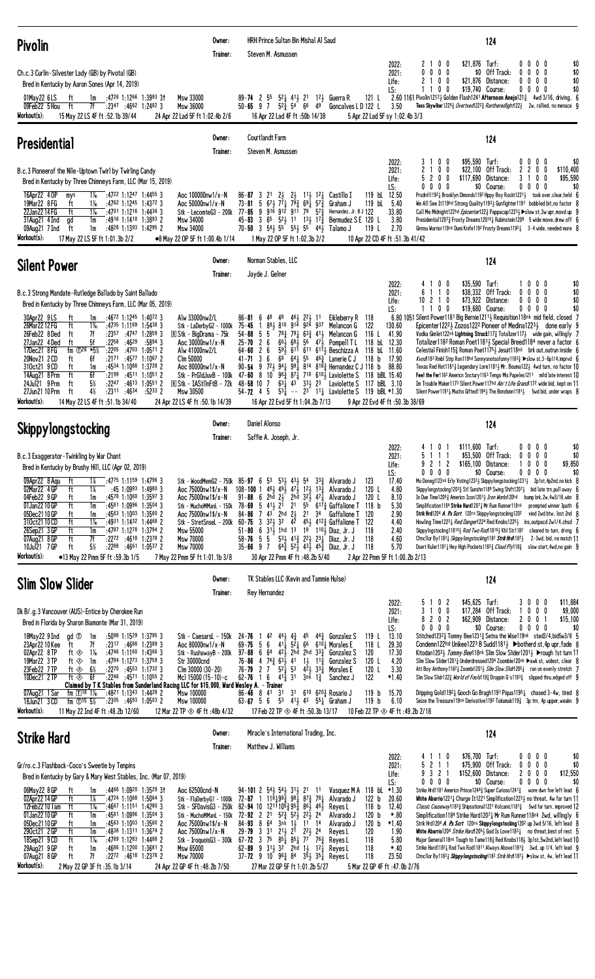| <b>Pivolin</b>                                                                                                                                                                                                                                                                                                                                                                                                                                                                                                                                                                                                                                                                                                                                                                                                                                   | Owner:<br>Trainer:                                                                                                                                                                                                                                                           | HRH Prince Sultan Bin Mishal Al Saud<br>Steven M. Asmussen                                                                                                                                                                                                                                                                                                                                                                                                                                                                                                                                                                                                                                                                                                                                                                                                                                                | 124                                                                                                                                                                                                                                                                                                                                                                                                                                                                                                                                                                                                                                                                                                                                                                                                                                                                                                                                                                                                                                                                                                                                                                                                                                                                                                                                                                                                      |
|--------------------------------------------------------------------------------------------------------------------------------------------------------------------------------------------------------------------------------------------------------------------------------------------------------------------------------------------------------------------------------------------------------------------------------------------------------------------------------------------------------------------------------------------------------------------------------------------------------------------------------------------------------------------------------------------------------------------------------------------------------------------------------------------------------------------------------------------------|------------------------------------------------------------------------------------------------------------------------------------------------------------------------------------------------------------------------------------------------------------------------------|-----------------------------------------------------------------------------------------------------------------------------------------------------------------------------------------------------------------------------------------------------------------------------------------------------------------------------------------------------------------------------------------------------------------------------------------------------------------------------------------------------------------------------------------------------------------------------------------------------------------------------------------------------------------------------------------------------------------------------------------------------------------------------------------------------------------------------------------------------------------------------------------------------------|----------------------------------------------------------------------------------------------------------------------------------------------------------------------------------------------------------------------------------------------------------------------------------------------------------------------------------------------------------------------------------------------------------------------------------------------------------------------------------------------------------------------------------------------------------------------------------------------------------------------------------------------------------------------------------------------------------------------------------------------------------------------------------------------------------------------------------------------------------------------------------------------------------------------------------------------------------------------------------------------------------------------------------------------------------------------------------------------------------------------------------------------------------------------------------------------------------------------------------------------------------------------------------------------------------------------------------------------------------------------------------------------------------|
| Ch.c.3 Curlin-Silvester Lady (GB) by Pivotal (GB)<br>Bred in Kentucky by Aaron Sones (Apr 14, 2019)<br>$1m$ :4726 1:1266 1:3993 31<br>01May22 6LS<br>ft<br>:2347:46621:24823<br>09Feb22 5 Hou<br>ft<br>7f<br>Workout(s):<br>15 May 22 LS 4F ft :52.1b 39/44                                                                                                                                                                                                                                                                                                                                                                                                                                                                                                                                                                                      | Msw 33000<br>Msw 36000<br>24 Apr 22 Lad 5F ft 1:02.4b 2/6                                                                                                                                                                                                                    | $89 - 74$ 2 55<br>$5^2\frac{1}{4}$ 4 <sup>1</sup> $\frac{1}{2}$ 2 <sup>1</sup> 1 <sup>2</sup> $\frac{1}{2}$ Guerra R<br>$50 - 65$ 9 7 $5^{2}\frac{3}{4}$ 54 66 49<br>Goncalves L D 122 L<br>16 Apr 22 Lad 4F ft: 50b 14/38                                                                                                                                                                                                                                                                                                                                                                                                                                                                                                                                                                                                                                                                                | \$21,876 Turf:<br>00<br>00<br>\$0<br>2022:<br>21<br>0 <sub>0</sub><br>\$0<br>\$0 Off Track:<br>2021:<br>$0\quad 0$<br>00<br>0<br>0<br>0<br>$\mathbf{0}$<br>0 <sub>0</sub><br>\$21,876<br>$0\quad 0$<br>\$0<br>2<br>Distance:<br>0<br>Life:<br>0<br>\$19,740 Course:<br>\$0<br>LS:<br>$0\quad 0$<br>00<br>00<br>2.60 1161 Pivolin1212; Golden Flash1241 Afternoon Anejo121; 4wd 3/16, driving, 6<br>121 L<br>Texs Skywlker 1225 $\frac{3}{4}$ Overtxed 222 $\frac{3}{4}$ Rantheredlight 122 $\frac{1}{2}$ 2w, rallied, no menace 9<br>3.50<br>5 Apr 22 Lad 5F sy 1:02.4b 3/3                                                                                                                                                                                                                                                                                                                                                                                                                                                                                                                                                                                                                                                                                                                                                                                                                              |
| <b>Presidential</b>                                                                                                                                                                                                                                                                                                                                                                                                                                                                                                                                                                                                                                                                                                                                                                                                                              | Owner:<br>Trainer:                                                                                                                                                                                                                                                           | <b>Courtlandt Farm</b><br>Steven M. Asmussen                                                                                                                                                                                                                                                                                                                                                                                                                                                                                                                                                                                                                                                                                                                                                                                                                                                              | 124                                                                                                                                                                                                                                                                                                                                                                                                                                                                                                                                                                                                                                                                                                                                                                                                                                                                                                                                                                                                                                                                                                                                                                                                                                                                                                                                                                                                      |
| B.c.3 Pioneerof the Nile-Uptown Twirl by Twirling Candy<br>Bred in Kentucky by Three Chimneys Farm, LLC (Mar 15, 2019)<br>:4722 1:1247 1:4455 3<br>16Apr22 4 OP<br>$1\%$<br>mys<br>19Mar22 8 FG<br>$1\%$<br>$:4762$ 1:1245 1:4372 3<br>ft<br>22Jan2214 FG<br>ft<br>$1\%$<br>$:4701$ 1:1216 1:4436 3<br>$:4916$ 1:1410 1:3893 2<br>31Aug21 4 Ind<br>ad<br>1m<br>$:48^{28}$ 1:1393 1:4295 2<br>09Aug21 7 Ind<br>ft<br>1m<br>Workout(s):<br>17 May 22 LS 5F ft 1:01.3b 2/2                                                                                                                                                                                                                                                                                                                                                                          | Aoc 100000nw1/x-N<br>Aoc 50000nw1/x-N<br>Stk - LecomteG3 - 200k<br>Msw 34000<br>Msw 34000<br>•8 May 22 OP 5F ft 1:00.4b 1/14                                                                                                                                                 | 2 <sup>1</sup><br>$2\frac{1}{2}$<br>$2\frac{1}{2}$<br>$11\frac{1}{2}$ $12\frac{1}{4}$<br>Castillo I<br>$86 - 87$ 3<br>73-81 5 673 771 793 691 573<br>Graham J<br>77-85<br>9 916 912 911 79 573<br>Hernandez, Jr. B J 122<br>$45-83$ 3 6 <sup>5</sup> 5 <sup>2</sup> 1 <sup>1</sup> 1 <sup>3</sup> 1 <sup>7</sup> $\frac{3}{4}$<br>Bermudez SE 120 L<br>70-50 3 $54\frac{1}{2}$ 5 <sup>5</sup> $55\frac{1}{2}$ 5 <sup>5</sup> 44 <sup>1</sup> / <sub>2</sub><br>Talamo J<br>1 May 22 OP 5F ft 1:02.3b 2/2                                                                                                                                                                                                                                                                                                                                                                                                  | \$95,590 Turf:<br>0 <sub>0</sub><br>$0\quad 0$<br>2022:<br>3<br>$0\quad 0$<br>\$0<br>2<br>0 <sub>0</sub><br>\$22,100<br>Off Track:<br>2021:<br>$\overline{c}$<br>0<br>\$110,400<br>2<br>0<br>5 2 0 0<br>\$117,690<br>Distance:<br>3 1<br>0<br>0<br>\$95,590<br>Life:<br>\$0 Course:<br>\$0<br>LS:<br>0<br>0<br>0 <sub>0</sub><br>00<br>0<br>0<br>119 bL 12.50<br>Prsdnt111921 Brooklyn Dimonds1192 Hppy Boy Rockt12211 took over, clear, held 6<br>5.40<br>119 bL<br>We All See It119hd Strong Quality11933 Gunfighter1191 bobbled bit, no factor 8<br>33.80<br>Call Me Midnight122hd <i>Epicenter</i> 122 <sup>3</sup> Pappacap122 <sup>3</sup> > Slow st,3w upr, movd up 9<br>3.80<br>Presidential12073 Frosty Dreams120101 Rubinstein1208 5 wide move, drew off 6<br>2.70<br>119 L<br>Ginnsu Warrior119nk Dumi Knife1192 Frosty Dreams11921 3-4 wide, needed more 8<br>10 Apr 22 CD 4F ft :51.3b 41/42                                                                                                                                                                                                                                                                                                                                                                                                                                                                                                |
| <b>Silent Power</b>                                                                                                                                                                                                                                                                                                                                                                                                                                                                                                                                                                                                                                                                                                                                                                                                                              | Owner:<br>Trainer:                                                                                                                                                                                                                                                           | Norman Stables, LLC<br>Jayde J. Gelner                                                                                                                                                                                                                                                                                                                                                                                                                                                                                                                                                                                                                                                                                                                                                                                                                                                                    | 124                                                                                                                                                                                                                                                                                                                                                                                                                                                                                                                                                                                                                                                                                                                                                                                                                                                                                                                                                                                                                                                                                                                                                                                                                                                                                                                                                                                                      |
| B.c.3 Strong Mandate-Rutledge Ballado by Saint Ballado<br>Bred in Kentucky by Three Chimneys Farm, LLC (Mar 05, 2019)<br>30Apr22 9LS<br>:4672 1:1245 1:4072 3<br>ft<br>1m<br>26Mar 22 12 FG<br>ft<br>$1\%$<br>$:4735$ 1:1169 1:5438 3<br>26Feb22 8Ded<br>: 2357 : 4747 1: 2859 3<br>ft<br>7f<br>:4629<br>27Jan22 4Ded<br>5f<br>:2258<br>$:5894$ 3<br>ft<br>fm $\Phi$ <sup>26</sup> *5 <sup>1</sup> / <sub>2</sub><br>17Dec21 8FG<br>:2205<br>:4703<br>$1:0571$ 2<br>20Nov21 2 CD<br>6f<br>$:2171$ $:4577$ $1:1067$ 2<br>ft<br>ft<br>$:4534$ 1:1088 1:3728 2<br>310ct21 9 CD<br>1m<br>6f<br>14Aug21 8 Prm<br>ft<br>$:2199$ $:4511$ $1:1051$ 2<br>$5\%$<br>24Jul21 9 Prm<br>:2247:4613:1:0551.2<br>ft<br>$4\%$<br>27Jun21 10 Prm<br>$:23^{11}$ $:46^{34}$<br>$:52^{33}$ 2<br>ft<br>Workout(s):<br>14 May 22 LS 4F ft : 51.1b 34/40                 | Alw 33000nw2/L<br>Stk - LaDerbyG2 - 1000k<br><b>R</b> Stk - BigDrama - 75k<br>Aoc $30000$ nw $1/x - N$<br>Alw 41000nw2/L<br>Clm 50000<br>Aoc 80000nw1/x-N<br>Stk - PrGldJuvB - 100k<br>$\overline{R}$ Stk - IAStlinFtB - 72k<br>Msw 30500<br>24 Apr 22 LS 4F ft: 50.1b 14/39 | 86-81 6 48<br>48 463 223 11<br>Eikleberry R 118<br>881 810 914 924 937<br>75-45<br>- 1<br>Melancon G<br>$54 - 88$<br>55<br>$78\frac{3}{4}$ $79\frac{1}{4}$ $63\frac{3}{4}$ $41\frac{1}{2}$ Melancon G<br>$68\frac{1}{2}$ 56 $47\frac{1}{2}$ Pompell T L<br>2 <sub>6</sub><br>$66\frac{1}{2}$<br>25-70<br>26<br>591 611 611 6111 Beschizza A<br>64-60<br>$41 - 71$ 3 6<br>68 $64\frac{1}{4}$ 55 $46\frac{3}{4}$ Lanerie C J<br>90-54 9 723 941 991 814 8183 Hernandez C J 118 b<br>47-60 8 10 $96\frac{3}{4}$ 87 710 610 kaviolette S 118 bBL 15.40<br>$63\frac{1}{4}$ 43 $33\frac{1}{2}$ 23 Laviolette S 117 bBL 3.10<br>$48 - 58$ 10 7<br>$54 - 72$ 4 5<br>$53\frac{1}{4}$ -- 2 <sup>3</sup> 1 <sup>1</sup> $\frac{1}{4}$ Laviolette S 119 bBL *1.30<br>16 Apr 22 Evd 5F ft 1:04.2b 7/13                                                                                                                 | $$35,590$ Turf:<br>2022:<br>$0\quad 0$<br>1000<br>\$0<br>\$0<br>\$38,332<br>Off Track:<br>$0\quad 0$<br>2021:<br>0<br>6<br>$\overline{1}$<br>$\mathbf{1}$<br>$^{\circ}$<br>$\mathbf{0}$<br>\$73,922<br>Distance:<br>\$0<br>210<br>00<br>00<br>Life:<br>10<br>\$0<br>\$19,680 Course:<br>LS:<br>00<br>00<br>11<br>$0\quad 0$<br>6.80 1051 Silent Power1181 Big Bernie1211, Requisition118nk mid field, closed 7<br>122<br>130.60<br>Epicenter12223 Zozos1222 Pioneer of Medina12233 done early 9<br>116 L<br>41.90<br>Vodka Gimlet122nk Lightning Struck1173 Totalizer1173 wide gain, willingly 7<br>118 bL 12.30<br>Totalizer1182 Roman Poet11813 Special Breed1184 never a factor 6<br>118 bL<br>11.60<br>Celestial Finish115 $\frac{3}{4}$ Roman Poet1175 $\frac{1}{2}$ Jesuit118nk brk out, outrun inside 6<br>118 b<br>17.90<br><i>Kvod</i> 1183 Rmb1 Strp Ron118hd Sonnysnotsofunny1183 $\frac{3}{4}$ ►slow st, 3-6p1/4, imprvd 6<br>88.80<br>Texas Red Hot1181 $\frac{3}{4}$ Legendary Lore1181 $\frac{1}{2}$ Mr. Bouma122 $\frac{1}{2}$ 4wd turn, no factor 10<br>Feel the Fer1162 Americn Snctury 1163 Tengo Mis Papeles 1211 mild late interest 10<br>Im Trouble Maker1173 Silent Power117hd Ain't Life Grand 172 wide bid, kept on 11<br>Silent Power1191 $\frac{1}{4}$ Mucho Gifted1194 $\frac{1}{2}$ The Bondsmn1191 $\frac{1}{2}$ 5wd bid, under wraps 8<br>9 Apr 22 Evd 4F ft :50.3b 38/69 |
| <b>Skippylongstocking</b>                                                                                                                                                                                                                                                                                                                                                                                                                                                                                                                                                                                                                                                                                                                                                                                                                        | Owner:<br>Trainer:                                                                                                                                                                                                                                                           | Daniel Alonso<br>Saffie A. Joseph, Jr.                                                                                                                                                                                                                                                                                                                                                                                                                                                                                                                                                                                                                                                                                                                                                                                                                                                                    | 124                                                                                                                                                                                                                                                                                                                                                                                                                                                                                                                                                                                                                                                                                                                                                                                                                                                                                                                                                                                                                                                                                                                                                                                                                                                                                                                                                                                                      |
| B.c.3 Exaggerator-Twinkling by War Chant<br>Bred in Kentucky by Brushy Hill, LLC (Apr 02, 2019)<br>09Apr22 8 Aqu<br>:4775 1:1159 1:4796 3<br>ft<br>1%<br>02Mar22 4 GP<br>1%<br>$:45$ 1:0993 1:4980 3<br>ft<br>04Feb22 9 GP<br>ft<br>$:4578$ 1:1060 1:3597 3<br>1m<br>$:4581$ 1:0996 1:3504 3<br>01Jan22 10 GP<br>ft<br>1m<br>:4563 1:1003 1:3560 2<br>05Dec2110GP<br>ft<br>1m<br>310ct21 10 CD<br>ft<br>$1\%$<br>:4931 1:1432 1:4468 2<br>26Sep21 3 GP<br>ft<br>:4787 1:1278 1:3794 2<br>1m<br>07Aug21 8 GP<br>ft<br>7f<br>$:2272$ $:4618$ 1:2378 2<br>$5\%$<br>10Jul21 7 GP<br>ft<br>$:22^{88}$ $:46^{61}$ 1:0537 2<br>Workout(s):<br>•13 May 22 Pmm 5F ft :59.3b 1/5                                                                                                                                                                           | Stk - WoodMemG2 - 750k $85 - 97$ 6 $5^3$<br>Aoc 75000nw1\$/x-N<br>Aoc 75000nw1\$/x-N<br>Stk - MuchoMManL - 150k<br>Aoc 75000nw1\$/x-N<br>Stk - StretSnseL - 200k<br>Msw 55000<br>Msw 70000<br><b>Msw 70000</b><br>7 May 22 Pmm 5F ft 1:01.1b 3/8                             | $53\frac{1}{2}$ 43 $\frac{1}{2}$ 54 33 $\frac{3}{4}$ Alvarado J<br>$48\frac{1}{2}$ $49\frac{1}{2}$ $47\frac{1}{2}$ $12\frac{1}{2}$ $13\frac{3}{4}$ Alvarado J<br>$108 - 100$ 1<br>2hd $2\frac{1}{2}$<br>$3^{2}\frac{1}{2}$ 47 $\frac{1}{4}$ Alvarado J<br>$91 - 88$<br>2hd<br>6<br>$5\;\;41\frac{1}{2}\;\;21$<br>55<br>78-69<br>2 <sup>1</sup><br>$6^{17}\frac{3}{4}$ Gaffalione T<br>$43$ 2hd<br>$2\frac{1}{2}$<br>34<br>84-86<br>7<br>2 <sup>1</sup><br>Gaffalione T<br>$45\frac{1}{2}$ $412\frac{3}{4}$ Gaffalione T<br>$60 - 75$ 3 $32\frac{1}{2}$ 32<br>42<br>51-80 6 $31\frac{1}{2}$ 1hd 1 <sup>3</sup> 1 <sup>8</sup> 1 <sup>10</sup> $\frac{1}{2}$ Diaz, Jr. J<br>58-76<br>55<br>$53\frac{1}{2}$ 41 $\frac{3}{4}$ 22 $\frac{1}{2}$ 23 $\frac{1}{4}$ Diaz, Jr. J<br>$35 - 66$ 9 7<br>$64\frac{3}{4}$ $52\frac{1}{2}$ $43\frac{1}{2}$ $45\frac{3}{4}$ Diaz, Jr. J<br>30 Apr 22 Pmm 4F ft:48.2b 5/40 | 0 <sub>1</sub><br>$$111,600$ Turf:<br>\$0<br>2022:<br>00<br>$0\quad 0$<br>\$53,500 Off Track:<br>\$0<br>2021:<br>5.<br>111<br>0000<br>9 2 1 2<br>$0\quad 0\quad 0$<br>\$9,850<br>\$165,100 Distance:<br>Life:<br>1.<br>0 0 0 0<br>\$0 Course:<br>$0\quad 0$<br>0 <sub>0</sub><br>LS:<br>\$0<br>123<br>17.40<br>Mo Doneg1123nk Erly Voting12333 Skippylongstocking12313 2p1st, 4p2nd, no kick 8<br>120 L<br>Skppylongstockng1203} Stl Sunshn1189 Swing Shift1207} bid late trn, pull away f<br>4.80<br>120 L<br>8.10<br>In Due Time12053 Americn Icon12013 Iron Works120hd<br>bump brk, $2w$ , $4w3/16$ , wkn $\{$<br>118 b<br>5.30<br>Simplification1184 Strike Hard12071 Mr Rum Runner118nk<br>prompted winner 3path 6<br>120<br>2.90<br>Strik Hrd1204 A. Ps Scrt 120ns Skippylongstocking 1202<br>vied 2wd btw, lost 2nd 8<br>122<br>4.40<br>Howling Time12231 Red Danger1224 Red Knobs12251<br>ins,outpacd 2w1/4,chsd<br>118<br>2.40<br>Skppylngstockng118101 Rod Two Rod 18161 Khl Str1182<br>cleared to turn, drvng 6<br>118<br>4.60<br>Chncllor By11831 Skippylongstocking1182 Strik Hrd 1871<br>2-3wd, bid, no match 11<br>118<br>5.70<br>Dsert Ruler11811 Hey High Pockets11833 Cloud Ply1183<br>slow start, 4wd, no gain 9<br>2 Apr 22 Pmm 5F ft 1:00.2b 2/13                                                                                                                                   |
| <b>Slim Slow Slider</b>                                                                                                                                                                                                                                                                                                                                                                                                                                                                                                                                                                                                                                                                                                                                                                                                                          | Owner:<br>Trainer:                                                                                                                                                                                                                                                           | TK Stables LLC (Kevin and Tammie Hulse)<br>Rey Hernandez                                                                                                                                                                                                                                                                                                                                                                                                                                                                                                                                                                                                                                                                                                                                                                                                                                                  | 124                                                                                                                                                                                                                                                                                                                                                                                                                                                                                                                                                                                                                                                                                                                                                                                                                                                                                                                                                                                                                                                                                                                                                                                                                                                                                                                                                                                                      |
| Dk B/.g.3 Vancouver (AUS)-Entice by Cherokee Run<br>Bred in Florida by Sharon Biamonte (Mar 31, 2019)<br>$:50^{98}$ 1:1529 1:3795 3<br>18May22 9 Ind<br>gd <sup>①</sup><br>1m<br>23Apr22 10 Kee<br>7f<br>:2317 :4688 1:2389 3<br>ft<br>02Apr22 8TP<br>ft $\otimes$<br>1‰<br>$:4746$ 1:1160 1:4366 3<br>19Mar22 3 TP<br>$:4784$ 1:1273 1:3759 3<br>ft ◈<br>1m<br>:2270 :4553 1:1732 3<br>23Feb22 7TP<br>ft ◈<br>$6\%$<br>10Dec21 2TP<br>$:22^{46}$ $:45^{71}$ 1:1055 2<br>ft $\otimes$<br>6f<br>Claimed by T K Stables from Sunderland Racing LLC for \$15,000, Ward Wesley A. - Trainer<br>07Aug21 1 Sar<br>:48 <sup>21</sup> 1:13 <sup>43</sup> 1:44 <sup>28</sup> 2<br>fm $1\%$ 1%<br>18Jun21 3 CD<br>fm $\overline{0}$ <sup>15</sup> $\overline{5\%}$<br>$: 23^{05}$ $: 46^{93}$ 1:0503 2<br>Workout(s):<br>11 May 22 Ind 4F ft : 48.2b 12/60 | Stk - CaesarsL - 150k<br>Aoc 80000nw1/x-N<br>Stk - RushawayB - 200k<br>Str 30000cnd<br>$C$ lm 30000 $(30-20)$<br>Mc1 15000 (15-10)-c<br>Msw 100000<br>Msw 100000<br>12 Mar 22 TP $\otimes$ 4F ft :48b 4/32                                                                   | 24-76<br>42<br>$44\frac{1}{2}$ $4\frac{3}{4}$<br>45<br>$44\frac{3}{4}$ Gonzalez S<br>$69 - 75$ 5 6<br>$4^{11}$ $5^{2}$ $4$<br>66<br>$610\frac{1}{4}$ Morales E<br>$97 - 88$ 6 64 42 }<br>2hd<br>2hd 333<br>Gonzalez S<br>76-86 4 74 $\frac{3}{4}$ 6 <sup>3</sup> / <sub>2</sub> 41<br>$1\frac{1}{2}$ $11\frac{3}{4}$<br>Gonzalez S<br>$4\overline{2}$ 3 <sup>3</sup> / <sub>4</sub> Morales E<br>$76 - 79$ 2 7<br>$5^{2}$ <sup>1</sup> / <sub>4</sub> 5 <sup>3</sup><br>$62 - 76$ 1 6<br>$4^{13}\overline{4}$ 31<br>$3nk$ $1\frac{3}{4}$<br>Sanchez J<br>610 620 $\frac{3}{4}$ Rosario J<br>$86 - 46$ 8 41<br>3 <sup>1</sup><br>3 <sup>1</sup><br>63-67 5 6 53 411 43 551 Graham J<br>17 Feb 22 TP $\otimes$ 4F ft :50.3b 13/17                                                                                                                                                                           | \$45,625<br>Turf:<br>\$11,884<br>0 <sub>2</sub><br>$0\quad 0$<br>2022:<br>30<br>5<br>3<br>0 <sub>0</sub><br>\$17,284 Off Track:<br>$0\quad 0$<br>\$9,000<br>$\overline{1}$<br>0<br>2021:<br>202<br>\$62,909<br>20<br>\$15,100<br>8<br>Distance:<br>0<br>Life:<br>$0\,$ $0\,$ $0\,$ $0\,$<br>\$0 Course:<br>$0\ 0\ 0\ 0$<br>\$0<br>LS:<br>13.10<br>Stitched12323 Tommy Bee12313 Setna the Wise119nk sted3/4, bid5w3/8 5<br>119 L<br>29.30<br>118 L<br>Condemn122hd Unikee1223 B Sudd11811 > botherd st, 4p upr, fade 8<br>120<br>17.30<br>Kitodan120 <sup>3</sup> <i>Jommy Bee</i> 118nk Slim Slow Slider1201 > ▶rough 1st turn 11<br>120 L<br>4.20<br>Slim Slow Slider12013 Underdressed1204 Zoombie120nk ▶awk st, widest, clear 8<br>120 L<br>3.30<br>Att Boy Anthony11621 Zoombi12011 Slim Slow Slidr12051 ran on evenly stretch 7<br>Slm Slow Slidr122 $\frac{3}{4}$ World of Fools119 $\frac{3}{4}$ Droppin G's1193 $\frac{3}{4}$ slipped thru, edged off 9<br>122<br>$*1.40$<br>119 <sub>b</sub><br>15.70<br>Dripping Gold11921 Gooch Go Bragh1191 Piqua11951 chased 3-4w, tired 8<br>119 <sub>b</sub><br>6.10<br>Seize the Treasure119nk Derivative1192 Tokamak119 $\frac{3}{4}$ 3p trn, 4p upper, weakn 9<br>10 Feb 22 TP $\otimes$ 4F ft :49.2b 2/18                                                                                                                                             |
| <b>Strike Hard</b>                                                                                                                                                                                                                                                                                                                                                                                                                                                                                                                                                                                                                                                                                                                                                                                                                               | Owner:<br>Trainer:                                                                                                                                                                                                                                                           | Miracle's International Trading, Inc.<br>Matthew J. Williams                                                                                                                                                                                                                                                                                                                                                                                                                                                                                                                                                                                                                                                                                                                                                                                                                                              | 124                                                                                                                                                                                                                                                                                                                                                                                                                                                                                                                                                                                                                                                                                                                                                                                                                                                                                                                                                                                                                                                                                                                                                                                                                                                                                                                                                                                                      |
| Gr/ro.c.3 Flashback-Coco's Sweetie by Tenpins<br>Bred in Kentucky by Gary & Mary West Stables, Inc. (Mar 07, 2019)<br>06May22 8 GP<br>:4466 1:0920 1:3529 31<br>ft<br>1m<br>02Apr22 14 GP<br>ft<br>1%<br>$:4724$ 1:1068 1:5064 3<br>ft<br>$1\%$<br>12Feb22 10 Tam<br>$:4667$ 1:1151 1:4280 3<br>01Jan22 10 GP<br>ft<br>$:4581$ 1:0996 1:3504 3<br>1m<br>05Dec2110GP<br>$:4563$ 1:1003 1:3560 2<br>ft<br>1m<br>290ct21 2 GP<br>ft<br>:4838 1:1311 1:3674 2<br>1m<br>ft<br>$1\%$<br>:4789 1:1283 1:4488 2<br>18Sep21 9CD<br>29Aug21 9 GP<br>ft<br>:4686 1:1200 1:3681 2<br>1m<br>ft<br>7f<br>$:2272$ $:4618$ 1:2378 2<br>07Aug21 8 GP<br>Workout(s):<br>2 May 22 GP 3F ft : 35.1b 3/14                                                                                                                                                             | Aoc 62500cnd-N<br>Stk - FlaDerbyG1 - 1000k<br>Stk - SFDavisG3 - 250k<br>Stk - MuchoMManL - 150k<br>Aoc 75000nw1\$/x-N<br>Aoc 75000nw1/x-N<br>Stk - IroquoisG3 - 300k 67-72 3 75<br>Msw 65000<br>Msw 70000<br>24 Apr 22 GP 4F ft:48.2b 7/50                                   | $94-101$ 2 $54\frac{1}{2}$ $54\frac{1}{2}$ $31\frac{1}{2}$ 21 11<br>Vasquez M A 118 bL *1.30<br>72-87 1 118 <sub>4</sub> 98 <sub>4</sub> 98 <sub>4</sub> 87 <sub>4</sub> 78 <sub>4</sub><br>Alvarado J<br>82-94 10 12111053 953 863 463<br>Reyes L<br>$72 - 92$ 2 $21$<br>$5^{2}\frac{3}{4}$ $5^{2}\frac{1}{2}$ $2^{2}\frac{1}{2}$ $2^{4}$<br>Alvarado J<br>8 64<br>84-93<br>3nk 1, 11 14<br>Alvarado J<br>$29 - 79$ 3<br>3 <sup>1</sup><br>$2^{11}$ , $2^{1}$<br>$2^{2}$<br>2 <sup>4</sup><br>Reyes L<br>$85\frac{1}{4}$ $85\frac{1}{4}$ $77$<br>$76\frac{3}{4}$<br>Reyes L<br>62-89 9 313 32 2hd 13 123<br>Reyes L<br>37-72 9 10 $96\frac{3}{4}$ 8 <sup>4</sup> $35\frac{1}{2}$ 3 <sup>5</sup> $\frac{1}{4}$ Reyes L<br>27 Mar 22 GP 5F ft 1:01.2b 5/27                                                                                                                                                 | \$76,700 Turf:<br>2022:<br>0000<br>\$0<br>0<br>$\mathbf{1}$<br>\$0<br>2<br>\$75,900<br>Off Track:<br>2021:<br>0<br>0<br>$0\quad 0$<br>9 3 2 1<br>\$152,600 Distance:<br>$\mathbf{2}$<br>0 <sub>0</sub><br>\$12,550<br>0<br>Life:<br>$0\quad 0$<br>\$0 Course:<br>0<br>$\mathbf{0}$<br>0<br>\$0<br>0<br>0<br>0<br>LS:<br>Strike Hrd1181 Americn Prince1248 $\frac{3}{4}$ Super Curioso1241 $\frac{3}{4}$ wore dwn foe left lead 6<br>122 b<br>20.60<br>White Abarrio12211 Charge It1221 Simplification12231 no threat, 4w far turn 11<br>Classic Causeway11833 Shipsational1221 Volcanic11813 5wd far turn, improved 12<br>118 b<br>12.40<br>120 <sub>b</sub><br>$*.80$<br>Simplification1184 Strike Hard1207 } Mr Rum Runner118nk 2wd, willingly 6<br>120 <sub>b</sub><br>$*1.40$<br>Strik Hrd1204 A. Ps Scrt 120ns Skippylongstocking 1202 up 3wd 5/16, left lead 8<br>120<br>1.90<br>White Abarrio1204 Strike Hard12053 God Is Love1183 $\frac{1}{4}$ no threat, best of rest 5<br>118<br>5.80<br>Major General118nk Tough to Tame1183 Red Knobs1183 3p1st, 5w2nd, left lead 10<br>118<br>Strike Hard1182; Rod Two Rod11811 Always Above1181; 3wd, up 1/4, left lead 9<br>$*40$<br>118<br>23.50<br>Chncllor By11831 <i>Skippylongstocking</i> 118 <sup>2</sup> Strik Hrd11871 ▶slow st, 4w, left lead 11<br>5 Mar 22 GP 4F ft :47.0b 2/76                                                              |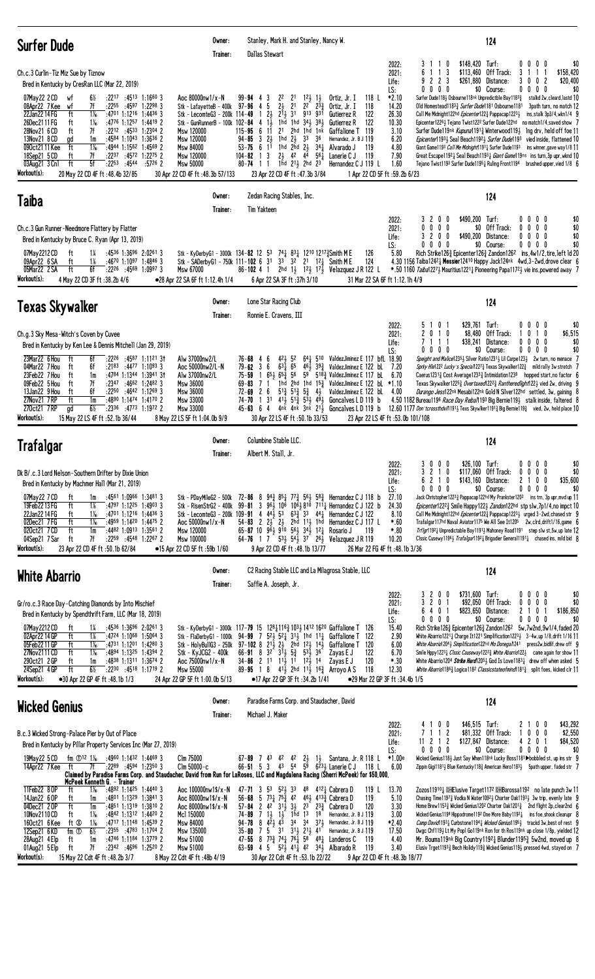| <b>Surfer Dude</b>                                                                                                                                                                                                                                                                                                                                                                                                                                                                                                                                                                                                                                                                                                 | Owner:<br>Trainer:                                                                                                                                                                                                                                                 | Stanley, Mark H. and Stanley, Nancy W.<br>Dallas Stewart                                                                                                                                                                                                                                                                                                                                                                                                                                                                                                                                                                                                                                                                                                                              | 124                                                                                                                                                                                                                                                                                                                                                                                                                                                                                                                                                                                                                                                                                                                                                                                                                                                                                                                                                                                                                                                                                                                                              |
|--------------------------------------------------------------------------------------------------------------------------------------------------------------------------------------------------------------------------------------------------------------------------------------------------------------------------------------------------------------------------------------------------------------------------------------------------------------------------------------------------------------------------------------------------------------------------------------------------------------------------------------------------------------------------------------------------------------------|--------------------------------------------------------------------------------------------------------------------------------------------------------------------------------------------------------------------------------------------------------------------|---------------------------------------------------------------------------------------------------------------------------------------------------------------------------------------------------------------------------------------------------------------------------------------------------------------------------------------------------------------------------------------------------------------------------------------------------------------------------------------------------------------------------------------------------------------------------------------------------------------------------------------------------------------------------------------------------------------------------------------------------------------------------------------|--------------------------------------------------------------------------------------------------------------------------------------------------------------------------------------------------------------------------------------------------------------------------------------------------------------------------------------------------------------------------------------------------------------------------------------------------------------------------------------------------------------------------------------------------------------------------------------------------------------------------------------------------------------------------------------------------------------------------------------------------------------------------------------------------------------------------------------------------------------------------------------------------------------------------------------------------------------------------------------------------------------------------------------------------------------------------------------------------------------------------------------------------|
| Ch.c.3 Curlin-Tiz Miz Sue by Tiznow<br>Bred in Kentucky by CresRan LLC (Mar 22, 2019)<br>$:22^{17}$ $:45^{13}$ 1:1660 3<br>07May22 2 CD<br>6½<br>wf<br>08Apr22 7 Kee<br>7f<br>:2255<br>:45 <sup>97</sup> 1:22 <sup>98</sup> 3<br>wf<br>22Jan2214 FG<br>ft<br>$1\%$<br>$:4701$ 1:1216 1:4436 3<br>ft<br>$1\%$<br>$:4776$ 1:1257 1:4419 2<br>26Dec2111 FG<br>ft<br>7f<br>$:22^{12}$ $:45^{33}$ 1:2304 2<br>28Nov21 6 CD<br>13Nov21 8 CD<br>:4584 1:1043 1:3636 2<br>gd<br>1m<br>$1\%$<br>090ct2111Kee<br>ft<br>:4944 1:1562 1:4569 2<br>18Sep21 5 CD<br>ft<br>7f<br>$:22^{37}$ $:45^{72}$ 1:2275 2<br>03Aug21 3 Cn1<br>ft<br>5f<br>$:22^{53}$<br>:4544<br>$:5726$ 2<br>Workout(s):<br>20 May 22 CD 4F ft:48.4b 32/85 | Aoc 80000nw1/x-N<br>Stk - LafayetteB - 400k<br>Stk - LecomteG3 - 200k $114-49$ 1 $2\frac{1}{2}$<br>Stk - GunRunnerB - 100k 102-84 4 1 $\frac{1}{2}$<br>Msw 120000<br>Msw 120000<br>Msw 84000<br>Msw 120000<br><b>Msw 50000</b><br>30 Apr 22 CD 4F ft: 48.3b 57/133 | 22<br>2 <sup>1</sup><br>$12\frac{1}{2}$ $1\frac{1}{2}$<br>Ortiz, Jr. I<br>118 L<br>$99 - 94$ 4<br>3<br>$2\frac{1}{2}$<br>$2^{2}$ $2^{3}$ $^{3}$<br>97-964<br>21<br>118<br>5<br>Ortiz, Jr. I<br>$2^{11}$<br>3 <sup>1</sup><br>913 931<br>122<br>Gutierrez R<br>1hd 1hd 341 381<br>122<br>Gutierrez R<br>2 <sup>1</sup><br>$115 - 95$ 6 11<br>2hd 1hd 1nk<br>Gaffalione T 119<br>1 $hd$ $2\frac{1}{2}$<br>$94 - 85$ 3<br>$2\frac{1}{2}$<br>33 36<br>Hernandez, Jr. B J 119<br>$53 - 75$ 6 11<br>1hd 2hd $2\frac{1}{2}$ $34\frac{1}{4}$<br>Alvarado J<br>119<br>$2\frac{1}{2}$ 4 <sup>2</sup> 4 <sup>4</sup> 5 <sup>6</sup> <sup>1</sup><br>$104 - 82$ 1 3<br>Lanerie C J<br>119<br>1hd $2^{11}$ , 2hd $2^{3}$<br>$80 - 74$ 1 1<br>Hernandez C J 119 L<br>23 Apr 22 CD 4F ft :47.3b 3/84 | $$148,420$ Turf:<br>$0\ 0\ 0\ 0$<br>2022:<br>\$0<br>3<br>-1<br>\$113,460<br>Off Track:<br>\$158,420<br>2021:<br>3<br>3<br>6<br>-1<br>11<br>9 2 2 3<br>\$261,880 Distance:<br>$0 \t0 \t2$<br>\$20,400<br>3<br>Life:<br>$0\quad 0$<br>\$0 Course:<br>$0\ 0\ 0$<br>\$0<br>LS:<br>0<br>0<br>0<br>*2.10<br>Surfer Dude118} Osbourne118nk Unpredictble Bay1183} stalkd 2w, cleard, lastd 10<br>14.20<br>Old Homestead11833 Surfer Dude1181 Osbourne1181<br>3path turn, no match 12<br>26.30<br>Call Me Midnight122hd Epicenter1223 Pappacap12231 ins, stalk 3p3/4, wkn1/4 9<br>10.30<br>Epicenter12263 Tejano Twist1222 Surfer Dude122hd no match1/4, saved show 7<br>3.10<br>Surfer Dude119nk Kupuna11913 Winterwood1191 lng drv, held off foe 11<br>6.20<br>Epicenter11934 Seal Beach11924 Surfer Dude1193 vied inside, flattened 10<br>4.80<br>Giant Game1193 Call Me Midnight 1911 Surfer Dude1193 ins winner, gave way 1/8 11<br>7.90<br>Great Escape11921 Seal Beach11931 Giant Game119ns insturn, 3p upr, wknd 10<br>1.60<br>Tejano Twist1193 Surfer Dude11951 Ruling Front1194<br>brushed upper, vied $1/8$ 6<br>1 Apr 22 CD 5F ft: 59.2b 6/23 |
| Taiba                                                                                                                                                                                                                                                                                                                                                                                                                                                                                                                                                                                                                                                                                                              | Owner:<br>Trainer:                                                                                                                                                                                                                                                 | Zedan Racing Stables, Inc.<br>Tim Yakteen                                                                                                                                                                                                                                                                                                                                                                                                                                                                                                                                                                                                                                                                                                                                             | 124                                                                                                                                                                                                                                                                                                                                                                                                                                                                                                                                                                                                                                                                                                                                                                                                                                                                                                                                                                                                                                                                                                                                              |
| Ch.c.3 Gun Runner-Needmore Flattery by Flatter<br>Bred in Kentucky by Bruce C. Ryan (Apr 13, 2019)<br>07May 2212 CD<br>:4536 1:3696 2:0261 3<br>14<br>ft<br>09Apr22 6 SA<br>ft<br>$1\%$<br>$:4670$ 1:1097 1:4846 3<br>6f<br>05Mar22 2 SA<br>ft<br>$:22^{26}$ $:45^{69}$ 1:0997 3<br>Workout(s):<br>4 May 22 CD 3F ft: 38.2b 4/6                                                                                                                                                                                                                                                                                                                                                                                    | Msw 67000<br>●28 Apr 22 SA 6F ft 1:12.4h 1/4                                                                                                                                                                                                                       | Stk - KyDerbyG1 - 3000k 134-82 12 53 74 $\frac{1}{4}$ 83 $\frac{1}{4}$ 1210 1217 $\frac{3}{4}$ Smith M E<br>126<br>Stk - SADerbyG1 - 750k 111-102 6 31 33 32 21 121 Smith M E<br>124<br>86-102 4 1 2hd $1\frac{1}{2}$ 1 <sup>2</sup> / <sub>2</sub> 1 <sup>7</sup> / <sub>2</sub> Velazquez J R 122 L<br>6 Apr 22 SA 3F ft : 37h 3/10                                                                                                                                                                                                                                                                                                                                                                                                                                                 | \$490,200 Turf:<br>32<br>0<br>0000<br>\$0<br>2022:<br>0<br>\$0<br>0<br>0<br>0<br>\$0 Off Track:<br>$0\ 0\ 0\ 0$<br>2021:<br>\$0<br>32<br>$0\quad 0$<br>\$490,200 Distance:<br>$0\,0\,0\,0$<br>Life:<br>$0\ 0\ 0\ 0$<br>\$0 Course:<br>\$0<br>$0\,0\,0\,0$<br>LS:<br>5.80<br>Rich Strike1263 Epicenter1263 Zandon126 <sup>2</sup> ins, 4w1/2, tire, left 1d 20<br>4.30 1156 Taiba1242 Hessier12410 Happy Jack124nk 4wd, 3-2wd, drove clear 6<br>*.50 1160 Taiba1227} Mauritius12211 Pioneering Papa11721 vie ins, powered away 7<br>31 Mar 22 SA 6F ft 1:12.1h 4/9                                                                                                                                                                                                                                                                                                                                                                                                                                                                                                                                                                                |
| <b>Texas Skywalker</b>                                                                                                                                                                                                                                                                                                                                                                                                                                                                                                                                                                                                                                                                                             | Owner:<br>Trainer:                                                                                                                                                                                                                                                 | Lone Star Racing Club<br>Ronnie E. Cravens, III                                                                                                                                                                                                                                                                                                                                                                                                                                                                                                                                                                                                                                                                                                                                       | 124                                                                                                                                                                                                                                                                                                                                                                                                                                                                                                                                                                                                                                                                                                                                                                                                                                                                                                                                                                                                                                                                                                                                              |
| Ch.g.3 Sky Mesa-Witch's Coven by Cuvee<br>Bred in Kentucky by Ken Lee & Dennis Mitchell (Jan 29, 2019)<br>23Mar22 6 Hou<br>:2226<br>:45 <sup>87</sup> 1:11 <sup>21</sup> 3†<br>ft<br>6f<br>04Mar22 7 Hou<br>6f<br>$:21^{83}$ $:44^{77}$ 1:10 <sup>93</sup> 3<br>ft<br>23Feb22 7 Hou<br>:4784 1:1344 1:3941 31<br>ft<br>1m<br>7f<br>$: 2347$ $: 4662$ 1:2482 3<br>09Feb22 5 Hou<br>ft<br>13Jan22 9 Hou<br>:2250<br>:4642 1:1269 3<br>ft<br>6f<br>27Nov21 7RP<br>$:4890$ 1:1474 1:4170 2<br>ft<br>1m<br>$6\%$<br>$: 2336$ $: 4773$ 1:1972 2<br>270ct21 7RP<br>gd<br>Workout(s):<br>15 May 22 LS 4F ft :52.1b 36/44                                                                                                   | Alw 37000nw2/L<br>Aoc 50000nw2/L-N<br>Alw 37000nw2/L<br><b>Msw 36000</b><br>Msw 36000<br>Msw 33000<br><b>Msw 33000</b><br>8 May 22 LS 5F ft 1:04.0b 9/9                                                                                                            | $42\frac{1}{2}$ 52<br>$64\frac{1}{4}$ 510 ValdezJiminez E 117 bfL 18.90<br>76-684<br>6<br>$63\overline{1}$ 65<br>$46\frac{1}{2}$ 39 $\frac{3}{4}$ ValdezJiminez E 122 bL<br>$79 - 62$ 3 6<br>75-59 1 $65\frac{1}{2}$ $65\frac{3}{4}$ 56<br>$5^9$ $5^{18\frac{3}{4}}$ ValdezJiminez E 117 bL<br>1hd 2hd 1hd $15\frac{3}{4}$ ValdezJiminez E 122 bL *1.10<br>$69 - 83$ 7 1<br>$5^{13}$ $5^{13}$ $5^{3}$ $4^{1}$<br>$72 - 69$ 2 6<br>ValdezJiminez E 122 bL<br>$1\ 31\ 41\frac{1}{2}\ 51\frac{3}{2}\ 53\frac{1}{2}\ 49\frac{1}{2}$<br>Goncalves LD 119 b<br>74-70<br>4nk 4nk $3n\bar{k}$ 2 <sup>1</sup> / <sub>2</sub> Goncalves LD 119 b<br>$45 - 63$ 6 4<br>30 Apr 22 LS 4F ft :50.1b 33/53                                                                                            | \$29,761 Turf:<br>2022:<br>5 1 0 1<br>0000<br>\$0<br>2021:<br>2 0 1 0<br>\$8,480<br>Off Track:<br>\$6,515<br>$\mathbf{0}$<br>10<br>\$38,241 Distance:<br>7111<br>0<br>$0\,0\,0$<br>\$0<br>Life:<br>\$0<br>$0\ 0\ 0\ 0$<br>\$0 Course:<br>$0\,0\,0\,0$<br>LS:<br><i>Speight and Malice</i> 1235 <sub>2</sub> Silver Ratio1231 <sub>2</sub> Lil Carpe123 <sub>2</sub> 2w turn, no menace 7<br>7.20<br>Sprky Hle1222 Lucky's Special/12273 Texas Skywalker1223 mild rally 3w stretch 7<br>6.70<br>Caerus1231 $\frac{3}{4}$ Cost Average1233 $\frac{3}{4}$ Intimidation1238 hopped start, no factor 6<br>Texas Skywalker1225 $\frac{3}{4}$ Overtaxed122 <sup>2</sup> $\frac{3}{4}$ Rantheredlight1223 vied 2w, driving 9<br>4.00<br>Durango Jess122nk Mesabi122nk Gold N Silver122hd settled, 3w, gaining 8<br>4.50 1182 Bureau1196 Race Day Rebal 193 Big Bernie1193 stalk inside, faltered 8<br>12.60 1177 Don'tcrossthdvin 191 <sup>1</sup> / <sub>2</sub> Texs Skywlker 1191 <sup>3</sup> / <sub>4</sub> Big Bernie 119 <sup>3</sup> /4 vied, 2w, held place 10<br>23 Apr 22 LS 4F ft :53.0b 101/108                                             |
| <b>Trafalgar</b>                                                                                                                                                                                                                                                                                                                                                                                                                                                                                                                                                                                                                                                                                                   | Owner:<br>Trainer:                                                                                                                                                                                                                                                 | Columbine Stable LLC.<br>Albert M. Stall, Jr.                                                                                                                                                                                                                                                                                                                                                                                                                                                                                                                                                                                                                                                                                                                                         | 124                                                                                                                                                                                                                                                                                                                                                                                                                                                                                                                                                                                                                                                                                                                                                                                                                                                                                                                                                                                                                                                                                                                                              |
| Dk B/.c.3 Lord Nelson-Southern Drifter by Dixie Union<br>Bred in Kentucky by Machmer Hall (Mar 21, 2019)<br>07May22 7 CD<br>:4561 1:0966 1:3481 3<br>ft<br>1m<br>19Feb2213FG<br>ft<br>1%<br>:4797 1:1225 1:4903 3<br>22Jan2214FG<br>$1\%$<br>$:4701$ 1:1216 1:4436 3<br>ft<br>02Dec21 7FG<br>ft<br>$1\%$<br>$:4959$ 1:1420 1:4475 2<br>ft<br>020ct21 7 CD<br>1m<br>$:4482$ 1:0913 1:3561 2<br>7f<br>$:22^{59}$ $:45^{48}$ 1:2267 2<br>04Sep21 7 Sar<br>ft<br>Workout(s):<br>23 Apr 22 CD 4F ft: 50.1b 62/84                                                                                                                                                                                                        | Stk - Lecomte G3 - 200k 109-91 4 $44\frac{1}{2}$ 53<br>Aoc 50000nw1/x-N<br>Msw 120000<br>Msw 100000<br>●15 Apr 22 CD 5F ft: 59b 1/60                                                                                                                               | Stk - PDayMileG2 - 500k 72-86 8 94 $\frac{3}{4}$ 85 $\frac{1}{4}$ 77 $\frac{3}{4}$ 56 $\frac{1}{2}$ 58 $\frac{3}{4}$ Hernandez C J 118 b<br>Stk - RisenStrG2 - 400k 99-81 3 96 106 106 3810 711 Hernandez C J 122 b<br>$63\frac{3}{4}$ 33 441 Hernandez C J 122<br>54-83 2 $2\frac{1}{2}$ $2\frac{1}{2}$ $2h\overline{d}$ 113 1hd Hernandez C J 117 L<br>65-87 10 $9\bar{6}$ $\frac{1}{2}$ $9\bar{1}$ 0 $5\bar{6}$ $\frac{1}{2}$ $34\bar{1}$ $12\bar{1}$ Rosario J<br>119<br>64-76 1 7 $53\frac{1}{2}$ 54 $\frac{1}{2}$ 37 $26\frac{1}{2}$ Velazquez JR 119<br>9 Apr 22 CD 4F ft:48.1b 13/77                                                                                                                                                                                          | \$26,100 Turf:<br>2022:<br>3000<br>0000<br>\$0<br>321<br>\$117,060 Off Track:<br>$0\ 0\ 0\ 0$<br>\$0<br>2021:<br>0<br>\$35,600<br>$\mathbf{2}$<br>\$143,160 Distance:<br>2<br>0 <sub>0</sub><br>6<br>0<br>Life:<br>$\mathbf{1}$<br>$0\ 0\ 0\ 0$<br>\$0 Course:<br>$0\ 0\ 0$<br>LS:<br>\$0<br>0<br>27.10<br>Jack Christopher1223} Pappacap122hd My Prankster120 <sup>2</sup> ins trn, 3p upr, mvd up 11<br>24.30<br>Epicenter12223 Smile Happy1223 Zandon122hd stp slw, 7p1/4, no impct 10<br>8.10<br>Call Me Midnight122hd Epicenter1223 Pappacap12231 urged 3-2wd, chased str 9<br>Trafalgar117hd Naval Aviator1175 We All See It1205 2w, clrd, drift1/16, game 6<br>$*.60$<br>$*0.80$<br>Trflgr11921 Unpredictable Bay11911 Mahoney Road1191 step slw st, 5w, up late 12<br>10.20<br>Clssic Cusewy11961 Trafalgar11921 Brigadier General11911 chased ins, mild bid 8<br>26 Mar 22 FG 4F ft: 48.1b 3/36                                                                                                                                                                                                                                         |
| <b>White Abarrio</b>                                                                                                                                                                                                                                                                                                                                                                                                                                                                                                                                                                                                                                                                                               | Owner:<br>Trainer:                                                                                                                                                                                                                                                 | C2 Racing Stable LLC and La Milagrosa Stable, LLC<br>Saffie A. Joseph, Jr.                                                                                                                                                                                                                                                                                                                                                                                                                                                                                                                                                                                                                                                                                                            | 124                                                                                                                                                                                                                                                                                                                                                                                                                                                                                                                                                                                                                                                                                                                                                                                                                                                                                                                                                                                                                                                                                                                                              |
| Gr/ro.c.3 Race Day-Catching Diamonds by Into Mischief<br>Bred in Kentucky by Spendthrift Farm, LLC (Mar 18, 2019)<br>07May 2212 CD<br>ft<br>14<br>$:4536$ 1:3696 2:0261 3<br>ft<br>02Apr22 14 GP<br>1%<br>:4724 1:1068 1:5064 3<br>05Feb2211GP<br>ft<br>$1\%$<br>:4731 1:1201 1:4280 3<br>ft<br>$1\%$<br>27Nov2111 CD<br>:4894 1:1325 1:4394 2<br>290ct21 2 GP<br>ft<br>:4838 1:1311 1:3674 2<br>1m<br>ft<br>$6\frac{1}{2}$<br>$24$ Sep $21$ $4$ GP<br>$:22^{30}$ :4518 1:1719 2<br>Workout(s):<br>•30 Apr 22 GP 4F ft:48.1b 1/3                                                                                                                                                                                   | Stk - KyJCG2 - 400k<br>Aoc 75000nw1/x-N<br>Msw 55000<br>24 Apr 22 GP 5F ft 1:00.0b 5/13                                                                                                                                                                            | Stk - KyDerbyG1 - 3000k 117-79 15 12811163 1031 1412 1620 Gaffalione T 126<br>Stk - FlaDerbyG1 - 1000k 94-99 7 $5^{21}$ $5^{21}$ $3^{11}$ 1hd $1^{11}$ Gaffalione T 122<br>Stk - HolyBullG3 - 250k 97-102 8 2 <sup>1</sup> / <sub>2</sub> 2 <sup>1</sup> / <sub>2</sub> 2hd 12 <sup>1</sup> / <sub>2</sub> 14 <sup>2</sup> / <sub>2</sub><br>Gaffalione T 120<br>$66-91$ 8 $3^{2}$ $3^{1}$ $5^{3}$ $5^{3}$ $5^{3}$ $3^{6}$<br>122<br>Zayas E J<br>$34 - 86$ 2 11 $11\frac{1}{2}$ 11 $12\frac{1}{2}$ 14<br>120<br>Zayas E J<br>89-95 1 8 $41\frac{1}{2}$ 2hd $11\frac{1}{2}$ 16 $\frac{3}{4}$ Arroyo A S<br>118<br>•17 Apr 22 GP 3F ft: 34.2b 1/41                                                                                                                                     | \$731,600 Turf:<br>3 2 0 0<br>0000<br>\$0<br>2022:<br>\$92,050 Off Track:<br>\$0<br>3 <sub>2</sub><br>0<br>$0\ 0\ 0\ 0$<br>2021:<br>640<br>\$823,650 Distance:<br>0<br>\$186,850<br>Life:<br>$\overline{1}$<br>21<br>LS:<br>$0\ 0\ 0\ 0$<br>\$0 Course:<br>$0\,0\,0\,0$<br>\$0<br>15.40<br>Rich Strike1263 Epicenter1263 Zandon126 <sup>2</sup> 5w, 7w2nd, 9w1/4, faded 20<br>2.90<br>White Abarrio1221 $\frac{1}{4}$ Charge It1221 Simplification1223 $\frac{1}{2}$ 3-4w, up 1/8, drift 1/16 11<br>6.00<br>White Abarrio12043 Simplification122hd Mo Donegal1241 press2w, bid6f, drew off 9<br>Smile Hppy 1223 $\frac{1}{4}$ Clssic Causeway 122 <sup>2</sup> $\frac{3}{4}$ White Abarrio 122 $\frac{1}{2}$ came again for show 11<br>6.70<br>$*.30$<br>White Abarrio1204 Strike Hard 2051 God Is Love11831 drew off when asked 5<br>12.30<br>White Abarrio 186 <sup>3</sup> Logico 118 <sup>2</sup> Classics tate of mind 18 <sup>13</sup> split foes, kicked clr 11<br>●29 Mar 22 GP 3F ft: 34.4b 1/5                                                                                                                                         |
| <b>Wicked Genius</b>                                                                                                                                                                                                                                                                                                                                                                                                                                                                                                                                                                                                                                                                                               | Owner:<br>Trainer:                                                                                                                                                                                                                                                 | Paradise Farms Corp. and Staudacher, David<br>Michael J. Maker                                                                                                                                                                                                                                                                                                                                                                                                                                                                                                                                                                                                                                                                                                                        | 124                                                                                                                                                                                                                                                                                                                                                                                                                                                                                                                                                                                                                                                                                                                                                                                                                                                                                                                                                                                                                                                                                                                                              |
| B.c.3 Wicked Strong-Palace Pier by Out of Place<br>Bred in Kentucky by Pillar Property Services Inc (Mar 27, 2019)<br>fm $\textcircled{12}$ 1% :4960 1:1432 1:4469 3<br>19May 22 5 CD<br>ft<br>$:22^{89}$ $:45^{94}$ 1:2350 3<br>14Apr22 7 Kee<br>7f                                                                                                                                                                                                                                                                                                                                                                                                                                                               | Clm 75000<br>$C$ lm 50000-c                                                                                                                                                                                                                                        | 42<br>$\frac{21}{59}$<br>Santana, Jr. R 118 L<br>$67 - 89$ 7 43<br>42<br>$1\frac{1}{2}$<br>$66 - 51$ 5 3<br>43 54<br>$6^{23}$ Lanerie C J 118 L<br>Claimed by Paradise Farms Corp. and Staudacher, David from Run for LaRoses, LLC and Magdalena Racing (Sherri McPeek) for \$50,000,                                                                                                                                                                                                                                                                                                                                                                                                                                                                                                 | \$46,515 Turf:<br>\$43,292<br>$0\quad 0$<br>21<br>0 <sub>0</sub><br>2022:<br>41<br>7 1 1 2<br>\$81,332 Off Track:<br>$0\quad 0\quad 0$<br>\$2,550<br>2021:<br>$\overline{1}$<br>\$84,520<br>$11 \t2 \t1$<br>\$127,847 Distance:<br>4 2 0 1<br>2<br>Life:<br>$0\ 0\ 0\ 0$<br>\$0 Course:<br>$0\ 0\ 0\ 0$<br>\$0<br>LS:<br>$*1.00e$<br>Wicked Genius 118 Just Say When 118nk Lucky Boss 1181 >bobbled st, up ins str 9<br>6.00<br>Zippin Gigi1181 <sub>2</sub> Blue Kentucky118 <sub>3</sub> American Hero1183 <sub>2</sub> 5path upper, faded str 7                                                                                                                                                                                                                                                                                                                                                                                                                                                                                                                                                                                               |
| McPeek Kenneth G. - Trainer<br>11Feb22 80P<br>:4892 1:1425 1:4440 3<br>ft<br>$1\%$<br>14Jan22 6 OP<br>ft<br>:4801 1:1329 1:3841 3<br>1m<br>04Dec21 20P<br>ft<br>1m<br>:4851 1:1319 1:3810 2<br>:4842 1:1312 1:4420 2<br>10Nov2110 CD<br>ft<br>$1\%$<br>160ct21 6 Kee<br>ft Ø<br>$1\%$<br>$:4717$ 1:1148 1:4539 2<br>$6\frac{1}{2}$<br>12Sep21 6KD<br>fm ①<br>$: 2355 : 4783 : 1:1704$ 2<br>ft<br>1m<br>$:47^{46}$ 1:1184 1:3779 2<br>28Aug21 4 Elp<br>7f<br>:2342 :4696 1:2520 2<br>ft<br>01Aug21 5 Elp<br>Workout(s):<br>15 May 22 Cdt 4F ft : 48.2b 3/7                                                                                                                                                          | Aoc 100000nw1\$/x-N<br>Aoc 80000nw1\$/x-N<br>Aoc 80000nw1\$/x-N<br>Mcl 150000<br>Msw 84000<br>Msw 135000<br>Msw 51000<br>Msw 51000<br>8 May 22 Cdt 4F ft: 48b 4/19                                                                                                 | 48 412 Cabrera D<br>119 $L$<br>$47 - 71$ 3 $53$<br>52, 33<br>$56-68$ 5 $73\frac{1}{4}$ $75\frac{5}{4}$ 42<br>461 413 <sup>3</sup> / <sub>4</sub> Cabrera D<br>119<br>57-84 2 42 31 $\frac{1}{2}$ 3 $\frac{1}{2}$ 2 <sup>3</sup> 2 <sup>3</sup> Cabrera D<br>120<br>74-89 7 11 12 11 1 1 18 Hernandez, Jr. B J 119<br>$94 - 78$ 8 $4\overline{2}$ $4\overline{3}$<br>3 <sup>4</sup><br>34 373 Hernandez, Jr. B J 119<br>$35 - 80$ 7 5 31 31 $21\frac{1}{2}$ 41<br>Hernandez, Jr. B J 119<br>47-55 8 73 $\frac{3}{4}$ 74 $\frac{1}{4}$ 76 $\frac{1}{4}$ 58 <sup>-</sup> 48 $\frac{1}{4}$ Landeros C<br>-119<br>63-59 4 5 52 41 42 34 Albarado R<br>119<br>30 Apr 22 Cdt 4F ft :53.1b 22/22                                                                                              | 13.70<br>Zozos119101 DHE lusive Target1172 DHBarossa1192 no late punch 3w 11<br>5.10<br>Chasing Time11973 Vodka N Water10923 Charter Oak11933 3w trip, evenly late 9<br>3.30<br>Home Brew1153 $\frac{3}{4}$ Wicked Genius120 <sup>2</sup> Charter 0ak1201 $\frac{3}{4}$ 2nd flight 2p, clear2nd 6<br>3.00<br>Wicked Genius 1198 Hippodrome 1192 One More Baby 11921 ins foe, shook clearupr 8<br>*2.40<br><i>Camp David</i> 1931 Curbstone 1941 <i>Wicked Genius</i> 1951 trackd 3w, best of rest 9<br>17.50<br>Dwgc Chf1193 Lt My Popl Go119nk Ron for th Ros119nk up close 1/8p, yielded 12<br>4.40<br>Mr. Bouma119nk Big Country11921 Blunder11953 5w2nd. moved up 8<br>3.40<br>Elusiv Trget11933 Bech Holidy1193 Wicked Genius1193 pressed 4wd, stayed on 7<br>9 Apr 22 CD 4F ft: 48.3b 18/77                                                                                                                                                                                                                                                                                                                                                |